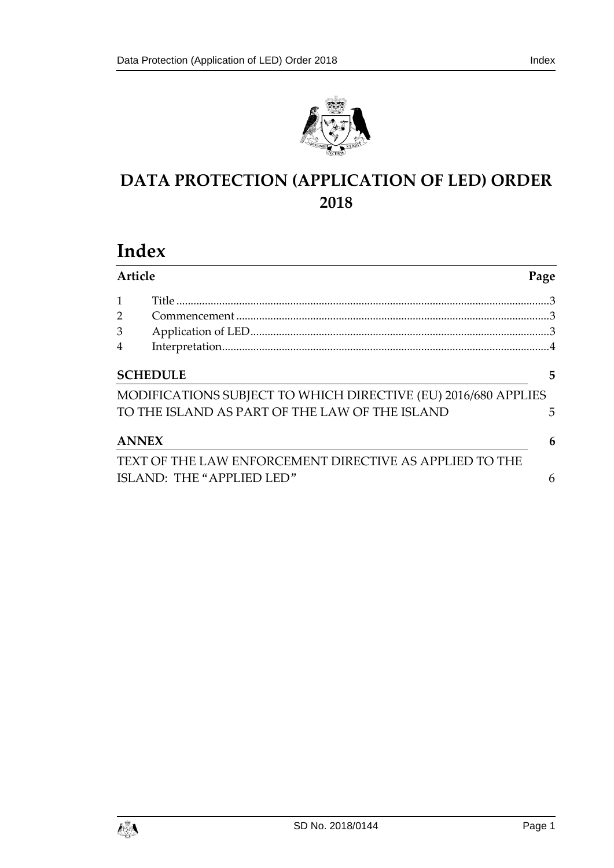



# **DATA PROTECTION (APPLICATION OF LED) ORDER 2018**

# **Index**

| Article        |                                                                | Page |
|----------------|----------------------------------------------------------------|------|
|                |                                                                |      |
| $\overline{2}$ |                                                                |      |
| 3              |                                                                |      |
|                |                                                                |      |
|                | <b>SCHEDULE</b>                                                | 5    |
|                | MODIFICATIONS SUBJECT TO WHICH DIRECTIVE (EU) 2016/680 APPLIES |      |
|                | TO THE ISLAND AS PART OF THE LAW OF THE ISLAND                 | 5    |
|                | <b>ANNEX</b>                                                   | 6    |
|                | TEXT OF THE LAW ENFORCEMENT DIRECTIVE AS APPLIED TO THE        |      |
|                | ISLAND: THE "APPLIED LED"                                      |      |

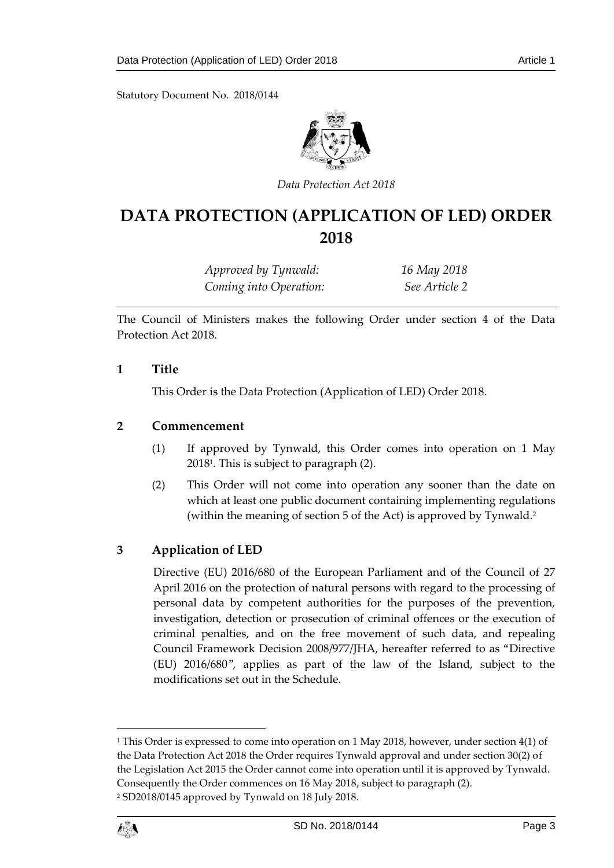Statutory Document No. 2018/0144



*Data Protection Act 2018*

# **DATA PROTECTION (APPLICATION OF LED) ORDER 2018**

*Approved by Tynwald: 16 May 2018 Coming into Operation: See Article 2*

The Council of Ministers makes the following Order under section 4 of the Data Protection Act 2018.

### <span id="page-2-0"></span>**1 Title**

This Order is the Data Protection (Application of LED) Order 2018.

# <span id="page-2-1"></span>**2 Commencement**

- (1) If approved by Tynwald, this Order comes into operation on 1 May 2018<sup>1</sup> . This is subject to paragraph (2).
- (2) This Order will not come into operation any sooner than the date on which at least one public document containing implementing regulations (within the meaning of section 5 of the Act) is approved by Tynwald.<sup>2</sup>

# <span id="page-2-2"></span>**3 Application of LED**

Directive (EU) 2016/680 of the European Parliament and of the Council of 27 April 2016 on the protection of natural persons with regard to the processing of personal data by competent authorities for the purposes of the prevention, investigation, detection or prosecution of criminal offences or the execution of criminal penalties, and on the free movement of such data, and repealing Council Framework Decision 2008/977/JHA, hereafter referred to as "Directive (EU) 2016/680", applies as part of the law of the Island, subject to the modifications set out in the Schedule.

<sup>1</sup> This Order is expressed to come into operation on 1 May 2018, however, under section 4(1) of the Data Protection Act 2018 the Order requires Tynwald approval and under section 30(2) of the Legislation Act 2015 the Order cannot come into operation until it is approved by Tynwald. Consequently the Order commences on 16 May 2018, subject to paragraph (2). <sup>2</sup> SD2018/0145 approved by Tynwald on 18 July 2018.



1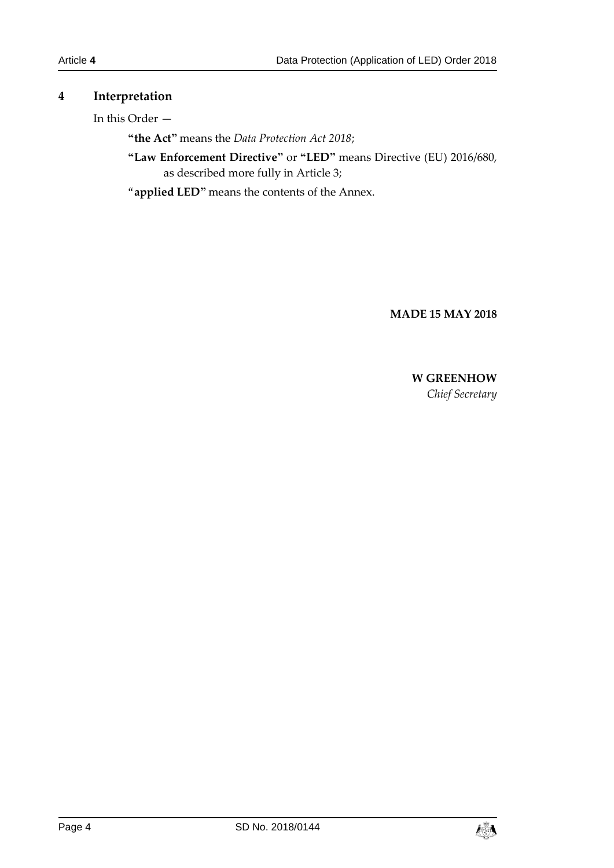# <span id="page-3-0"></span>**4 Interpretation**

In this Order —

**"the Act"** means the *Data Protection Act 2018*;

**"Law Enforcement Directive"** or **"LED"** means Directive (EU) 2016/680, as described more fully in Article 3;

"**applied LED"** means the contents of the Annex.

**MADE 15 MAY 2018**

# **W GREENHOW**

*Chief Secretary*

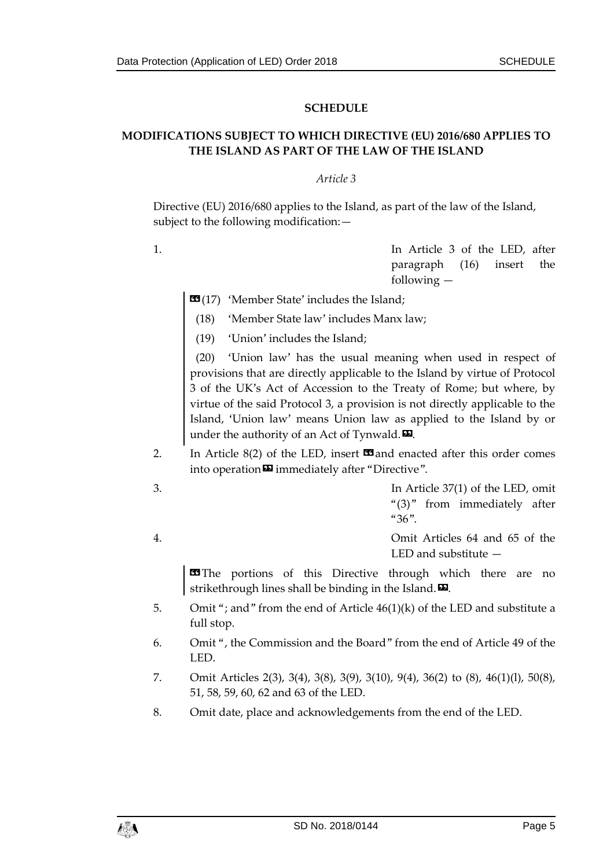### **SCHEDULE**

### <span id="page-4-1"></span><span id="page-4-0"></span>**MODIFICATIONS SUBJECT TO WHICH DIRECTIVE (EU) 2016/680 APPLIES TO THE ISLAND AS PART OF THE LAW OF THE ISLAND**

#### *Article 3*

Directive (EU) 2016/680 applies to the Island, as part of the law of the Island, subject to the following modification:—

1. In Article 3 of the LED, after paragraph (16) insert the following —

 **'Member State' includes the Island;** 

- (18) 'Member State law' includes Manx law;
- (19) 'Union' includes the Island;

 (20) 'Union law' has the usual meaning when used in respect of provisions that are directly applicable to the Island by virtue of Protocol 3 of the UK's Act of Accession to the Treaty of Rome; but where, by virtue of the said Protocol 3, a provision is not directly applicable to the Island, 'Union law' means Union law as applied to the Island by or under the authority of an Act of Tynwald. $\boldsymbol{\mathsf{E}}$ .

2. In Article  $8(2)$  of the LED, insert  $\blacksquare$  and enacted after this order comes into operation $\boldsymbol{\mathsf{\Xi}}$  immediately after "Directive".

3. In Article 37(1) of the LED, omit "(3)" from immediately after "36".

4. Omit Articles 64 and 65 of the LED and substitute —

**E9**The portions of this Directive through which there are no strikethrough lines shall be binding in the Island.  $\boldsymbol{\Xi}$ .

- 5. Omit "; and" from the end of Article 46(1)(k) of the LED and substitute a full stop.
- 6. Omit ", the Commission and the Board" from the end of Article 49 of the LED.
- 7. Omit Articles 2(3), 3(4), 3(8), 3(9), 3(10), 9(4), 36(2) to (8), 46(1)(l), 50(8), 51, 58, 59, 60, 62 and 63 of the LED.
- 8. Omit date, place and acknowledgements from the end of the LED.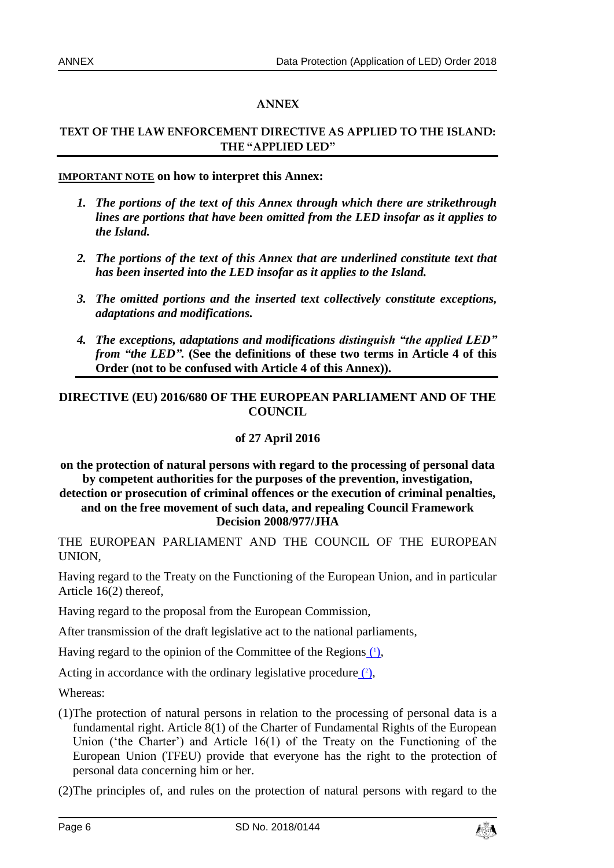### **ANNEX**

### <span id="page-5-1"></span><span id="page-5-0"></span>**TEXT OF THE LAW ENFORCEMENT DIRECTIVE AS APPLIED TO THE ISLAND: THE "APPLIED LED"**

### **IMPORTANT NOTE on how to interpret this Annex:**

- *1. The portions of the text of this Annex through which there are strikethrough lines are portions that have been omitted from the LED insofar as it applies to the Island.*
- *2. The portions of the text of this Annex that are underlined constitute text that has been inserted into the LED insofar as it applies to the Island.*
- *3. The omitted portions and the inserted text collectively constitute exceptions, adaptations and modifications.*
- *4. The exceptions, adaptations and modifications distinguish "the applied LED" from "the LED".* **(See the definitions of these two terms in Article 4 of this Order (not to be confused with Article 4 of this Annex)).**

### **DIRECTIVE (EU) 2016/680 OF THE EUROPEAN PARLIAMENT AND OF THE COUNCIL**

# **of 27 April 2016**

**on the protection of natural persons with regard to the processing of personal data by competent authorities for the purposes of the prevention, investigation,** 

### **detection or prosecution of criminal offences or the execution of criminal penalties, and on the free movement of such data, and repealing Council Framework Decision 2008/977/JHA**

THE EUROPEAN PARLIAMENT AND THE COUNCIL OF THE EUROPEAN UNION,

Having regard to the Treaty on the Functioning of the European Union, and in particular Article 16(2) thereof,

Having regard to the proposal from the European Commission,

After transmission of the draft legislative act to the national parliaments,

Having regard to the opinion of the Committee of the Regions (1[\),](http://eur-lex.europa.eu/legal-content/EN/TXT/HTML/?uri=CELEX:32016L0680&qid=1499938031420&from=EN#ntr1-L_2016119EN.01008901-E0001)

Acting in accordance with the ordinary legislative procedure  $(2)$ ,

Whereas:

(1)The protection of natural persons in relation to the processing of personal data is a fundamental right. Article 8(1) of the Charter of Fundamental Rights of the European Union ('the Charter') and Article 16(1) of the Treaty on the Functioning of the European Union (TFEU) provide that everyone has the right to the protection of personal data concerning him or her.

(2)The principles of, and rules on the protection of natural persons with regard to the

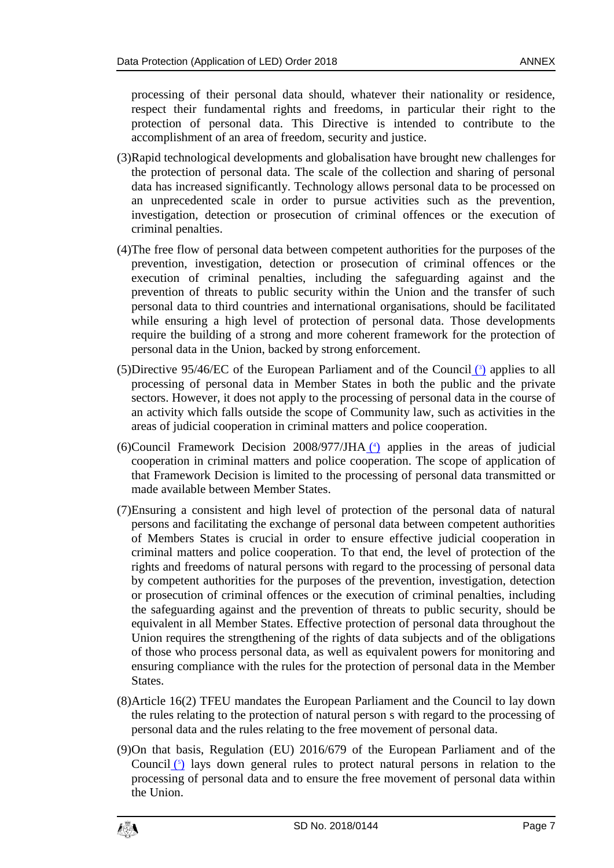processing of their personal data should, whatever their nationality or residence, respect their fundamental rights and freedoms, in particular their right to the protection of personal data. This Directive is intended to contribute to the accomplishment of an area of freedom, security and justice.

- (3)Rapid technological developments and globalisation have brought new challenges for the protection of personal data. The scale of the collection and sharing of personal data has increased significantly. Technology allows personal data to be processed on an unprecedented scale in order to pursue activities such as the prevention, investigation, detection or prosecution of criminal offences or the execution of criminal penalties.
- (4)The free flow of personal data between competent authorities for the purposes of the prevention, investigation, detection or prosecution of criminal offences or the execution of criminal penalties, including the safeguarding against and the prevention of threats to public security within the Union and the transfer of such personal data to third countries and international organisations, should be facilitated while ensuring a high level of protection of personal data. Those developments require the building of a strong and more coherent framework for the protection of personal data in the Union, backed by strong enforcement.
- [\(](http://eur-lex.europa.eu/legal-content/EN/TXT/HTML/?uri=CELEX:32016L0680&qid=1499938031420&from=EN#ntr3-L_2016119EN.01008901-E0003)5) Directive 95/46/EC of the European Parliament and of the Council  $\binom{3}{2}$  applies to all processing of personal data in Member States in both the public and the private sectors. However, it does not apply to the processing of personal data in the course of an activity which falls outside the scope of Community law, such as activities in the areas of judicial cooperation in criminal matters and police cooperation.
- [\(](http://eur-lex.europa.eu/legal-content/EN/TXT/HTML/?uri=CELEX:32016L0680&qid=1499938031420&from=EN#ntr4-L_2016119EN.01008901-E0004)6) Council Framework Decision  $2008/977$  *JHA*  $(4)$  applies in the areas of judicial cooperation in criminal matters and police cooperation. The scope of application of that Framework Decision is limited to the processing of personal data transmitted or made available between Member States.
- (7)Ensuring a consistent and high level of protection of the personal data of natural persons and facilitating the exchange of personal data between competent authorities of Members States is crucial in order to ensure effective judicial cooperation in criminal matters and police cooperation. To that end, the level of protection of the rights and freedoms of natural persons with regard to the processing of personal data by competent authorities for the purposes of the prevention, investigation, detection or prosecution of criminal offences or the execution of criminal penalties, including the safeguarding against and the prevention of threats to public security, should be equivalent in all Member States. Effective protection of personal data throughout the Union requires the strengthening of the rights of data subjects and of the obligations of those who process personal data, as well as equivalent powers for monitoring and ensuring compliance with the rules for the protection of personal data in the Member States.
- (8)Article 16(2) TFEU mandates the European Parliament and the Council to lay down the rules relating to the protection of natural person s with regard to the processing of personal data and the rules relating to the free movement of personal data.
- (9)On that basis, Regulation (EU) 2016/679 of the European Parliament and of the Council  $(3)$  $(3)$  lays down general rules to protect natural persons in relation to the processing of personal data and to ensure the free movement of personal data within the Union.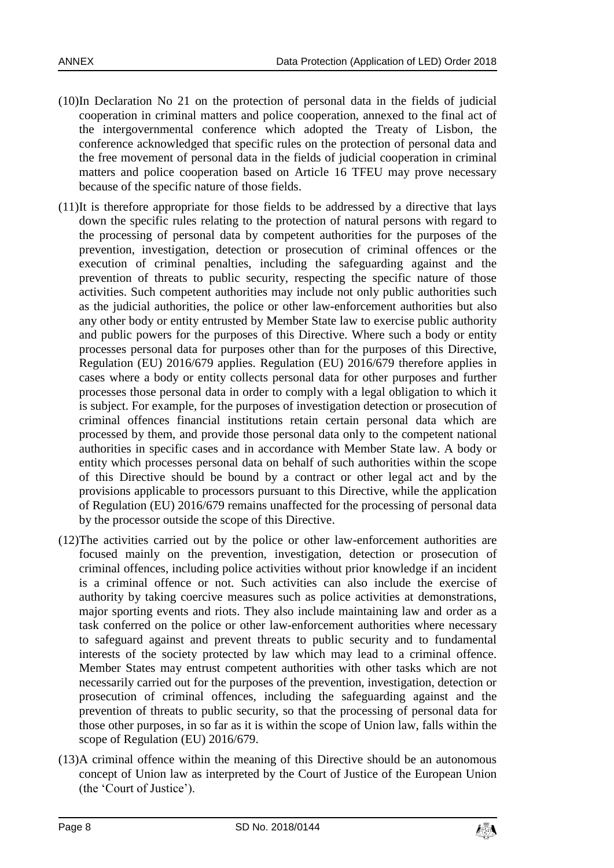- (10)In Declaration No 21 on the protection of personal data in the fields of judicial cooperation in criminal matters and police cooperation, annexed to the final act of the intergovernmental conference which adopted the Treaty of Lisbon, the conference acknowledged that specific rules on the protection of personal data and the free movement of personal data in the fields of judicial cooperation in criminal matters and police cooperation based on Article 16 TFEU may prove necessary because of the specific nature of those fields.
- (11)It is therefore appropriate for those fields to be addressed by a directive that lays down the specific rules relating to the protection of natural persons with regard to the processing of personal data by competent authorities for the purposes of the prevention, investigation, detection or prosecution of criminal offences or the execution of criminal penalties, including the safeguarding against and the prevention of threats to public security, respecting the specific nature of those activities. Such competent authorities may include not only public authorities such as the judicial authorities, the police or other law-enforcement authorities but also any other body or entity entrusted by Member State law to exercise public authority and public powers for the purposes of this Directive. Where such a body or entity processes personal data for purposes other than for the purposes of this Directive, Regulation (EU) 2016/679 applies. Regulation (EU) 2016/679 therefore applies in cases where a body or entity collects personal data for other purposes and further processes those personal data in order to comply with a legal obligation to which it is subject. For example, for the purposes of investigation detection or prosecution of criminal offences financial institutions retain certain personal data which are processed by them, and provide those personal data only to the competent national authorities in specific cases and in accordance with Member State law. A body or entity which processes personal data on behalf of such authorities within the scope of this Directive should be bound by a contract or other legal act and by the provisions applicable to processors pursuant to this Directive, while the application of Regulation (EU) 2016/679 remains unaffected for the processing of personal data by the processor outside the scope of this Directive.
- (12)The activities carried out by the police or other law-enforcement authorities are focused mainly on the prevention, investigation, detection or prosecution of criminal offences, including police activities without prior knowledge if an incident is a criminal offence or not. Such activities can also include the exercise of authority by taking coercive measures such as police activities at demonstrations, major sporting events and riots. They also include maintaining law and order as a task conferred on the police or other law-enforcement authorities where necessary to safeguard against and prevent threats to public security and to fundamental interests of the society protected by law which may lead to a criminal offence. Member States may entrust competent authorities with other tasks which are not necessarily carried out for the purposes of the prevention, investigation, detection or prosecution of criminal offences, including the safeguarding against and the prevention of threats to public security, so that the processing of personal data for those other purposes, in so far as it is within the scope of Union law, falls within the scope of Regulation (EU) 2016/679.
- (13)A criminal offence within the meaning of this Directive should be an autonomous concept of Union law as interpreted by the Court of Justice of the European Union (the 'Court of Justice').

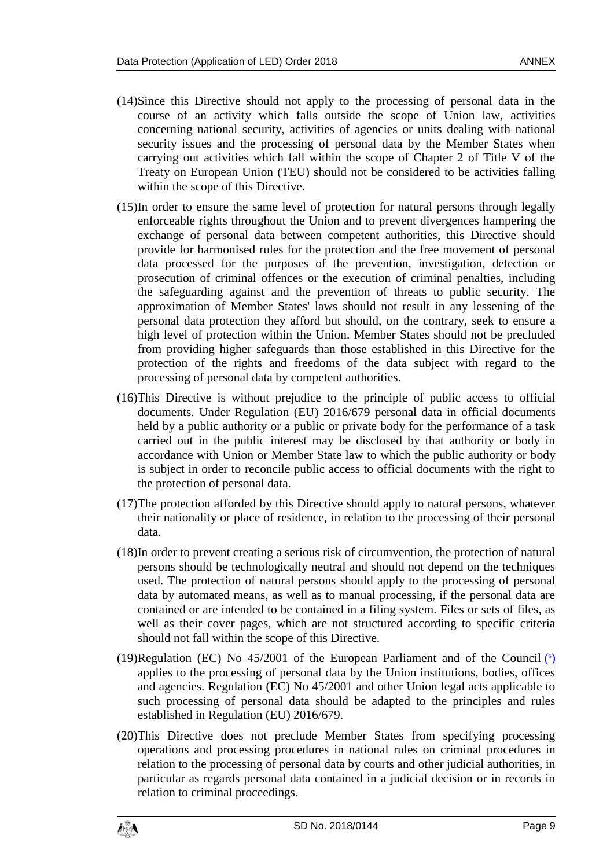- (14)Since this Directive should not apply to the processing of personal data in the course of an activity which falls outside the scope of Union law, activities concerning national security, activities of agencies or units dealing with national security issues and the processing of personal data by the Member States when carrying out activities which fall within the scope of Chapter 2 of Title V of the Treaty on European Union (TEU) should not be considered to be activities falling within the scope of this Directive.
- (15)In order to ensure the same level of protection for natural persons through legally enforceable rights throughout the Union and to prevent divergences hampering the exchange of personal data between competent authorities, this Directive should provide for harmonised rules for the protection and the free movement of personal data processed for the purposes of the prevention, investigation, detection or prosecution of criminal offences or the execution of criminal penalties, including the safeguarding against and the prevention of threats to public security. The approximation of Member States' laws should not result in any lessening of the personal data protection they afford but should, on the contrary, seek to ensure a high level of protection within the Union. Member States should not be precluded from providing higher safeguards than those established in this Directive for the protection of the rights and freedoms of the data subject with regard to the processing of personal data by competent authorities.
- (16)This Directive is without prejudice to the principle of public access to official documents. Under Regulation (EU) 2016/679 personal data in official documents held by a public authority or a public or private body for the performance of a task carried out in the public interest may be disclosed by that authority or body in accordance with Union or Member State law to which the public authority or body is subject in order to reconcile public access to official documents with the right to the protection of personal data.
- (17)The protection afforded by this Directive should apply to natural persons, whatever their nationality or place of residence, in relation to the processing of their personal data.
- (18)In order to prevent creating a serious risk of circumvention, the protection of natural persons should be technologically neutral and should not depend on the techniques used. The protection of natural persons should apply to the processing of personal data by automated means, as well as to manual processing, if the personal data are contained or are intended to be contained in a filing system. Files or sets of files, as well as their cover pages, which are not structured according to specific criteria should not fall within the scope of this Directive.
- [\(](http://eur-lex.europa.eu/legal-content/EN/TXT/HTML/?uri=CELEX:32016L0680&qid=1499938031420&from=EN#ntr6-L_2016119EN.01008901-E0006)19) Regulation (EC) No 45/2001 of the European Parliament and of the Council  $\binom{6}{1}$ applies to the processing of personal data by the Union institutions, bodies, offices and agencies. Regulation (EC) No 45/2001 and other Union legal acts applicable to such processing of personal data should be adapted to the principles and rules established in Regulation (EU) 2016/679.
- (20)This Directive does not preclude Member States from specifying processing operations and processing procedures in national rules on criminal procedures in relation to the processing of personal data by courts and other judicial authorities, in particular as regards personal data contained in a judicial decision or in records in relation to criminal proceedings.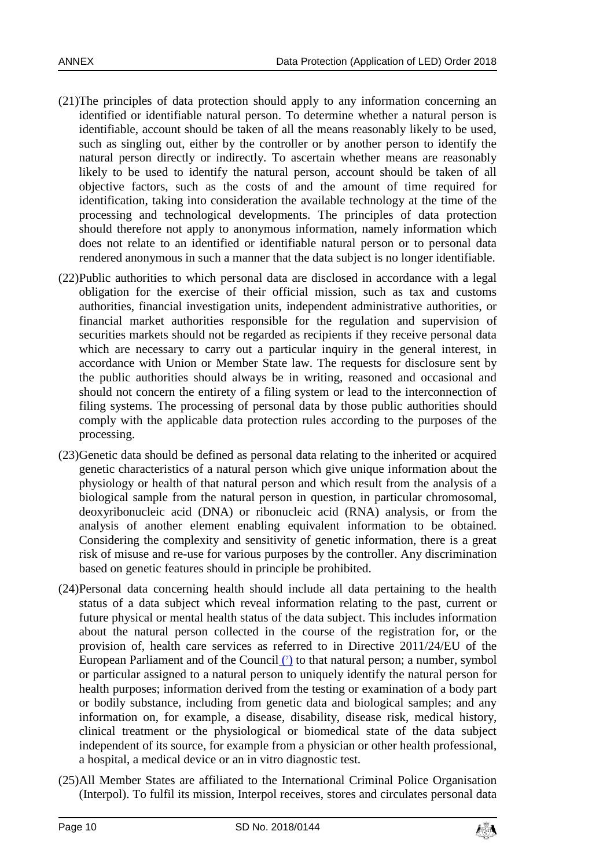- (21)The principles of data protection should apply to any information concerning an identified or identifiable natural person. To determine whether a natural person is identifiable, account should be taken of all the means reasonably likely to be used, such as singling out, either by the controller or by another person to identify the natural person directly or indirectly. To ascertain whether means are reasonably likely to be used to identify the natural person, account should be taken of all objective factors, such as the costs of and the amount of time required for identification, taking into consideration the available technology at the time of the processing and technological developments. The principles of data protection should therefore not apply to anonymous information, namely information which does not relate to an identified or identifiable natural person or to personal data rendered anonymous in such a manner that the data subject is no longer identifiable.
- (22)Public authorities to which personal data are disclosed in accordance with a legal obligation for the exercise of their official mission, such as tax and customs authorities, financial investigation units, independent administrative authorities, or financial market authorities responsible for the regulation and supervision of securities markets should not be regarded as recipients if they receive personal data which are necessary to carry out a particular inquiry in the general interest, in accordance with Union or Member State law. The requests for disclosure sent by the public authorities should always be in writing, reasoned and occasional and should not concern the entirety of a filing system or lead to the interconnection of filing systems. The processing of personal data by those public authorities should comply with the applicable data protection rules according to the purposes of the processing.
- (23)Genetic data should be defined as personal data relating to the inherited or acquired genetic characteristics of a natural person which give unique information about the physiology or health of that natural person and which result from the analysis of a biological sample from the natural person in question, in particular chromosomal, deoxyribonucleic acid (DNA) or ribonucleic acid (RNA) analysis, or from the analysis of another element enabling equivalent information to be obtained. Considering the complexity and sensitivity of genetic information, there is a great risk of misuse and re-use for various purposes by the controller. Any discrimination based on genetic features should in principle be prohibited.
- (24)Personal data concerning health should include all data pertaining to the health status of a data subject which reveal information relating to the past, current or future physical or mental health status of the data subject. This includes information about the natural person collected in the course of the registration for, or the provision of, health care services as referred to in Directive 2011/24/EU of the European Parliament and of the Council  $(2)$  $(2)$  to that natural person; a number, symbol or particular assigned to a natural person to uniquely identify the natural person for health purposes; information derived from the testing or examination of a body part or bodily substance, including from genetic data and biological samples; and any information on, for example, a disease, disability, disease risk, medical history, clinical treatment or the physiological or biomedical state of the data subject independent of its source, for example from a physician or other health professional, a hospital, a medical device or an in vitro diagnostic test.
- (25)All Member States are affiliated to the International Criminal Police Organisation (Interpol). To fulfil its mission, Interpol receives, stores and circulates personal data

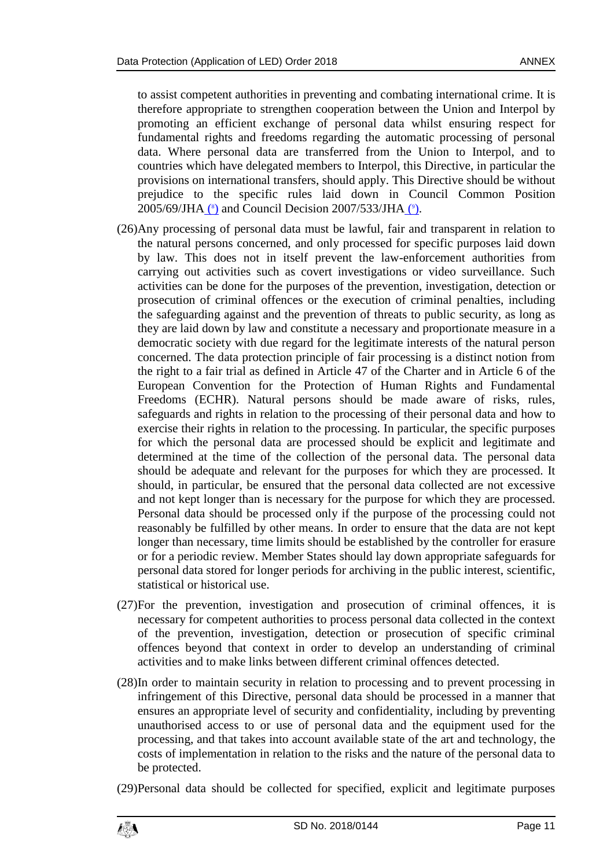to assist competent authorities in preventing and combating international crime. It is therefore appropriate to strengthen cooperation between the Union and Interpol by promoting an efficient exchange of personal data whilst ensuring respect for fundamental rights and freedoms regarding the automatic processing of personal data. Where personal data are transferred from the Union to Interpol, and to countries which have delegated members to Interpol, this Directive, in particular the provisions on international transfers, should apply. This Directive should be without prejudice to the specific rules laid down in Council Common Position 2005/69/JHA [\(](http://eur-lex.europa.eu/legal-content/EN/TXT/HTML/?uri=CELEX:32016L0680&qid=1499938031420&from=EN#ntr8-L_2016119EN.01008901-E0008)<sup>8</sup>) and Council Decision 2007/533/JHA (<sup>9</sup>[\).](http://eur-lex.europa.eu/legal-content/EN/TXT/HTML/?uri=CELEX:32016L0680&qid=1499938031420&from=EN#ntr9-L_2016119EN.01008901-E0009)

- (26)Any processing of personal data must be lawful, fair and transparent in relation to the natural persons concerned, and only processed for specific purposes laid down by law. This does not in itself prevent the law-enforcement authorities from carrying out activities such as covert investigations or video surveillance. Such activities can be done for the purposes of the prevention, investigation, detection or prosecution of criminal offences or the execution of criminal penalties, including the safeguarding against and the prevention of threats to public security, as long as they are laid down by law and constitute a necessary and proportionate measure in a democratic society with due regard for the legitimate interests of the natural person concerned. The data protection principle of fair processing is a distinct notion from the right to a fair trial as defined in Article 47 of the Charter and in Article 6 of the European Convention for the Protection of Human Rights and Fundamental Freedoms (ECHR). Natural persons should be made aware of risks, rules, safeguards and rights in relation to the processing of their personal data and how to exercise their rights in relation to the processing. In particular, the specific purposes for which the personal data are processed should be explicit and legitimate and determined at the time of the collection of the personal data. The personal data should be adequate and relevant for the purposes for which they are processed. It should, in particular, be ensured that the personal data collected are not excessive and not kept longer than is necessary for the purpose for which they are processed. Personal data should be processed only if the purpose of the processing could not reasonably be fulfilled by other means. In order to ensure that the data are not kept longer than necessary, time limits should be established by the controller for erasure or for a periodic review. Member States should lay down appropriate safeguards for personal data stored for longer periods for archiving in the public interest, scientific, statistical or historical use.
- (27)For the prevention, investigation and prosecution of criminal offences, it is necessary for competent authorities to process personal data collected in the context of the prevention, investigation, detection or prosecution of specific criminal offences beyond that context in order to develop an understanding of criminal activities and to make links between different criminal offences detected.
- (28)In order to maintain security in relation to processing and to prevent processing in infringement of this Directive, personal data should be processed in a manner that ensures an appropriate level of security and confidentiality, including by preventing unauthorised access to or use of personal data and the equipment used for the processing, and that takes into account available state of the art and technology, the costs of implementation in relation to the risks and the nature of the personal data to be protected.
- (29)Personal data should be collected for specified, explicit and legitimate purposes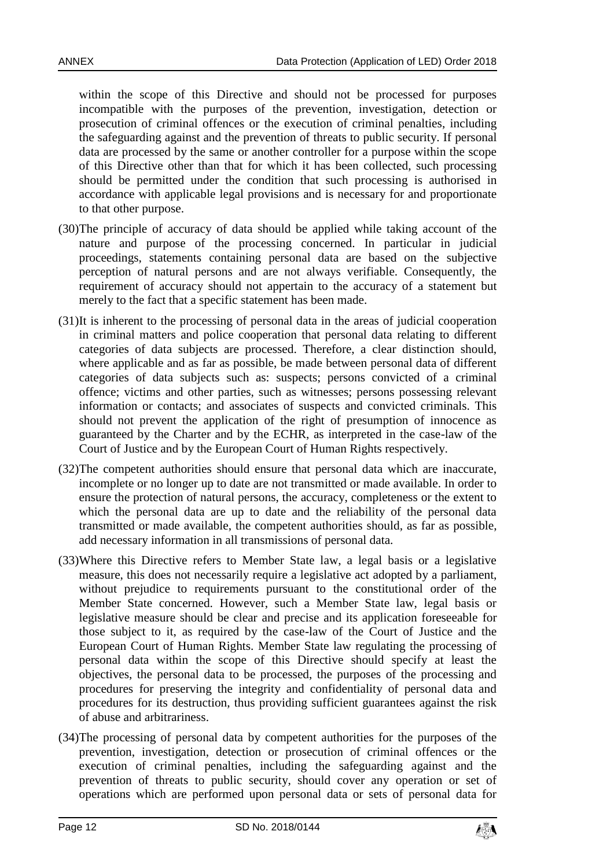within the scope of this Directive and should not be processed for purposes incompatible with the purposes of the prevention, investigation, detection or prosecution of criminal offences or the execution of criminal penalties, including the safeguarding against and the prevention of threats to public security. If personal data are processed by the same or another controller for a purpose within the scope of this Directive other than that for which it has been collected, such processing should be permitted under the condition that such processing is authorised in accordance with applicable legal provisions and is necessary for and proportionate to that other purpose.

- (30)The principle of accuracy of data should be applied while taking account of the nature and purpose of the processing concerned. In particular in judicial proceedings, statements containing personal data are based on the subjective perception of natural persons and are not always verifiable. Consequently, the requirement of accuracy should not appertain to the accuracy of a statement but merely to the fact that a specific statement has been made.
- (31)It is inherent to the processing of personal data in the areas of judicial cooperation in criminal matters and police cooperation that personal data relating to different categories of data subjects are processed. Therefore, a clear distinction should, where applicable and as far as possible, be made between personal data of different categories of data subjects such as: suspects; persons convicted of a criminal offence; victims and other parties, such as witnesses; persons possessing relevant information or contacts; and associates of suspects and convicted criminals. This should not prevent the application of the right of presumption of innocence as guaranteed by the Charter and by the ECHR, as interpreted in the case-law of the Court of Justice and by the European Court of Human Rights respectively.
- (32)The competent authorities should ensure that personal data which are inaccurate, incomplete or no longer up to date are not transmitted or made available. In order to ensure the protection of natural persons, the accuracy, completeness or the extent to which the personal data are up to date and the reliability of the personal data transmitted or made available, the competent authorities should, as far as possible, add necessary information in all transmissions of personal data.
- (33)Where this Directive refers to Member State law, a legal basis or a legislative measure, this does not necessarily require a legislative act adopted by a parliament, without prejudice to requirements pursuant to the constitutional order of the Member State concerned. However, such a Member State law, legal basis or legislative measure should be clear and precise and its application foreseeable for those subject to it, as required by the case-law of the Court of Justice and the European Court of Human Rights. Member State law regulating the processing of personal data within the scope of this Directive should specify at least the objectives, the personal data to be processed, the purposes of the processing and procedures for preserving the integrity and confidentiality of personal data and procedures for its destruction, thus providing sufficient guarantees against the risk of abuse and arbitrariness.
- (34)The processing of personal data by competent authorities for the purposes of the prevention, investigation, detection or prosecution of criminal offences or the execution of criminal penalties, including the safeguarding against and the prevention of threats to public security, should cover any operation or set of operations which are performed upon personal data or sets of personal data for

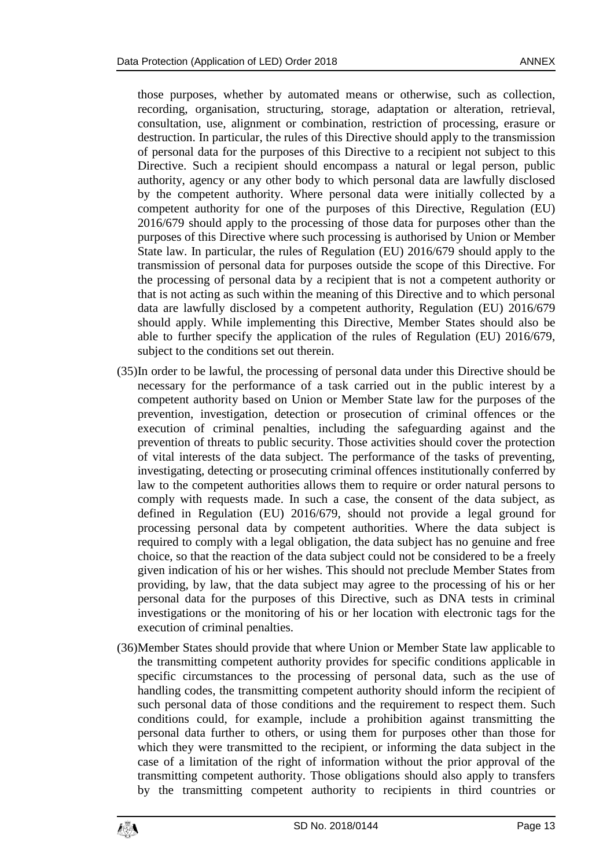those purposes, whether by automated means or otherwise, such as collection, recording, organisation, structuring, storage, adaptation or alteration, retrieval, consultation, use, alignment or combination, restriction of processing, erasure or destruction. In particular, the rules of this Directive should apply to the transmission of personal data for the purposes of this Directive to a recipient not subject to this Directive. Such a recipient should encompass a natural or legal person, public authority, agency or any other body to which personal data are lawfully disclosed by the competent authority. Where personal data were initially collected by a competent authority for one of the purposes of this Directive, Regulation (EU) 2016/679 should apply to the processing of those data for purposes other than the purposes of this Directive where such processing is authorised by Union or Member State law. In particular, the rules of Regulation (EU) 2016/679 should apply to the transmission of personal data for purposes outside the scope of this Directive. For the processing of personal data by a recipient that is not a competent authority or that is not acting as such within the meaning of this Directive and to which personal data are lawfully disclosed by a competent authority, Regulation (EU) 2016/679 should apply. While implementing this Directive, Member States should also be able to further specify the application of the rules of Regulation (EU) 2016/679, subject to the conditions set out therein.

- (35)In order to be lawful, the processing of personal data under this Directive should be necessary for the performance of a task carried out in the public interest by a competent authority based on Union or Member State law for the purposes of the prevention, investigation, detection or prosecution of criminal offences or the execution of criminal penalties, including the safeguarding against and the prevention of threats to public security. Those activities should cover the protection of vital interests of the data subject. The performance of the tasks of preventing, investigating, detecting or prosecuting criminal offences institutionally conferred by law to the competent authorities allows them to require or order natural persons to comply with requests made. In such a case, the consent of the data subject, as defined in Regulation (EU) 2016/679, should not provide a legal ground for processing personal data by competent authorities. Where the data subject is required to comply with a legal obligation, the data subject has no genuine and free choice, so that the reaction of the data subject could not be considered to be a freely given indication of his or her wishes. This should not preclude Member States from providing, by law, that the data subject may agree to the processing of his or her personal data for the purposes of this Directive, such as DNA tests in criminal investigations or the monitoring of his or her location with electronic tags for the execution of criminal penalties.
- (36)Member States should provide that where Union or Member State law applicable to the transmitting competent authority provides for specific conditions applicable in specific circumstances to the processing of personal data, such as the use of handling codes, the transmitting competent authority should inform the recipient of such personal data of those conditions and the requirement to respect them. Such conditions could, for example, include a prohibition against transmitting the personal data further to others, or using them for purposes other than those for which they were transmitted to the recipient, or informing the data subject in the case of a limitation of the right of information without the prior approval of the transmitting competent authority. Those obligations should also apply to transfers by the transmitting competent authority to recipients in third countries or

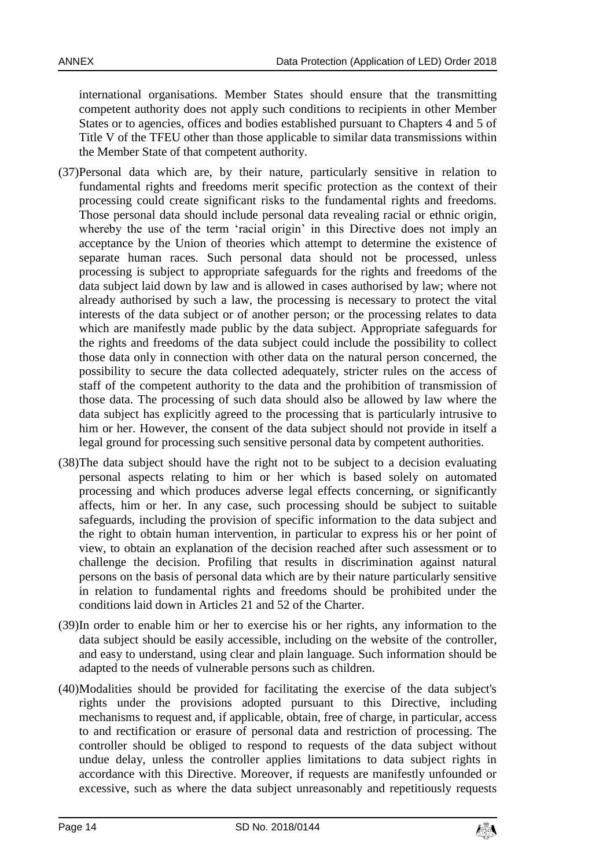international organisations. Member States should ensure that the transmitting competent authority does not apply such conditions to recipients in other Member States or to agencies, offices and bodies established pursuant to Chapters 4 and 5 of Title V of the TFEU other than those applicable to similar data transmissions within the Member State of that competent authority.

- (37)Personal data which are, by their nature, particularly sensitive in relation to fundamental rights and freedoms merit specific protection as the context of their processing could create significant risks to the fundamental rights and freedoms. Those personal data should include personal data revealing racial or ethnic origin, whereby the use of the term 'racial origin' in this Directive does not imply an acceptance by the Union of theories which attempt to determine the existence of separate human races. Such personal data should not be processed, unless processing is subject to appropriate safeguards for the rights and freedoms of the data subject laid down by law and is allowed in cases authorised by law; where not already authorised by such a law, the processing is necessary to protect the vital interests of the data subject or of another person; or the processing relates to data which are manifestly made public by the data subject. Appropriate safeguards for the rights and freedoms of the data subject could include the possibility to collect those data only in connection with other data on the natural person concerned, the possibility to secure the data collected adequately, stricter rules on the access of staff of the competent authority to the data and the prohibition of transmission of those data. The processing of such data should also be allowed by law where the data subject has explicitly agreed to the processing that is particularly intrusive to him or her. However, the consent of the data subject should not provide in itself a legal ground for processing such sensitive personal data by competent authorities.
- (38)The data subject should have the right not to be subject to a decision evaluating personal aspects relating to him or her which is based solely on automated processing and which produces adverse legal effects concerning, or significantly affects, him or her. In any case, such processing should be subject to suitable safeguards, including the provision of specific information to the data subject and the right to obtain human intervention, in particular to express his or her point of view, to obtain an explanation of the decision reached after such assessment or to challenge the decision. Profiling that results in discrimination against natural persons on the basis of personal data which are by their nature particularly sensitive in relation to fundamental rights and freedoms should be prohibited under the conditions laid down in Articles 21 and 52 of the Charter.
- (39)In order to enable him or her to exercise his or her rights, any information to the data subject should be easily accessible, including on the website of the controller, and easy to understand, using clear and plain language. Such information should be adapted to the needs of vulnerable persons such as children.
- (40)Modalities should be provided for facilitating the exercise of the data subject's rights under the provisions adopted pursuant to this Directive, including mechanisms to request and, if applicable, obtain, free of charge, in particular, access to and rectification or erasure of personal data and restriction of processing. The controller should be obliged to respond to requests of the data subject without undue delay, unless the controller applies limitations to data subject rights in accordance with this Directive. Moreover, if requests are manifestly unfounded or excessive, such as where the data subject unreasonably and repetitiously requests

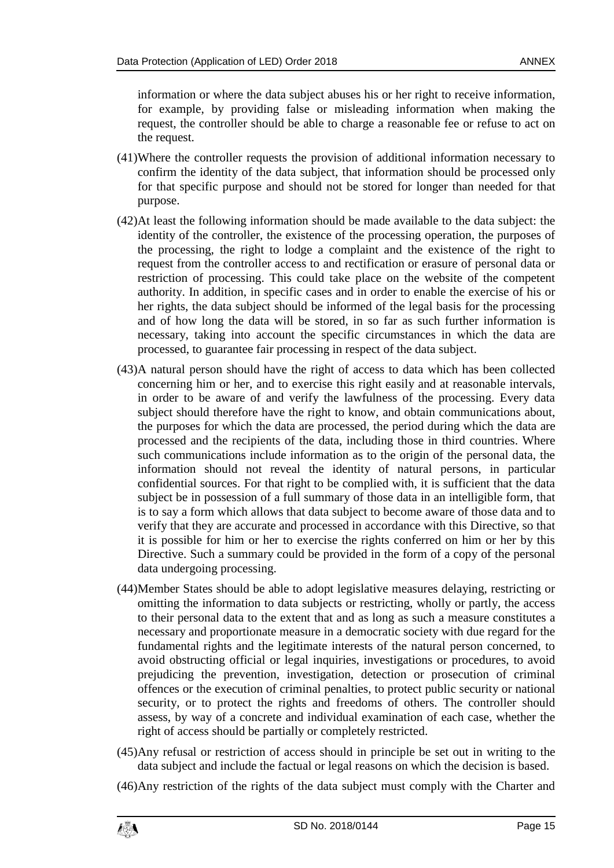information or where the data subject abuses his or her right to receive information, for example, by providing false or misleading information when making the request, the controller should be able to charge a reasonable fee or refuse to act on the request.

- (41)Where the controller requests the provision of additional information necessary to confirm the identity of the data subject, that information should be processed only for that specific purpose and should not be stored for longer than needed for that purpose.
- (42)At least the following information should be made available to the data subject: the identity of the controller, the existence of the processing operation, the purposes of the processing, the right to lodge a complaint and the existence of the right to request from the controller access to and rectification or erasure of personal data or restriction of processing. This could take place on the website of the competent authority. In addition, in specific cases and in order to enable the exercise of his or her rights, the data subject should be informed of the legal basis for the processing and of how long the data will be stored, in so far as such further information is necessary, taking into account the specific circumstances in which the data are processed, to guarantee fair processing in respect of the data subject.
- (43)A natural person should have the right of access to data which has been collected concerning him or her, and to exercise this right easily and at reasonable intervals, in order to be aware of and verify the lawfulness of the processing. Every data subject should therefore have the right to know, and obtain communications about, the purposes for which the data are processed, the period during which the data are processed and the recipients of the data, including those in third countries. Where such communications include information as to the origin of the personal data, the information should not reveal the identity of natural persons, in particular confidential sources. For that right to be complied with, it is sufficient that the data subject be in possession of a full summary of those data in an intelligible form, that is to say a form which allows that data subject to become aware of those data and to verify that they are accurate and processed in accordance with this Directive, so that it is possible for him or her to exercise the rights conferred on him or her by this Directive. Such a summary could be provided in the form of a copy of the personal data undergoing processing.
- (44)Member States should be able to adopt legislative measures delaying, restricting or omitting the information to data subjects or restricting, wholly or partly, the access to their personal data to the extent that and as long as such a measure constitutes a necessary and proportionate measure in a democratic society with due regard for the fundamental rights and the legitimate interests of the natural person concerned, to avoid obstructing official or legal inquiries, investigations or procedures, to avoid prejudicing the prevention, investigation, detection or prosecution of criminal offences or the execution of criminal penalties, to protect public security or national security, or to protect the rights and freedoms of others. The controller should assess, by way of a concrete and individual examination of each case, whether the right of access should be partially or completely restricted.
- (45)Any refusal or restriction of access should in principle be set out in writing to the data subject and include the factual or legal reasons on which the decision is based.
- (46)Any restriction of the rights of the data subject must comply with the Charter and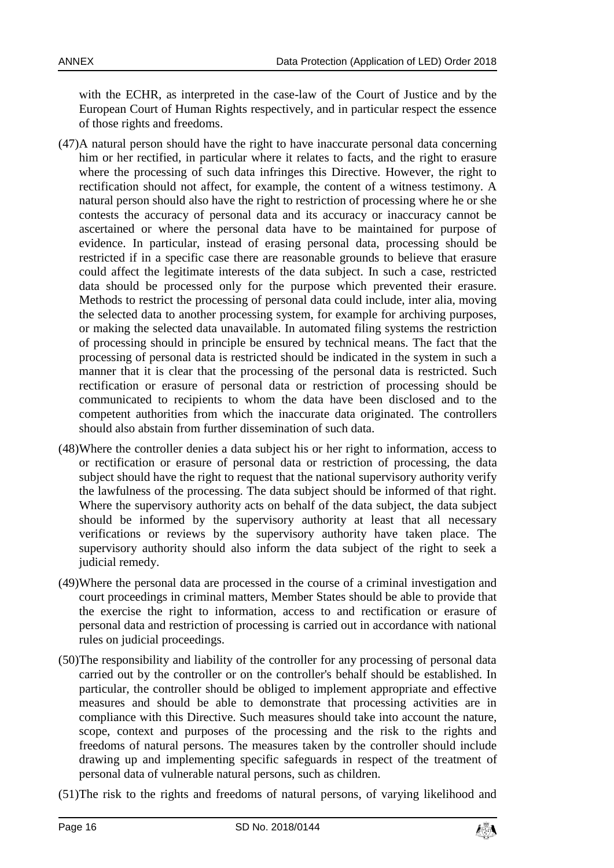with the ECHR, as interpreted in the case-law of the Court of Justice and by the European Court of Human Rights respectively, and in particular respect the essence of those rights and freedoms.

- (47)A natural person should have the right to have inaccurate personal data concerning him or her rectified, in particular where it relates to facts, and the right to erasure where the processing of such data infringes this Directive. However, the right to rectification should not affect, for example, the content of a witness testimony. A natural person should also have the right to restriction of processing where he or she contests the accuracy of personal data and its accuracy or inaccuracy cannot be ascertained or where the personal data have to be maintained for purpose of evidence. In particular, instead of erasing personal data, processing should be restricted if in a specific case there are reasonable grounds to believe that erasure could affect the legitimate interests of the data subject. In such a case, restricted data should be processed only for the purpose which prevented their erasure. Methods to restrict the processing of personal data could include, inter alia, moving the selected data to another processing system, for example for archiving purposes, or making the selected data unavailable. In automated filing systems the restriction of processing should in principle be ensured by technical means. The fact that the processing of personal data is restricted should be indicated in the system in such a manner that it is clear that the processing of the personal data is restricted. Such rectification or erasure of personal data or restriction of processing should be communicated to recipients to whom the data have been disclosed and to the competent authorities from which the inaccurate data originated. The controllers should also abstain from further dissemination of such data.
- (48)Where the controller denies a data subject his or her right to information, access to or rectification or erasure of personal data or restriction of processing, the data subject should have the right to request that the national supervisory authority verify the lawfulness of the processing. The data subject should be informed of that right. Where the supervisory authority acts on behalf of the data subject, the data subject should be informed by the supervisory authority at least that all necessary verifications or reviews by the supervisory authority have taken place. The supervisory authority should also inform the data subject of the right to seek a judicial remedy.
- (49)Where the personal data are processed in the course of a criminal investigation and court proceedings in criminal matters, Member States should be able to provide that the exercise the right to information, access to and rectification or erasure of personal data and restriction of processing is carried out in accordance with national rules on judicial proceedings.
- (50)The responsibility and liability of the controller for any processing of personal data carried out by the controller or on the controller's behalf should be established. In particular, the controller should be obliged to implement appropriate and effective measures and should be able to demonstrate that processing activities are in compliance with this Directive. Such measures should take into account the nature, scope, context and purposes of the processing and the risk to the rights and freedoms of natural persons. The measures taken by the controller should include drawing up and implementing specific safeguards in respect of the treatment of personal data of vulnerable natural persons, such as children.
- (51)The risk to the rights and freedoms of natural persons, of varying likelihood and

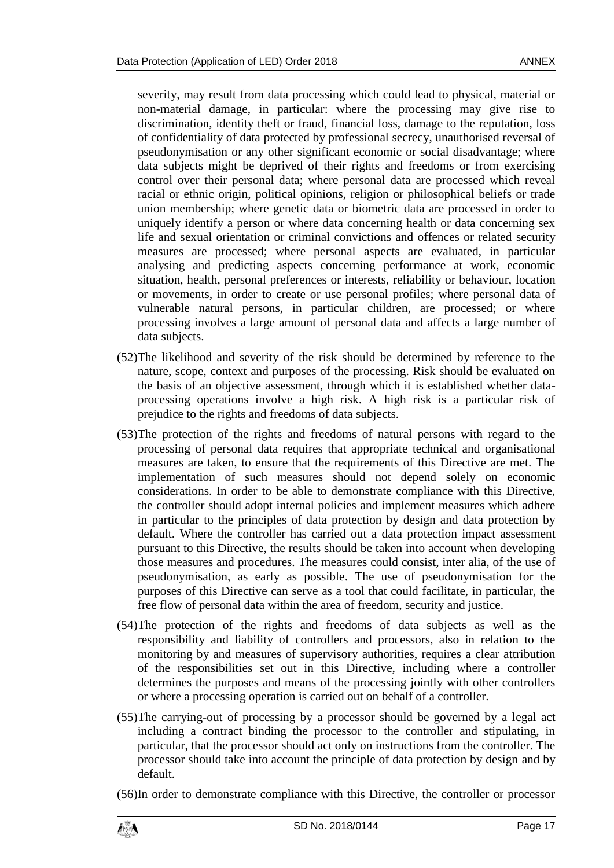severity, may result from data processing which could lead to physical, material or non-material damage, in particular: where the processing may give rise to discrimination, identity theft or fraud, financial loss, damage to the reputation, loss of confidentiality of data protected by professional secrecy, unauthorised reversal of pseudonymisation or any other significant economic or social disadvantage; where data subjects might be deprived of their rights and freedoms or from exercising control over their personal data; where personal data are processed which reveal racial or ethnic origin, political opinions, religion or philosophical beliefs or trade union membership; where genetic data or biometric data are processed in order to uniquely identify a person or where data concerning health or data concerning sex life and sexual orientation or criminal convictions and offences or related security measures are processed; where personal aspects are evaluated, in particular analysing and predicting aspects concerning performance at work, economic situation, health, personal preferences or interests, reliability or behaviour, location or movements, in order to create or use personal profiles; where personal data of vulnerable natural persons, in particular children, are processed; or where processing involves a large amount of personal data and affects a large number of data subjects.

- (52)The likelihood and severity of the risk should be determined by reference to the nature, scope, context and purposes of the processing. Risk should be evaluated on the basis of an objective assessment, through which it is established whether dataprocessing operations involve a high risk. A high risk is a particular risk of prejudice to the rights and freedoms of data subjects.
- (53)The protection of the rights and freedoms of natural persons with regard to the processing of personal data requires that appropriate technical and organisational measures are taken, to ensure that the requirements of this Directive are met. The implementation of such measures should not depend solely on economic considerations. In order to be able to demonstrate compliance with this Directive, the controller should adopt internal policies and implement measures which adhere in particular to the principles of data protection by design and data protection by default. Where the controller has carried out a data protection impact assessment pursuant to this Directive, the results should be taken into account when developing those measures and procedures. The measures could consist, inter alia, of the use of pseudonymisation, as early as possible. The use of pseudonymisation for the purposes of this Directive can serve as a tool that could facilitate, in particular, the free flow of personal data within the area of freedom, security and justice.
- (54)The protection of the rights and freedoms of data subjects as well as the responsibility and liability of controllers and processors, also in relation to the monitoring by and measures of supervisory authorities, requires a clear attribution of the responsibilities set out in this Directive, including where a controller determines the purposes and means of the processing jointly with other controllers or where a processing operation is carried out on behalf of a controller.
- (55)The carrying-out of processing by a processor should be governed by a legal act including a contract binding the processor to the controller and stipulating, in particular, that the processor should act only on instructions from the controller. The processor should take into account the principle of data protection by design and by default.
- (56)In order to demonstrate compliance with this Directive, the controller or processor

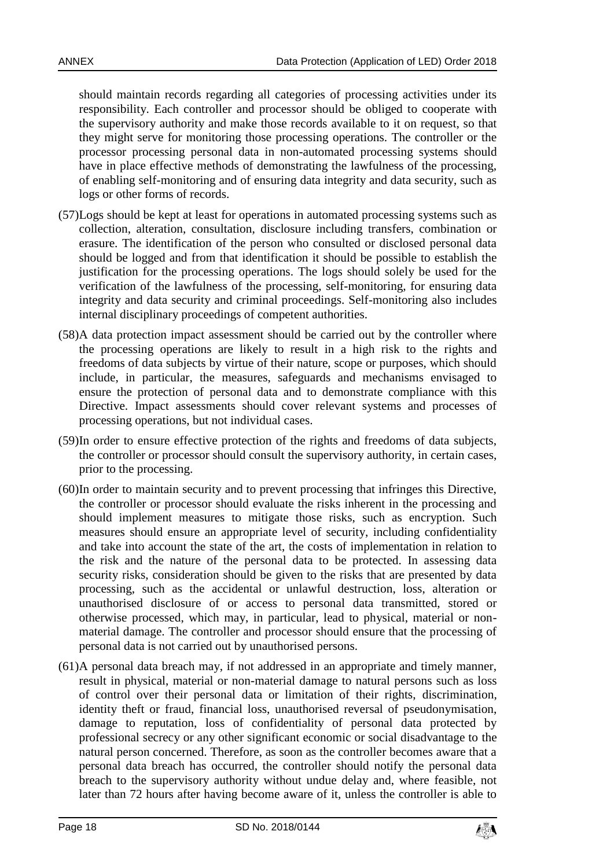should maintain records regarding all categories of processing activities under its responsibility. Each controller and processor should be obliged to cooperate with the supervisory authority and make those records available to it on request, so that they might serve for monitoring those processing operations. The controller or the processor processing personal data in non-automated processing systems should have in place effective methods of demonstrating the lawfulness of the processing, of enabling self-monitoring and of ensuring data integrity and data security, such as logs or other forms of records.

- (57)Logs should be kept at least for operations in automated processing systems such as collection, alteration, consultation, disclosure including transfers, combination or erasure. The identification of the person who consulted or disclosed personal data should be logged and from that identification it should be possible to establish the justification for the processing operations. The logs should solely be used for the verification of the lawfulness of the processing, self-monitoring, for ensuring data integrity and data security and criminal proceedings. Self-monitoring also includes internal disciplinary proceedings of competent authorities.
- (58)A data protection impact assessment should be carried out by the controller where the processing operations are likely to result in a high risk to the rights and freedoms of data subjects by virtue of their nature, scope or purposes, which should include, in particular, the measures, safeguards and mechanisms envisaged to ensure the protection of personal data and to demonstrate compliance with this Directive. Impact assessments should cover relevant systems and processes of processing operations, but not individual cases.
- (59)In order to ensure effective protection of the rights and freedoms of data subjects, the controller or processor should consult the supervisory authority, in certain cases, prior to the processing.
- (60)In order to maintain security and to prevent processing that infringes this Directive, the controller or processor should evaluate the risks inherent in the processing and should implement measures to mitigate those risks, such as encryption. Such measures should ensure an appropriate level of security, including confidentiality and take into account the state of the art, the costs of implementation in relation to the risk and the nature of the personal data to be protected. In assessing data security risks, consideration should be given to the risks that are presented by data processing, such as the accidental or unlawful destruction, loss, alteration or unauthorised disclosure of or access to personal data transmitted, stored or otherwise processed, which may, in particular, lead to physical, material or nonmaterial damage. The controller and processor should ensure that the processing of personal data is not carried out by unauthorised persons.
- (61)A personal data breach may, if not addressed in an appropriate and timely manner, result in physical, material or non-material damage to natural persons such as loss of control over their personal data or limitation of their rights, discrimination, identity theft or fraud, financial loss, unauthorised reversal of pseudonymisation, damage to reputation, loss of confidentiality of personal data protected by professional secrecy or any other significant economic or social disadvantage to the natural person concerned. Therefore, as soon as the controller becomes aware that a personal data breach has occurred, the controller should notify the personal data breach to the supervisory authority without undue delay and, where feasible, not later than 72 hours after having become aware of it, unless the controller is able to

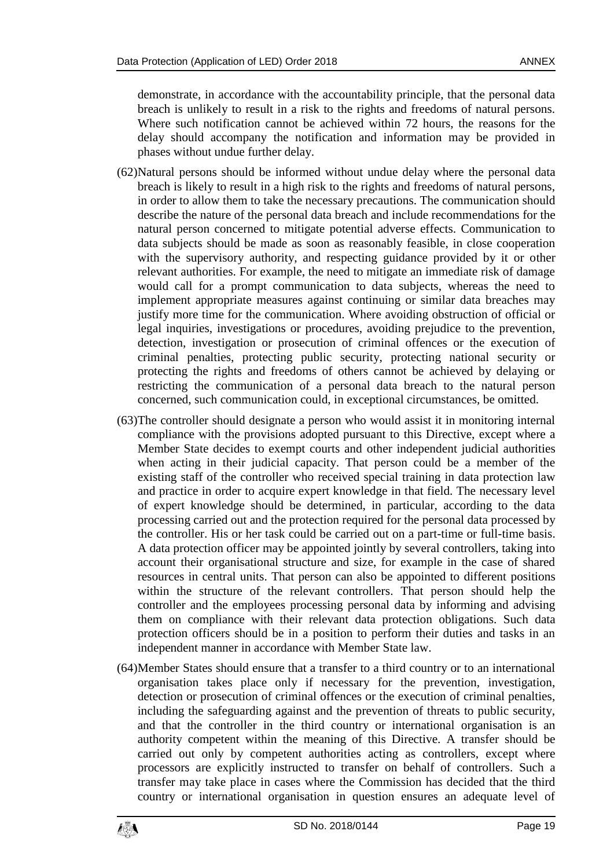demonstrate, in accordance with the accountability principle, that the personal data breach is unlikely to result in a risk to the rights and freedoms of natural persons. Where such notification cannot be achieved within 72 hours, the reasons for the delay should accompany the notification and information may be provided in phases without undue further delay.

- (62)Natural persons should be informed without undue delay where the personal data breach is likely to result in a high risk to the rights and freedoms of natural persons, in order to allow them to take the necessary precautions. The communication should describe the nature of the personal data breach and include recommendations for the natural person concerned to mitigate potential adverse effects. Communication to data subjects should be made as soon as reasonably feasible, in close cooperation with the supervisory authority, and respecting guidance provided by it or other relevant authorities. For example, the need to mitigate an immediate risk of damage would call for a prompt communication to data subjects, whereas the need to implement appropriate measures against continuing or similar data breaches may justify more time for the communication. Where avoiding obstruction of official or legal inquiries, investigations or procedures, avoiding prejudice to the prevention, detection, investigation or prosecution of criminal offences or the execution of criminal penalties, protecting public security, protecting national security or protecting the rights and freedoms of others cannot be achieved by delaying or restricting the communication of a personal data breach to the natural person concerned, such communication could, in exceptional circumstances, be omitted.
- (63)The controller should designate a person who would assist it in monitoring internal compliance with the provisions adopted pursuant to this Directive, except where a Member State decides to exempt courts and other independent judicial authorities when acting in their judicial capacity. That person could be a member of the existing staff of the controller who received special training in data protection law and practice in order to acquire expert knowledge in that field. The necessary level of expert knowledge should be determined, in particular, according to the data processing carried out and the protection required for the personal data processed by the controller. His or her task could be carried out on a part-time or full-time basis. A data protection officer may be appointed jointly by several controllers, taking into account their organisational structure and size, for example in the case of shared resources in central units. That person can also be appointed to different positions within the structure of the relevant controllers. That person should help the controller and the employees processing personal data by informing and advising them on compliance with their relevant data protection obligations. Such data protection officers should be in a position to perform their duties and tasks in an independent manner in accordance with Member State law.
- (64)Member States should ensure that a transfer to a third country or to an international organisation takes place only if necessary for the prevention, investigation, detection or prosecution of criminal offences or the execution of criminal penalties, including the safeguarding against and the prevention of threats to public security, and that the controller in the third country or international organisation is an authority competent within the meaning of this Directive. A transfer should be carried out only by competent authorities acting as controllers, except where processors are explicitly instructed to transfer on behalf of controllers. Such a transfer may take place in cases where the Commission has decided that the third country or international organisation in question ensures an adequate level of

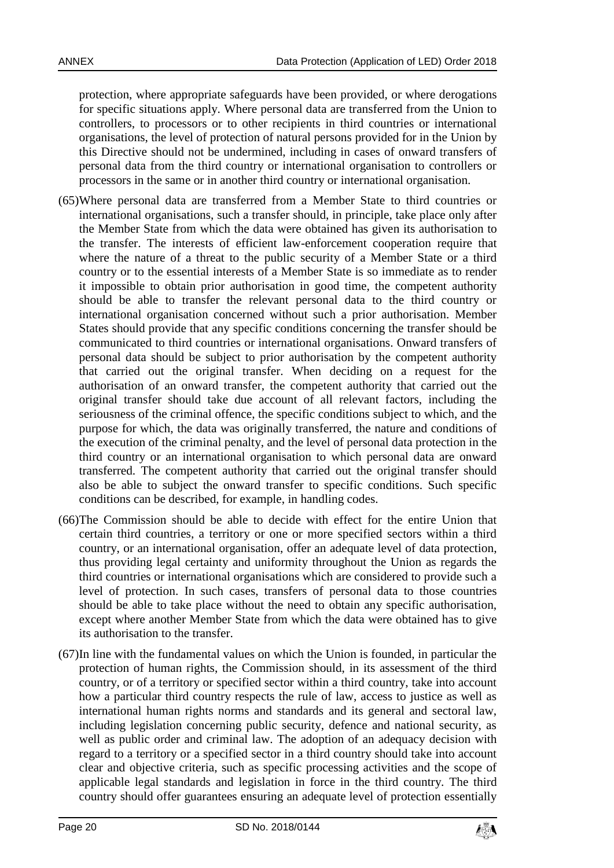protection, where appropriate safeguards have been provided, or where derogations for specific situations apply. Where personal data are transferred from the Union to controllers, to processors or to other recipients in third countries or international organisations, the level of protection of natural persons provided for in the Union by this Directive should not be undermined, including in cases of onward transfers of personal data from the third country or international organisation to controllers or processors in the same or in another third country or international organisation.

- (65)Where personal data are transferred from a Member State to third countries or international organisations, such a transfer should, in principle, take place only after the Member State from which the data were obtained has given its authorisation to the transfer. The interests of efficient law-enforcement cooperation require that where the nature of a threat to the public security of a Member State or a third country or to the essential interests of a Member State is so immediate as to render it impossible to obtain prior authorisation in good time, the competent authority should be able to transfer the relevant personal data to the third country or international organisation concerned without such a prior authorisation. Member States should provide that any specific conditions concerning the transfer should be communicated to third countries or international organisations. Onward transfers of personal data should be subject to prior authorisation by the competent authority that carried out the original transfer. When deciding on a request for the authorisation of an onward transfer, the competent authority that carried out the original transfer should take due account of all relevant factors, including the seriousness of the criminal offence, the specific conditions subject to which, and the purpose for which, the data was originally transferred, the nature and conditions of the execution of the criminal penalty, and the level of personal data protection in the third country or an international organisation to which personal data are onward transferred. The competent authority that carried out the original transfer should also be able to subject the onward transfer to specific conditions. Such specific conditions can be described, for example, in handling codes.
- (66)The Commission should be able to decide with effect for the entire Union that certain third countries, a territory or one or more specified sectors within a third country, or an international organisation, offer an adequate level of data protection, thus providing legal certainty and uniformity throughout the Union as regards the third countries or international organisations which are considered to provide such a level of protection. In such cases, transfers of personal data to those countries should be able to take place without the need to obtain any specific authorisation, except where another Member State from which the data were obtained has to give its authorisation to the transfer.
- (67)In line with the fundamental values on which the Union is founded, in particular the protection of human rights, the Commission should, in its assessment of the third country, or of a territory or specified sector within a third country, take into account how a particular third country respects the rule of law, access to justice as well as international human rights norms and standards and its general and sectoral law, including legislation concerning public security, defence and national security, as well as public order and criminal law. The adoption of an adequacy decision with regard to a territory or a specified sector in a third country should take into account clear and objective criteria, such as specific processing activities and the scope of applicable legal standards and legislation in force in the third country. The third country should offer guarantees ensuring an adequate level of protection essentially

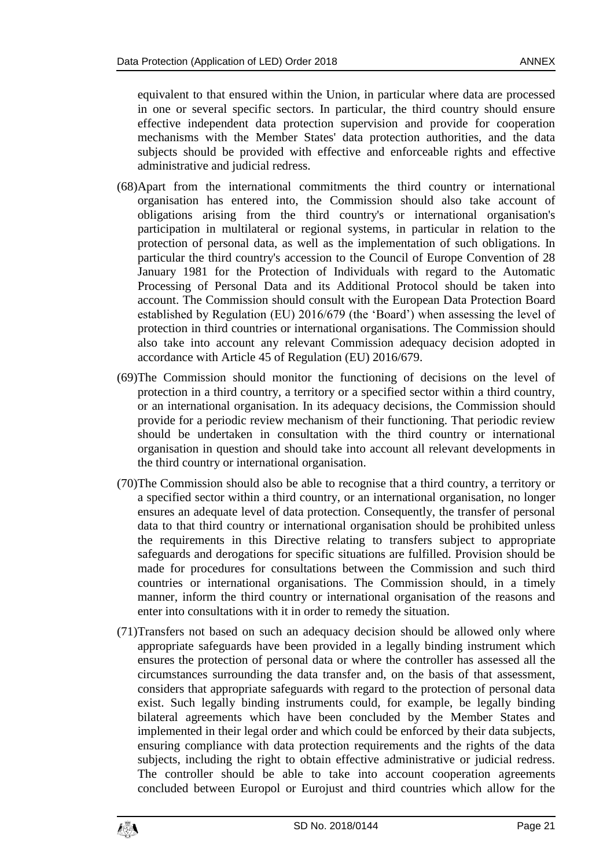equivalent to that ensured within the Union, in particular where data are processed in one or several specific sectors. In particular, the third country should ensure effective independent data protection supervision and provide for cooperation mechanisms with the Member States' data protection authorities, and the data subjects should be provided with effective and enforceable rights and effective administrative and judicial redress.

- (68)Apart from the international commitments the third country or international organisation has entered into, the Commission should also take account of obligations arising from the third country's or international organisation's participation in multilateral or regional systems, in particular in relation to the protection of personal data, as well as the implementation of such obligations. In particular the third country's accession to the Council of Europe Convention of 28 January 1981 for the Protection of Individuals with regard to the Automatic Processing of Personal Data and its Additional Protocol should be taken into account. The Commission should consult with the European Data Protection Board established by Regulation (EU) 2016/679 (the 'Board') when assessing the level of protection in third countries or international organisations. The Commission should also take into account any relevant Commission adequacy decision adopted in accordance with Article 45 of Regulation (EU) 2016/679.
- (69)The Commission should monitor the functioning of decisions on the level of protection in a third country, a territory or a specified sector within a third country, or an international organisation. In its adequacy decisions, the Commission should provide for a periodic review mechanism of their functioning. That periodic review should be undertaken in consultation with the third country or international organisation in question and should take into account all relevant developments in the third country or international organisation.
- (70)The Commission should also be able to recognise that a third country, a territory or a specified sector within a third country, or an international organisation, no longer ensures an adequate level of data protection. Consequently, the transfer of personal data to that third country or international organisation should be prohibited unless the requirements in this Directive relating to transfers subject to appropriate safeguards and derogations for specific situations are fulfilled. Provision should be made for procedures for consultations between the Commission and such third countries or international organisations. The Commission should, in a timely manner, inform the third country or international organisation of the reasons and enter into consultations with it in order to remedy the situation.
- (71)Transfers not based on such an adequacy decision should be allowed only where appropriate safeguards have been provided in a legally binding instrument which ensures the protection of personal data or where the controller has assessed all the circumstances surrounding the data transfer and, on the basis of that assessment, considers that appropriate safeguards with regard to the protection of personal data exist. Such legally binding instruments could, for example, be legally binding bilateral agreements which have been concluded by the Member States and implemented in their legal order and which could be enforced by their data subjects, ensuring compliance with data protection requirements and the rights of the data subjects, including the right to obtain effective administrative or judicial redress. The controller should be able to take into account cooperation agreements concluded between Europol or Eurojust and third countries which allow for the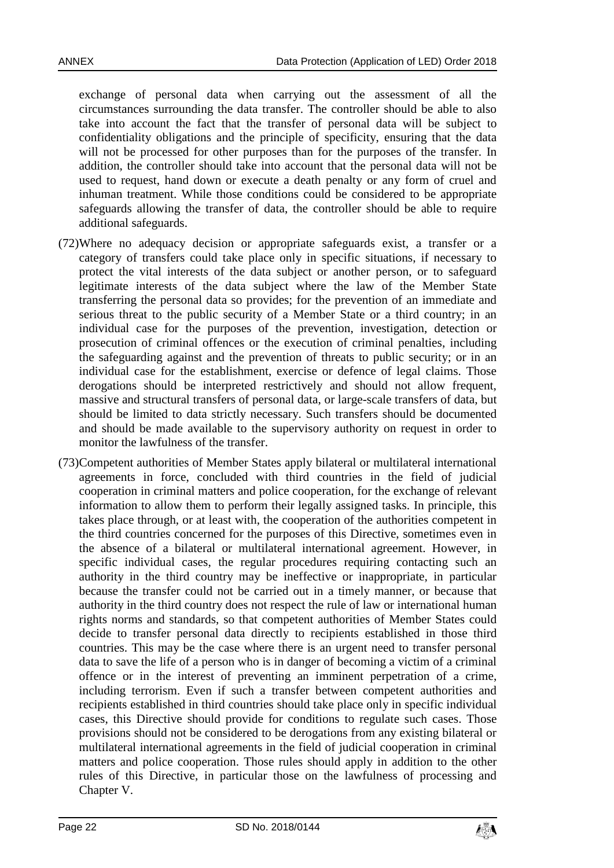exchange of personal data when carrying out the assessment of all the circumstances surrounding the data transfer. The controller should be able to also take into account the fact that the transfer of personal data will be subject to confidentiality obligations and the principle of specificity, ensuring that the data will not be processed for other purposes than for the purposes of the transfer. In addition, the controller should take into account that the personal data will not be used to request, hand down or execute a death penalty or any form of cruel and inhuman treatment. While those conditions could be considered to be appropriate safeguards allowing the transfer of data, the controller should be able to require additional safeguards.

- (72)Where no adequacy decision or appropriate safeguards exist, a transfer or a category of transfers could take place only in specific situations, if necessary to protect the vital interests of the data subject or another person, or to safeguard legitimate interests of the data subject where the law of the Member State transferring the personal data so provides; for the prevention of an immediate and serious threat to the public security of a Member State or a third country; in an individual case for the purposes of the prevention, investigation, detection or prosecution of criminal offences or the execution of criminal penalties, including the safeguarding against and the prevention of threats to public security; or in an individual case for the establishment, exercise or defence of legal claims. Those derogations should be interpreted restrictively and should not allow frequent, massive and structural transfers of personal data, or large-scale transfers of data, but should be limited to data strictly necessary. Such transfers should be documented and should be made available to the supervisory authority on request in order to monitor the lawfulness of the transfer.
- (73)Competent authorities of Member States apply bilateral or multilateral international agreements in force, concluded with third countries in the field of judicial cooperation in criminal matters and police cooperation, for the exchange of relevant information to allow them to perform their legally assigned tasks. In principle, this takes place through, or at least with, the cooperation of the authorities competent in the third countries concerned for the purposes of this Directive, sometimes even in the absence of a bilateral or multilateral international agreement. However, in specific individual cases, the regular procedures requiring contacting such an authority in the third country may be ineffective or inappropriate, in particular because the transfer could not be carried out in a timely manner, or because that authority in the third country does not respect the rule of law or international human rights norms and standards, so that competent authorities of Member States could decide to transfer personal data directly to recipients established in those third countries. This may be the case where there is an urgent need to transfer personal data to save the life of a person who is in danger of becoming a victim of a criminal offence or in the interest of preventing an imminent perpetration of a crime, including terrorism. Even if such a transfer between competent authorities and recipients established in third countries should take place only in specific individual cases, this Directive should provide for conditions to regulate such cases. Those provisions should not be considered to be derogations from any existing bilateral or multilateral international agreements in the field of judicial cooperation in criminal matters and police cooperation. Those rules should apply in addition to the other rules of this Directive, in particular those on the lawfulness of processing and Chapter V.

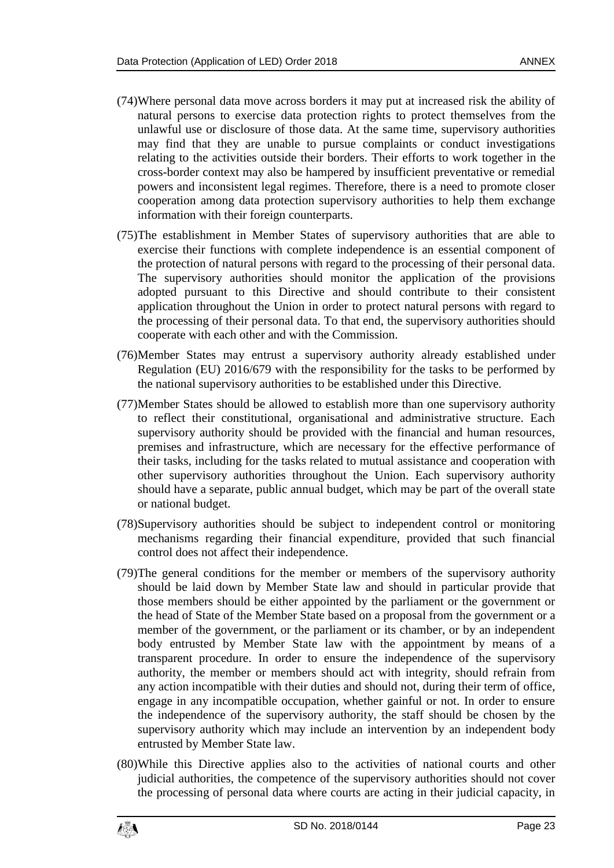- (74)Where personal data move across borders it may put at increased risk the ability of natural persons to exercise data protection rights to protect themselves from the unlawful use or disclosure of those data. At the same time, supervisory authorities may find that they are unable to pursue complaints or conduct investigations relating to the activities outside their borders. Their efforts to work together in the cross-border context may also be hampered by insufficient preventative or remedial powers and inconsistent legal regimes. Therefore, there is a need to promote closer cooperation among data protection supervisory authorities to help them exchange information with their foreign counterparts.
- (75)The establishment in Member States of supervisory authorities that are able to exercise their functions with complete independence is an essential component of the protection of natural persons with regard to the processing of their personal data. The supervisory authorities should monitor the application of the provisions adopted pursuant to this Directive and should contribute to their consistent application throughout the Union in order to protect natural persons with regard to the processing of their personal data. To that end, the supervisory authorities should cooperate with each other and with the Commission.
- (76)Member States may entrust a supervisory authority already established under Regulation (EU) 2016/679 with the responsibility for the tasks to be performed by the national supervisory authorities to be established under this Directive.
- (77)Member States should be allowed to establish more than one supervisory authority to reflect their constitutional, organisational and administrative structure. Each supervisory authority should be provided with the financial and human resources, premises and infrastructure, which are necessary for the effective performance of their tasks, including for the tasks related to mutual assistance and cooperation with other supervisory authorities throughout the Union. Each supervisory authority should have a separate, public annual budget, which may be part of the overall state or national budget.
- (78)Supervisory authorities should be subject to independent control or monitoring mechanisms regarding their financial expenditure, provided that such financial control does not affect their independence.
- (79)The general conditions for the member or members of the supervisory authority should be laid down by Member State law and should in particular provide that those members should be either appointed by the parliament or the government or the head of State of the Member State based on a proposal from the government or a member of the government, or the parliament or its chamber, or by an independent body entrusted by Member State law with the appointment by means of a transparent procedure. In order to ensure the independence of the supervisory authority, the member or members should act with integrity, should refrain from any action incompatible with their duties and should not, during their term of office, engage in any incompatible occupation, whether gainful or not. In order to ensure the independence of the supervisory authority, the staff should be chosen by the supervisory authority which may include an intervention by an independent body entrusted by Member State law.
- (80)While this Directive applies also to the activities of national courts and other judicial authorities, the competence of the supervisory authorities should not cover the processing of personal data where courts are acting in their judicial capacity, in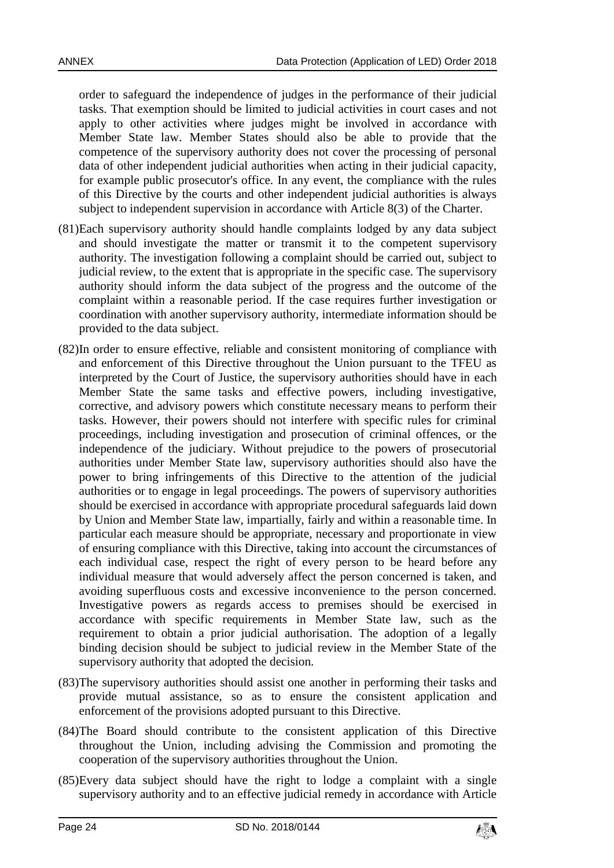order to safeguard the independence of judges in the performance of their judicial tasks. That exemption should be limited to judicial activities in court cases and not apply to other activities where judges might be involved in accordance with Member State law. Member States should also be able to provide that the competence of the supervisory authority does not cover the processing of personal data of other independent judicial authorities when acting in their judicial capacity, for example public prosecutor's office. In any event, the compliance with the rules of this Directive by the courts and other independent judicial authorities is always subject to independent supervision in accordance with Article 8(3) of the Charter.

- (81)Each supervisory authority should handle complaints lodged by any data subject and should investigate the matter or transmit it to the competent supervisory authority. The investigation following a complaint should be carried out, subject to judicial review, to the extent that is appropriate in the specific case. The supervisory authority should inform the data subject of the progress and the outcome of the complaint within a reasonable period. If the case requires further investigation or coordination with another supervisory authority, intermediate information should be provided to the data subject.
- (82)In order to ensure effective, reliable and consistent monitoring of compliance with and enforcement of this Directive throughout the Union pursuant to the TFEU as interpreted by the Court of Justice, the supervisory authorities should have in each Member State the same tasks and effective powers, including investigative, corrective, and advisory powers which constitute necessary means to perform their tasks. However, their powers should not interfere with specific rules for criminal proceedings, including investigation and prosecution of criminal offences, or the independence of the judiciary. Without prejudice to the powers of prosecutorial authorities under Member State law, supervisory authorities should also have the power to bring infringements of this Directive to the attention of the judicial authorities or to engage in legal proceedings. The powers of supervisory authorities should be exercised in accordance with appropriate procedural safeguards laid down by Union and Member State law, impartially, fairly and within a reasonable time. In particular each measure should be appropriate, necessary and proportionate in view of ensuring compliance with this Directive, taking into account the circumstances of each individual case, respect the right of every person to be heard before any individual measure that would adversely affect the person concerned is taken, and avoiding superfluous costs and excessive inconvenience to the person concerned. Investigative powers as regards access to premises should be exercised in accordance with specific requirements in Member State law, such as the requirement to obtain a prior judicial authorisation. The adoption of a legally binding decision should be subject to judicial review in the Member State of the supervisory authority that adopted the decision.
- (83)The supervisory authorities should assist one another in performing their tasks and provide mutual assistance, so as to ensure the consistent application and enforcement of the provisions adopted pursuant to this Directive.
- (84)The Board should contribute to the consistent application of this Directive throughout the Union, including advising the Commission and promoting the cooperation of the supervisory authorities throughout the Union.
- (85)Every data subject should have the right to lodge a complaint with a single supervisory authority and to an effective judicial remedy in accordance with Article

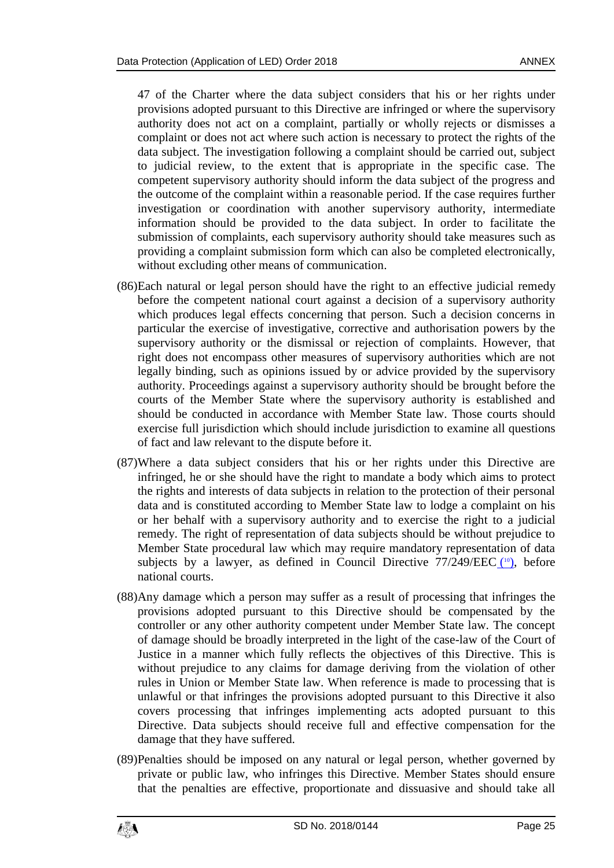47 of the Charter where the data subject considers that his or her rights under provisions adopted pursuant to this Directive are infringed or where the supervisory authority does not act on a complaint, partially or wholly rejects or dismisses a complaint or does not act where such action is necessary to protect the rights of the data subject. The investigation following a complaint should be carried out, subject to judicial review, to the extent that is appropriate in the specific case. The competent supervisory authority should inform the data subject of the progress and the outcome of the complaint within a reasonable period. If the case requires further investigation or coordination with another supervisory authority, intermediate information should be provided to the data subject. In order to facilitate the submission of complaints, each supervisory authority should take measures such as providing a complaint submission form which can also be completed electronically, without excluding other means of communication.

- (86)Each natural or legal person should have the right to an effective judicial remedy before the competent national court against a decision of a supervisory authority which produces legal effects concerning that person. Such a decision concerns in particular the exercise of investigative, corrective and authorisation powers by the supervisory authority or the dismissal or rejection of complaints. However, that right does not encompass other measures of supervisory authorities which are not legally binding, such as opinions issued by or advice provided by the supervisory authority. Proceedings against a supervisory authority should be brought before the courts of the Member State where the supervisory authority is established and should be conducted in accordance with Member State law. Those courts should exercise full jurisdiction which should include jurisdiction to examine all questions of fact and law relevant to the dispute before it.
- (87)Where a data subject considers that his or her rights under this Directive are infringed, he or she should have the right to mandate a body which aims to protect the rights and interests of data subjects in relation to the protection of their personal data and is constituted according to Member State law to lodge a complaint on his or her behalf with a supervisory authority and to exercise the right to a judicial remedy. The right of representation of data subjects should be without prejudice to Member State procedural law which may require mandatory representation of data subjects by a lawyer, as defined in Council Directive  $77/249/EEC$  ( $^{10}$ [\),](http://eur-lex.europa.eu/legal-content/EN/TXT/HTML/?uri=CELEX:32016L0680&qid=1499938031420&from=EN#ntr10-L_2016119EN.01008901-E0010) before national courts.
- (88)Any damage which a person may suffer as a result of processing that infringes the provisions adopted pursuant to this Directive should be compensated by the controller or any other authority competent under Member State law. The concept of damage should be broadly interpreted in the light of the case-law of the Court of Justice in a manner which fully reflects the objectives of this Directive. This is without prejudice to any claims for damage deriving from the violation of other rules in Union or Member State law. When reference is made to processing that is unlawful or that infringes the provisions adopted pursuant to this Directive it also covers processing that infringes implementing acts adopted pursuant to this Directive. Data subjects should receive full and effective compensation for the damage that they have suffered.
- (89)Penalties should be imposed on any natural or legal person, whether governed by private or public law, who infringes this Directive. Member States should ensure that the penalties are effective, proportionate and dissuasive and should take all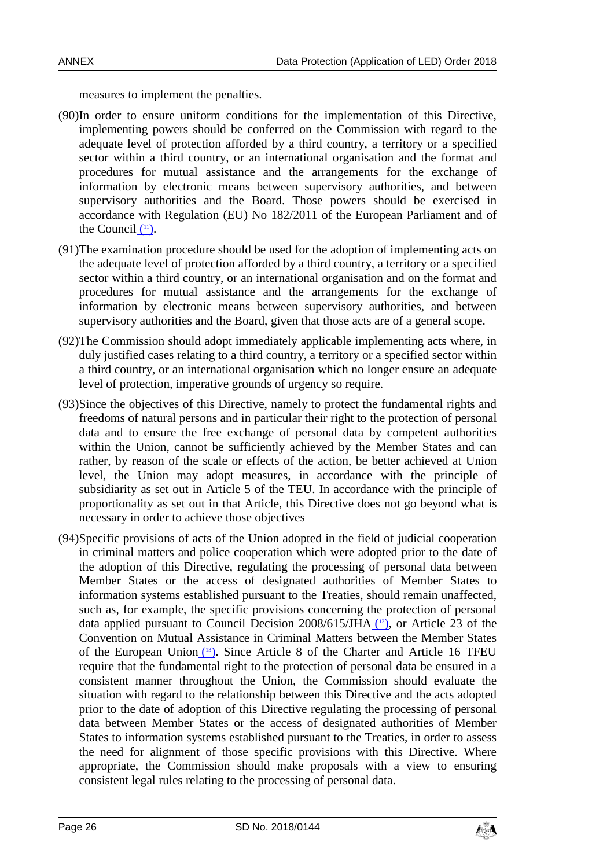measures to implement the penalties.

- (90)In order to ensure uniform conditions for the implementation of this Directive, implementing powers should be conferred on the Commission with regard to the adequate level of protection afforded by a third country, a territory or a specified sector within a third country, or an international organisation and the format and procedures for mutual assistance and the arrangements for the exchange of information by electronic means between supervisory authorities, and between supervisory authorities and the Board. Those powers should be exercised in accordance with Regulation (EU) No 182/2011 of the European Parliament and of the Council $(1)$ .
- (91)The examination procedure should be used for the adoption of implementing acts on the adequate level of protection afforded by a third country, a territory or a specified sector within a third country, or an international organisation and on the format and procedures for mutual assistance and the arrangements for the exchange of information by electronic means between supervisory authorities, and between supervisory authorities and the Board, given that those acts are of a general scope.
- (92)The Commission should adopt immediately applicable implementing acts where, in duly justified cases relating to a third country, a territory or a specified sector within a third country, or an international organisation which no longer ensure an adequate level of protection, imperative grounds of urgency so require.
- (93)Since the objectives of this Directive, namely to protect the fundamental rights and freedoms of natural persons and in particular their right to the protection of personal data and to ensure the free exchange of personal data by competent authorities within the Union, cannot be sufficiently achieved by the Member States and can rather, by reason of the scale or effects of the action, be better achieved at Union level, the Union may adopt measures, in accordance with the principle of subsidiarity as set out in Article 5 of the TEU. In accordance with the principle of proportionality as set out in that Article, this Directive does not go beyond what is necessary in order to achieve those objectives
- (94)Specific provisions of acts of the Union adopted in the field of judicial cooperation in criminal matters and police cooperation which were adopted prior to the date of the adoption of this Directive, regulating the processing of personal data between Member States or the access of designated authorities of Member States to information systems established pursuant to the Treaties, should remain unaffected, such as, for example, the specific provisions concerning the protection of personal data applied pursuant to Council Decision  $2008/615/JHA$   $(12)$ , or Article 23 of the Convention on Mutual Assistance in Criminal Matters between the Member States of the European Union (13[\).](http://eur-lex.europa.eu/legal-content/EN/TXT/HTML/?uri=CELEX:32016L0680&qid=1499938031420&from=EN#ntr13-L_2016119EN.01008901-E0013) Since Article 8 of the Charter and Article 16 TFEU require that the fundamental right to the protection of personal data be ensured in a consistent manner throughout the Union, the Commission should evaluate the situation with regard to the relationship between this Directive and the acts adopted prior to the date of adoption of this Directive regulating the processing of personal data between Member States or the access of designated authorities of Member States to information systems established pursuant to the Treaties, in order to assess the need for alignment of those specific provisions with this Directive. Where appropriate, the Commission should make proposals with a view to ensuring consistent legal rules relating to the processing of personal data.

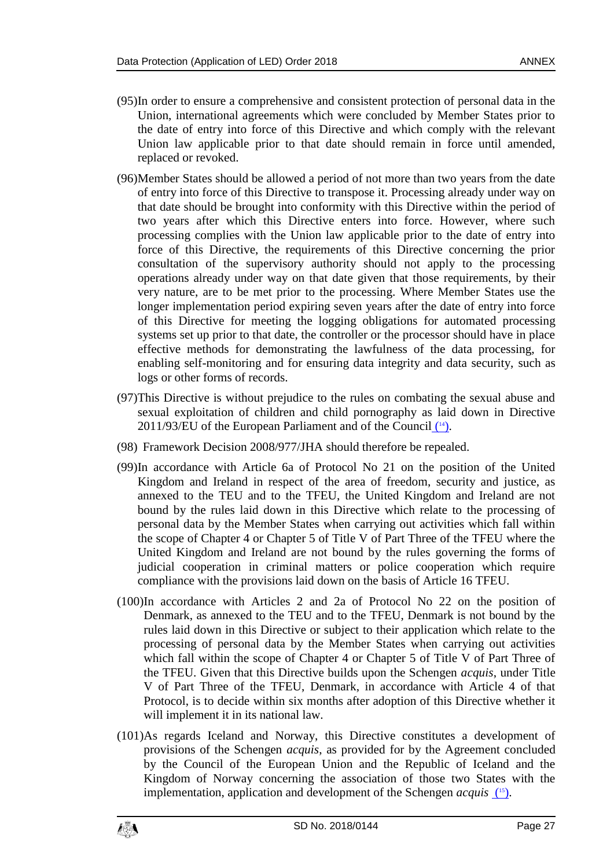- (95)In order to ensure a comprehensive and consistent protection of personal data in the Union, international agreements which were concluded by Member States prior to the date of entry into force of this Directive and which comply with the relevant Union law applicable prior to that date should remain in force until amended, replaced or revoked.
- (96)Member States should be allowed a period of not more than two years from the date of entry into force of this Directive to transpose it. Processing already under way on that date should be brought into conformity with this Directive within the period of two years after which this Directive enters into force. However, where such processing complies with the Union law applicable prior to the date of entry into force of this Directive, the requirements of this Directive concerning the prior consultation of the supervisory authority should not apply to the processing operations already under way on that date given that those requirements, by their very nature, are to be met prior to the processing. Where Member States use the longer implementation period expiring seven years after the date of entry into force of this Directive for meeting the logging obligations for automated processing systems set up prior to that date, the controller or the processor should have in place effective methods for demonstrating the lawfulness of the data processing, for enabling self-monitoring and for ensuring data integrity and data security, such as logs or other forms of records.
- (97)This Directive is without prejudice to the rules on combating the sexual abuse and sexual exploitation of children and child pornography as laid down in Directive 2011/93/EU of the European Parliament and of the Council (14[\).](http://eur-lex.europa.eu/legal-content/EN/TXT/HTML/?uri=CELEX:32016L0680&qid=1499938031420&from=EN#ntr14-L_2016119EN.01008901-E0014)
- (98) Framework Decision 2008/977/JHA should therefore be repealed.
- (99)In accordance with Article 6a of Protocol No 21 on the position of the United Kingdom and Ireland in respect of the area of freedom, security and justice, as annexed to the TEU and to the TFEU, the United Kingdom and Ireland are not bound by the rules laid down in this Directive which relate to the processing of personal data by the Member States when carrying out activities which fall within the scope of Chapter 4 or Chapter 5 of Title V of Part Three of the TFEU where the United Kingdom and Ireland are not bound by the rules governing the forms of judicial cooperation in criminal matters or police cooperation which require compliance with the provisions laid down on the basis of Article 16 TFEU.
- (100)In accordance with Articles 2 and 2a of Protocol No 22 on the position of Denmark, as annexed to the TEU and to the TFEU, Denmark is not bound by the rules laid down in this Directive or subject to their application which relate to the processing of personal data by the Member States when carrying out activities which fall within the scope of Chapter 4 or Chapter 5 of Title V of Part Three of the TFEU. Given that this Directive builds upon the Schengen *acquis*, under Title V of Part Three of the TFEU, Denmark, in accordance with Article 4 of that Protocol, is to decide within six months after adoption of this Directive whether it will implement it in its national law.
- (101)As regards Iceland and Norway, this Directive constitutes a development of provisions of the Schengen *acquis*, as provided for by the Agreement concluded by the Council of the European Union and the Republic of Iceland and the Kingdom of Norway concerning the association of those two States with the implementation, application and development of the Schengen *acquis* ( 15[\).](http://eur-lex.europa.eu/legal-content/EN/TXT/HTML/?uri=CELEX:32016L0680&qid=1499938031420&from=EN#ntr15-L_2016119EN.01008901-E0015)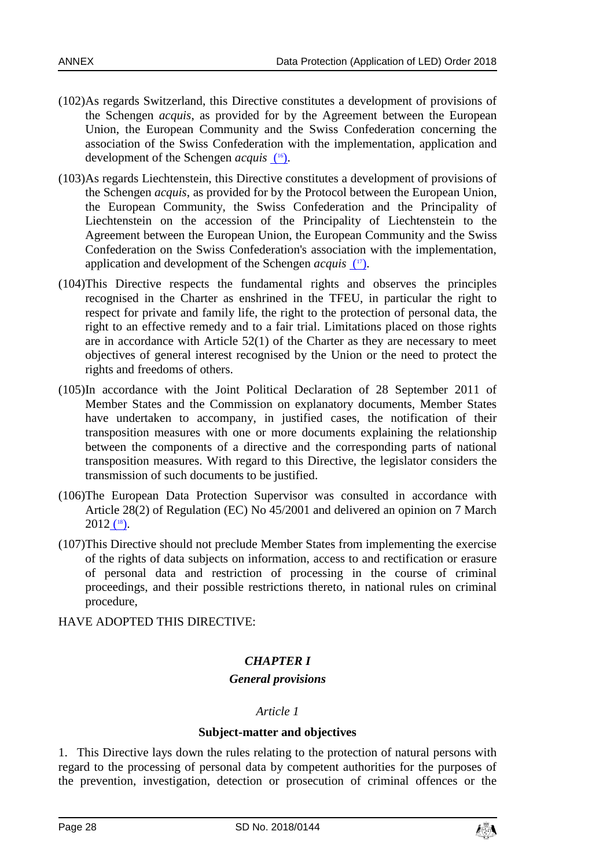- (102)As regards Switzerland, this Directive constitutes a development of provisions of the Schengen *acquis*, as provided for by the Agreement between the European Union, the European Community and the Swiss Confederation concerning the association of the Swiss Confederation with the implementation, application and development of the Schengen *acquis* ( <sup>16</sup>[\).](http://eur-lex.europa.eu/legal-content/EN/TXT/HTML/?uri=CELEX:32016L0680&qid=1499938031420&from=EN#ntr16-L_2016119EN.01008901-E0016)
- (103)As regards Liechtenstein, this Directive constitutes a development of provisions of the Schengen *acquis*, as provided for by the Protocol between the European Union, the European Community, the Swiss Confederation and the Principality of Liechtenstein on the accession of the Principality of Liechtenstein to the Agreement between the European Union, the European Community and the Swiss Confederation on the Swiss Confederation's association with the implementation, application and development of the Schengen *acquis* (<sup>17</sup>[\).](http://eur-lex.europa.eu/legal-content/EN/TXT/HTML/?uri=CELEX:32016L0680&qid=1499938031420&from=EN#ntr17-L_2016119EN.01008901-E0017)
- (104)This Directive respects the fundamental rights and observes the principles recognised in the Charter as enshrined in the TFEU, in particular the right to respect for private and family life, the right to the protection of personal data, the right to an effective remedy and to a fair trial. Limitations placed on those rights are in accordance with Article 52(1) of the Charter as they are necessary to meet objectives of general interest recognised by the Union or the need to protect the rights and freedoms of others.
- (105)In accordance with the Joint Political Declaration of 28 September 2011 of Member States and the Commission on explanatory documents, Member States have undertaken to accompany, in justified cases, the notification of their transposition measures with one or more documents explaining the relationship between the components of a directive and the corresponding parts of national transposition measures. With regard to this Directive, the legislator considers the transmission of such documents to be justified.
- (106)The European Data Protection Supervisor was consulted in accordance with Article 28(2) of Regulation (EC) No 45/2001 and delivered an opinion on 7 March  $2012(18)$ .
- (107)This Directive should not preclude Member States from implementing the exercise of the rights of data subjects on information, access to and rectification or erasure of personal data and restriction of processing in the course of criminal proceedings, and their possible restrictions thereto, in national rules on criminal procedure,

HAVE ADOPTED THIS DIRECTIVE:

# *CHAPTER I*

### *General provisions*

### *Article 1*

### **Subject-matter and objectives**

1. This Directive lays down the rules relating to the protection of natural persons with regard to the processing of personal data by competent authorities for the purposes of the prevention, investigation, detection or prosecution of criminal offences or the

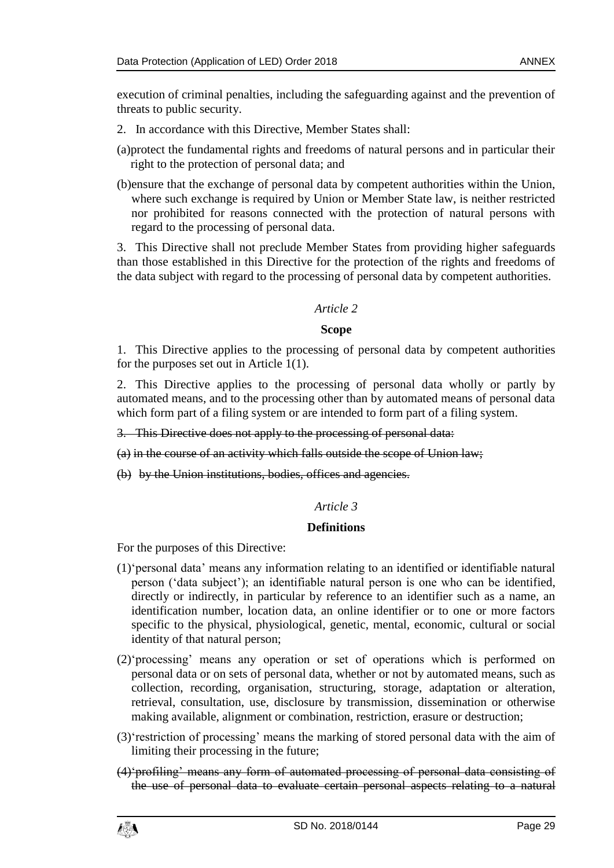execution of criminal penalties, including the safeguarding against and the prevention of threats to public security.

- 2. In accordance with this Directive, Member States shall:
- (a)protect the fundamental rights and freedoms of natural persons and in particular their right to the protection of personal data; and
- (b)ensure that the exchange of personal data by competent authorities within the Union, where such exchange is required by Union or Member State law, is neither restricted nor prohibited for reasons connected with the protection of natural persons with regard to the processing of personal data.

3. This Directive shall not preclude Member States from providing higher safeguards than those established in this Directive for the protection of the rights and freedoms of the data subject with regard to the processing of personal data by competent authorities.

### *Article 2*

### **Scope**

1. This Directive applies to the processing of personal data by competent authorities for the purposes set out in Article 1(1).

2. This Directive applies to the processing of personal data wholly or partly by automated means, and to the processing other than by automated means of personal data which form part of a filing system or are intended to form part of a filing system.

3. This Directive does not apply to the processing of personal data:

(a) in the course of an activity which falls outside the scope of Union law;

(b) by the Union institutions, bodies, offices and agencies.

### *Article 3*

# **Definitions**

For the purposes of this Directive:

- (1)'personal data' means any information relating to an identified or identifiable natural person ('data subject'); an identifiable natural person is one who can be identified, directly or indirectly, in particular by reference to an identifier such as a name, an identification number, location data, an online identifier or to one or more factors specific to the physical, physiological, genetic, mental, economic, cultural or social identity of that natural person;
- (2)'processing' means any operation or set of operations which is performed on personal data or on sets of personal data, whether or not by automated means, such as collection, recording, organisation, structuring, storage, adaptation or alteration, retrieval, consultation, use, disclosure by transmission, dissemination or otherwise making available, alignment or combination, restriction, erasure or destruction;
- (3)'restriction of processing' means the marking of stored personal data with the aim of limiting their processing in the future;
- (4)'profiling' means any form of automated processing of personal data consisting of the use of personal data to evaluate certain personal aspects relating to a natural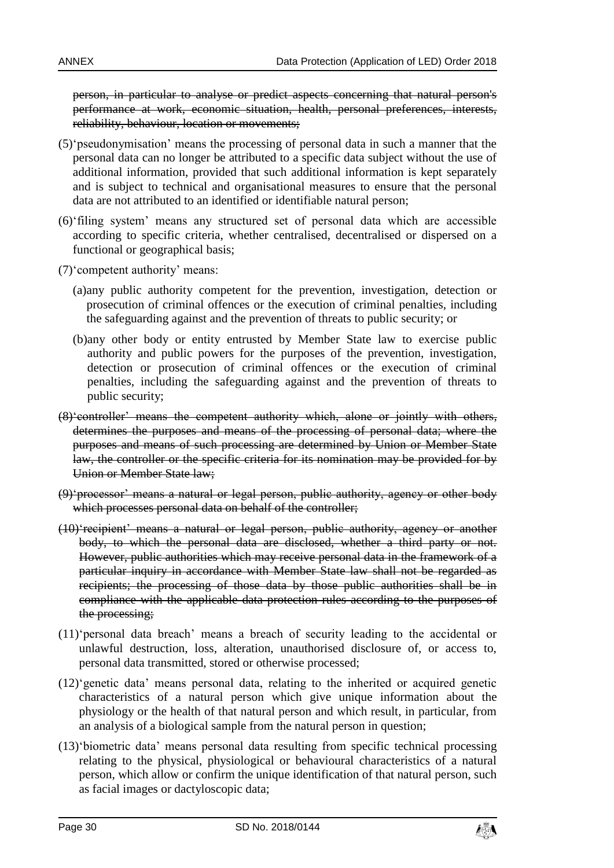person, in particular to analyse or predict aspects concerning that natural person's performance at work, economic situation, health, personal preferences, interests, reliability, behaviour, location or movements;

- (5)'pseudonymisation' means the processing of personal data in such a manner that the personal data can no longer be attributed to a specific data subject without the use of additional information, provided that such additional information is kept separately and is subject to technical and organisational measures to ensure that the personal data are not attributed to an identified or identifiable natural person;
- (6)'filing system' means any structured set of personal data which are accessible according to specific criteria, whether centralised, decentralised or dispersed on a functional or geographical basis;
- (7)'competent authority' means:
	- (a)any public authority competent for the prevention, investigation, detection or prosecution of criminal offences or the execution of criminal penalties, including the safeguarding against and the prevention of threats to public security; or
	- (b)any other body or entity entrusted by Member State law to exercise public authority and public powers for the purposes of the prevention, investigation, detection or prosecution of criminal offences or the execution of criminal penalties, including the safeguarding against and the prevention of threats to public security;
- (8)'controller' means the competent authority which, alone or jointly with others, determines the purposes and means of the processing of personal data; where the purposes and means of such processing are determined by Union or Member State law, the controller or the specific criteria for its nomination may be provided for by Union or Member State law;
- (9)'processor' means a natural or legal person, public authority, agency or other body which processes personal data on behalf of the controller;
- (10)'recipient' means a natural or legal person, public authority, agency or another body, to which the personal data are disclosed, whether a third party or not. However, public authorities which may receive personal data in the framework of a particular inquiry in accordance with Member State law shall not be regarded as recipients; the processing of those data by those public authorities shall be in compliance with the applicable data protection rules according to the purposes of the processing;
- (11)'personal data breach' means a breach of security leading to the accidental or unlawful destruction, loss, alteration, unauthorised disclosure of, or access to, personal data transmitted, stored or otherwise processed;
- (12)'genetic data' means personal data, relating to the inherited or acquired genetic characteristics of a natural person which give unique information about the physiology or the health of that natural person and which result, in particular, from an analysis of a biological sample from the natural person in question;
- (13)'biometric data' means personal data resulting from specific technical processing relating to the physical, physiological or behavioural characteristics of a natural person, which allow or confirm the unique identification of that natural person, such as facial images or dactyloscopic data;

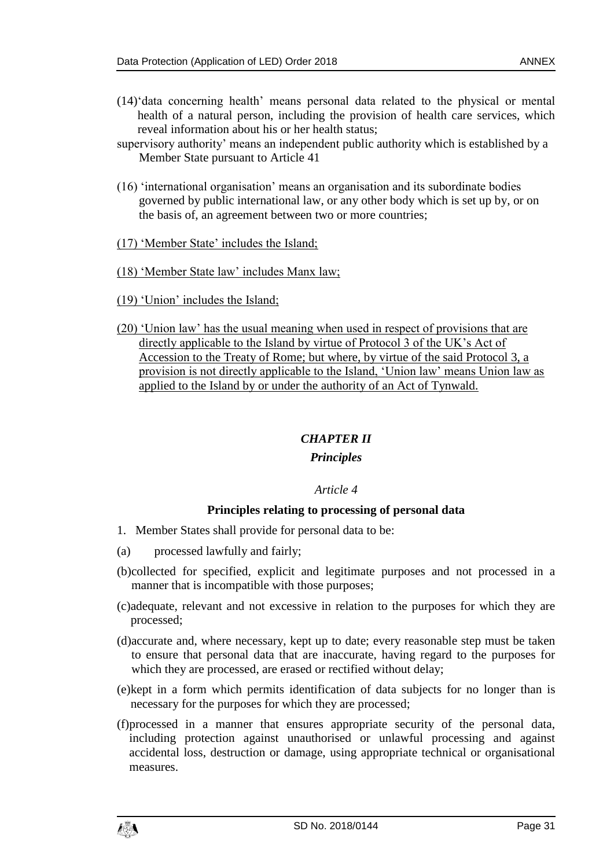- (14)'data concerning health' means personal data related to the physical or mental health of a natural person, including the provision of health care services, which reveal information about his or her health status;
- supervisory authority' means an independent public authority which is established by a Member State pursuant to Article 41
- (16) 'international organisation' means an organisation and its subordinate bodies governed by public international law, or any other body which is set up by, or on the basis of, an agreement between two or more countries;
- (17) 'Member State' includes the Island;
- (18) 'Member State law' includes Manx law;
- (19) 'Union' includes the Island;
- (20) 'Union law' has the usual meaning when used in respect of provisions that are directly applicable to the Island by virtue of Protocol 3 of the UK's Act of Accession to the Treaty of Rome; but where, by virtue of the said Protocol 3, a provision is not directly applicable to the Island, 'Union law' means Union law as applied to the Island by or under the authority of an Act of Tynwald.

### *CHAPTER II*

### *Principles*

### *Article 4*

### **Principles relating to processing of personal data**

- 1. Member States shall provide for personal data to be:
- (a) processed lawfully and fairly;
- (b)collected for specified, explicit and legitimate purposes and not processed in a manner that is incompatible with those purposes;
- (c)adequate, relevant and not excessive in relation to the purposes for which they are processed;
- (d)accurate and, where necessary, kept up to date; every reasonable step must be taken to ensure that personal data that are inaccurate, having regard to the purposes for which they are processed, are erased or rectified without delay;
- (e)kept in a form which permits identification of data subjects for no longer than is necessary for the purposes for which they are processed;
- (f)processed in a manner that ensures appropriate security of the personal data, including protection against unauthorised or unlawful processing and against accidental loss, destruction or damage, using appropriate technical or organisational measures.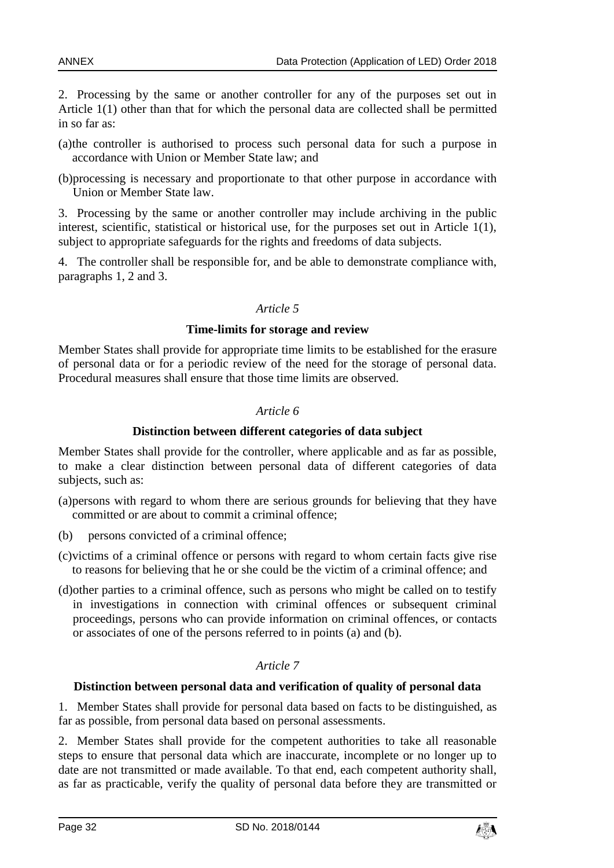2. Processing by the same or another controller for any of the purposes set out in Article 1(1) other than that for which the personal data are collected shall be permitted in so far as:

(a)the controller is authorised to process such personal data for such a purpose in accordance with Union or Member State law; and

(b)processing is necessary and proportionate to that other purpose in accordance with Union or Member State law.

3. Processing by the same or another controller may include archiving in the public interest, scientific, statistical or historical use, for the purposes set out in Article 1(1), subject to appropriate safeguards for the rights and freedoms of data subjects.

4. The controller shall be responsible for, and be able to demonstrate compliance with, paragraphs 1, 2 and 3.

### *Article 5*

### **Time-limits for storage and review**

Member States shall provide for appropriate time limits to be established for the erasure of personal data or for a periodic review of the need for the storage of personal data. Procedural measures shall ensure that those time limits are observed.

### *Article 6*

### **Distinction between different categories of data subject**

Member States shall provide for the controller, where applicable and as far as possible, to make a clear distinction between personal data of different categories of data subjects, such as:

- (a)persons with regard to whom there are serious grounds for believing that they have committed or are about to commit a criminal offence;
- (b) persons convicted of a criminal offence;
- (c)victims of a criminal offence or persons with regard to whom certain facts give rise to reasons for believing that he or she could be the victim of a criminal offence; and
- (d)other parties to a criminal offence, such as persons who might be called on to testify in investigations in connection with criminal offences or subsequent criminal proceedings, persons who can provide information on criminal offences, or contacts or associates of one of the persons referred to in points (a) and (b).

### *Article 7*

# **Distinction between personal data and verification of quality of personal data**

1. Member States shall provide for personal data based on facts to be distinguished, as far as possible, from personal data based on personal assessments.

2. Member States shall provide for the competent authorities to take all reasonable steps to ensure that personal data which are inaccurate, incomplete or no longer up to date are not transmitted or made available. To that end, each competent authority shall, as far as practicable, verify the quality of personal data before they are transmitted or

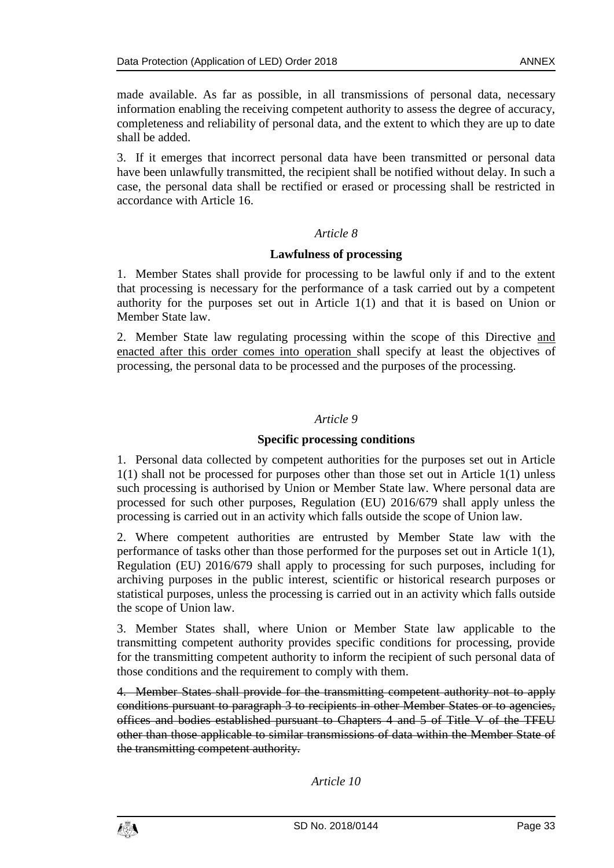made available. As far as possible, in all transmissions of personal data, necessary information enabling the receiving competent authority to assess the degree of accuracy, completeness and reliability of personal data, and the extent to which they are up to date shall be added.

3. If it emerges that incorrect personal data have been transmitted or personal data have been unlawfully transmitted, the recipient shall be notified without delay. In such a case, the personal data shall be rectified or erased or processing shall be restricted in accordance with Article 16.

### *Article 8*

### **Lawfulness of processing**

1. Member States shall provide for processing to be lawful only if and to the extent that processing is necessary for the performance of a task carried out by a competent authority for the purposes set out in Article 1(1) and that it is based on Union or Member State law.

2. Member State law regulating processing within the scope of this Directive and enacted after this order comes into operation shall specify at least the objectives of processing, the personal data to be processed and the purposes of the processing.

### *Article 9*

# **Specific processing conditions**

1. Personal data collected by competent authorities for the purposes set out in Article 1(1) shall not be processed for purposes other than those set out in Article 1(1) unless such processing is authorised by Union or Member State law. Where personal data are processed for such other purposes, Regulation (EU) 2016/679 shall apply unless the processing is carried out in an activity which falls outside the scope of Union law.

2. Where competent authorities are entrusted by Member State law with the performance of tasks other than those performed for the purposes set out in Article 1(1), Regulation (EU) 2016/679 shall apply to processing for such purposes, including for archiving purposes in the public interest, scientific or historical research purposes or statistical purposes, unless the processing is carried out in an activity which falls outside the scope of Union law.

3. Member States shall, where Union or Member State law applicable to the transmitting competent authority provides specific conditions for processing, provide for the transmitting competent authority to inform the recipient of such personal data of those conditions and the requirement to comply with them.

4. Member States shall provide for the transmitting competent authority not to apply conditions pursuant to paragraph 3 to recipients in other Member States or to agencies, offices and bodies established pursuant to Chapters 4 and 5 of Title V of the TFEU other than those applicable to similar transmissions of data within the Member State of the transmitting competent authority.

*Article 10*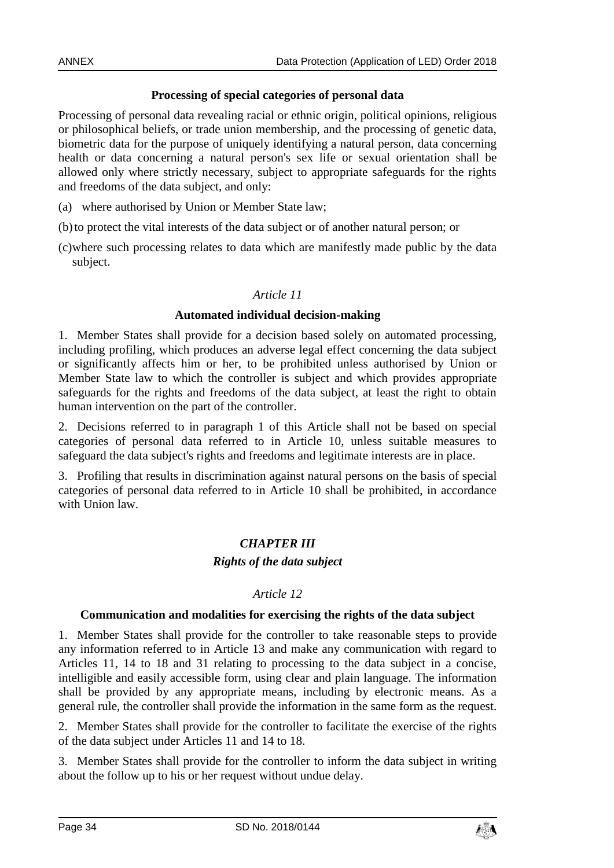# **Processing of special categories of personal data**

Processing of personal data revealing racial or ethnic origin, political opinions, religious or philosophical beliefs, or trade union membership, and the processing of genetic data, biometric data for the purpose of uniquely identifying a natural person, data concerning health or data concerning a natural person's sex life or sexual orientation shall be allowed only where strictly necessary, subject to appropriate safeguards for the rights and freedoms of the data subject, and only:

- (a) where authorised by Union or Member State law;
- (b)to protect the vital interests of the data subject or of another natural person; or
- (c)where such processing relates to data which are manifestly made public by the data subject.

# *Article 11*

# **Automated individual decision-making**

1. Member States shall provide for a decision based solely on automated processing, including profiling, which produces an adverse legal effect concerning the data subject or significantly affects him or her, to be prohibited unless authorised by Union or Member State law to which the controller is subject and which provides appropriate safeguards for the rights and freedoms of the data subject, at least the right to obtain human intervention on the part of the controller.

2. Decisions referred to in paragraph 1 of this Article shall not be based on special categories of personal data referred to in Article 10, unless suitable measures to safeguard the data subject's rights and freedoms and legitimate interests are in place.

3. Profiling that results in discrimination against natural persons on the basis of special categories of personal data referred to in Article 10 shall be prohibited, in accordance with Union law

# *CHAPTER III*

# *Rights of the data subject*

# *Article 12*

# **Communication and modalities for exercising the rights of the data subject**

1. Member States shall provide for the controller to take reasonable steps to provide any information referred to in Article 13 and make any communication with regard to Articles 11, 14 to 18 and 31 relating to processing to the data subject in a concise, intelligible and easily accessible form, using clear and plain language. The information shall be provided by any appropriate means, including by electronic means. As a general rule, the controller shall provide the information in the same form as the request.

2. Member States shall provide for the controller to facilitate the exercise of the rights of the data subject under Articles 11 and 14 to 18.

3. Member States shall provide for the controller to inform the data subject in writing about the follow up to his or her request without undue delay.

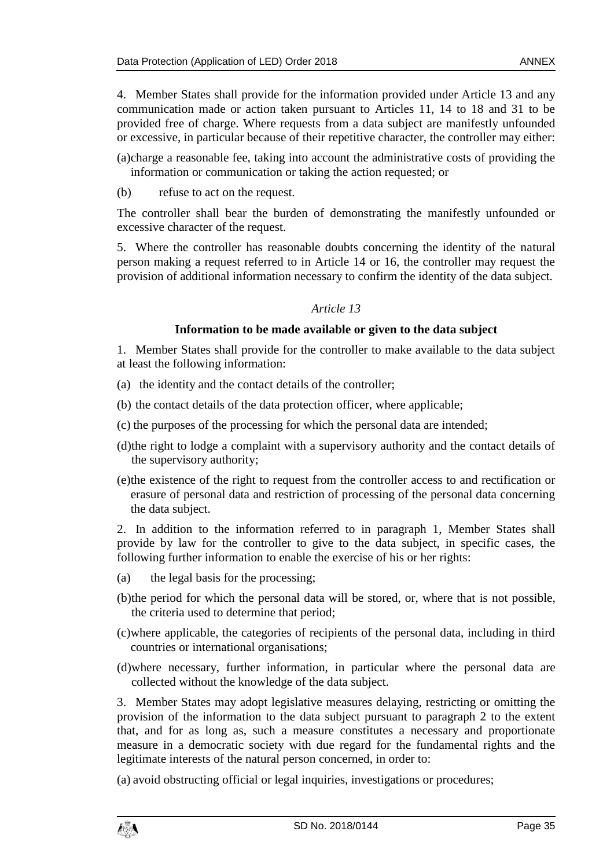4. Member States shall provide for the information provided under Article 13 and any communication made or action taken pursuant to Articles 11, 14 to 18 and 31 to be provided free of charge. Where requests from a data subject are manifestly unfounded or excessive, in particular because of their repetitive character, the controller may either:

(a)charge a reasonable fee, taking into account the administrative costs of providing the information or communication or taking the action requested; or

(b) refuse to act on the request.

The controller shall bear the burden of demonstrating the manifestly unfounded or excessive character of the request.

5. Where the controller has reasonable doubts concerning the identity of the natural person making a request referred to in Article 14 or 16, the controller may request the provision of additional information necessary to confirm the identity of the data subject.

### *Article 13*

### **Information to be made available or given to the data subject**

1. Member States shall provide for the controller to make available to the data subject at least the following information:

- (a) the identity and the contact details of the controller;
- (b) the contact details of the data protection officer, where applicable;
- (c) the purposes of the processing for which the personal data are intended;
- (d)the right to lodge a complaint with a supervisory authority and the contact details of the supervisory authority;
- (e)the existence of the right to request from the controller access to and rectification or erasure of personal data and restriction of processing of the personal data concerning the data subject.

2. In addition to the information referred to in paragraph 1, Member States shall provide by law for the controller to give to the data subject, in specific cases, the following further information to enable the exercise of his or her rights:

- (a) the legal basis for the processing;
- (b)the period for which the personal data will be stored, or, where that is not possible, the criteria used to determine that period;
- (c)where applicable, the categories of recipients of the personal data, including in third countries or international organisations;
- (d)where necessary, further information, in particular where the personal data are collected without the knowledge of the data subject.

3. Member States may adopt legislative measures delaying, restricting or omitting the provision of the information to the data subject pursuant to paragraph 2 to the extent that, and for as long as, such a measure constitutes a necessary and proportionate measure in a democratic society with due regard for the fundamental rights and the legitimate interests of the natural person concerned, in order to:

(a) avoid obstructing official or legal inquiries, investigations or procedures;

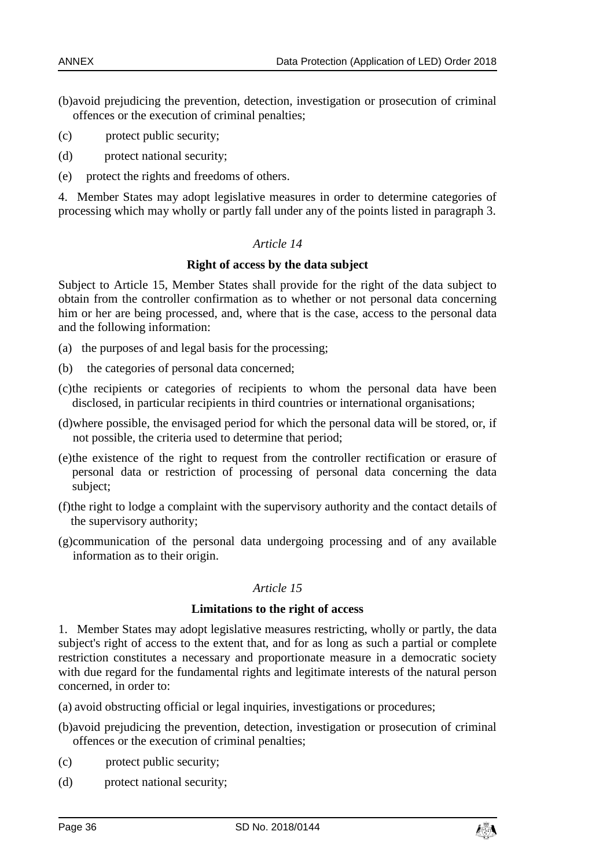(b)avoid prejudicing the prevention, detection, investigation or prosecution of criminal offences or the execution of criminal penalties;

- (c) protect public security;
- (d) protect national security;
- (e) protect the rights and freedoms of others.

4. Member States may adopt legislative measures in order to determine categories of processing which may wholly or partly fall under any of the points listed in paragraph 3.

### *Article 14*

### **Right of access by the data subject**

Subject to Article 15, Member States shall provide for the right of the data subject to obtain from the controller confirmation as to whether or not personal data concerning him or her are being processed, and, where that is the case, access to the personal data and the following information:

- (a) the purposes of and legal basis for the processing;
- (b) the categories of personal data concerned;
- (c)the recipients or categories of recipients to whom the personal data have been disclosed, in particular recipients in third countries or international organisations;
- (d)where possible, the envisaged period for which the personal data will be stored, or, if not possible, the criteria used to determine that period;
- (e)the existence of the right to request from the controller rectification or erasure of personal data or restriction of processing of personal data concerning the data subject;
- (f)the right to lodge a complaint with the supervisory authority and the contact details of the supervisory authority;
- (g)communication of the personal data undergoing processing and of any available information as to their origin.

#### *Article 15*

#### **Limitations to the right of access**

1. Member States may adopt legislative measures restricting, wholly or partly, the data subject's right of access to the extent that, and for as long as such a partial or complete restriction constitutes a necessary and proportionate measure in a democratic society with due regard for the fundamental rights and legitimate interests of the natural person concerned, in order to:

(a) avoid obstructing official or legal inquiries, investigations or procedures;

- (b)avoid prejudicing the prevention, detection, investigation or prosecution of criminal offences or the execution of criminal penalties;
- (c) protect public security;
- (d) protect national security;

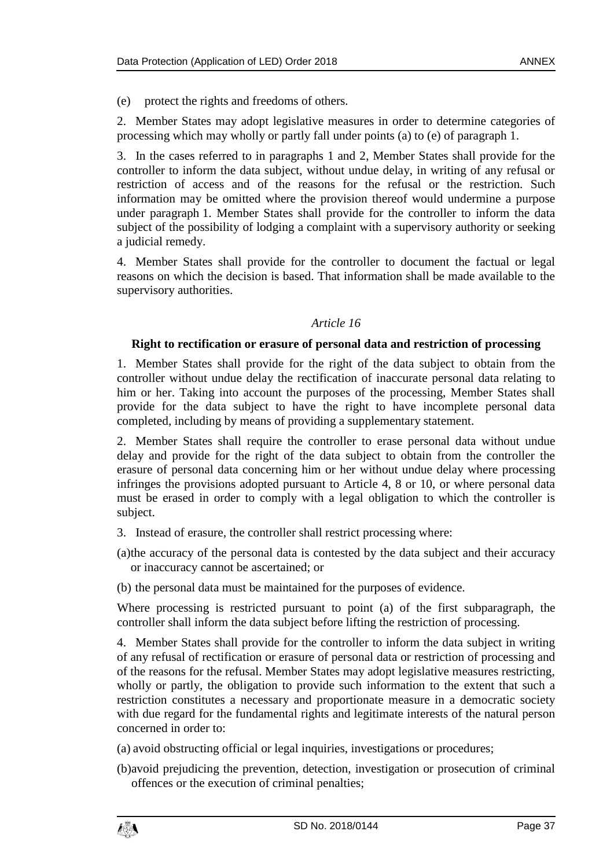(e) protect the rights and freedoms of others.

2. Member States may adopt legislative measures in order to determine categories of processing which may wholly or partly fall under points (a) to (e) of paragraph 1.

3. In the cases referred to in paragraphs 1 and 2, Member States shall provide for the controller to inform the data subject, without undue delay, in writing of any refusal or restriction of access and of the reasons for the refusal or the restriction. Such information may be omitted where the provision thereof would undermine a purpose under paragraph 1. Member States shall provide for the controller to inform the data subject of the possibility of lodging a complaint with a supervisory authority or seeking a judicial remedy.

4. Member States shall provide for the controller to document the factual or legal reasons on which the decision is based. That information shall be made available to the supervisory authorities.

### *Article 16*

### **Right to rectification or erasure of personal data and restriction of processing**

1. Member States shall provide for the right of the data subject to obtain from the controller without undue delay the rectification of inaccurate personal data relating to him or her. Taking into account the purposes of the processing, Member States shall provide for the data subject to have the right to have incomplete personal data completed, including by means of providing a supplementary statement.

2. Member States shall require the controller to erase personal data without undue delay and provide for the right of the data subject to obtain from the controller the erasure of personal data concerning him or her without undue delay where processing infringes the provisions adopted pursuant to Article 4, 8 or 10, or where personal data must be erased in order to comply with a legal obligation to which the controller is subject.

- 3. Instead of erasure, the controller shall restrict processing where:
- (a)the accuracy of the personal data is contested by the data subject and their accuracy or inaccuracy cannot be ascertained; or

(b) the personal data must be maintained for the purposes of evidence.

Where processing is restricted pursuant to point (a) of the first subparagraph, the controller shall inform the data subject before lifting the restriction of processing.

4. Member States shall provide for the controller to inform the data subject in writing of any refusal of rectification or erasure of personal data or restriction of processing and of the reasons for the refusal. Member States may adopt legislative measures restricting, wholly or partly, the obligation to provide such information to the extent that such a restriction constitutes a necessary and proportionate measure in a democratic society with due regard for the fundamental rights and legitimate interests of the natural person concerned in order to:

(a) avoid obstructing official or legal inquiries, investigations or procedures;

(b)avoid prejudicing the prevention, detection, investigation or prosecution of criminal offences or the execution of criminal penalties;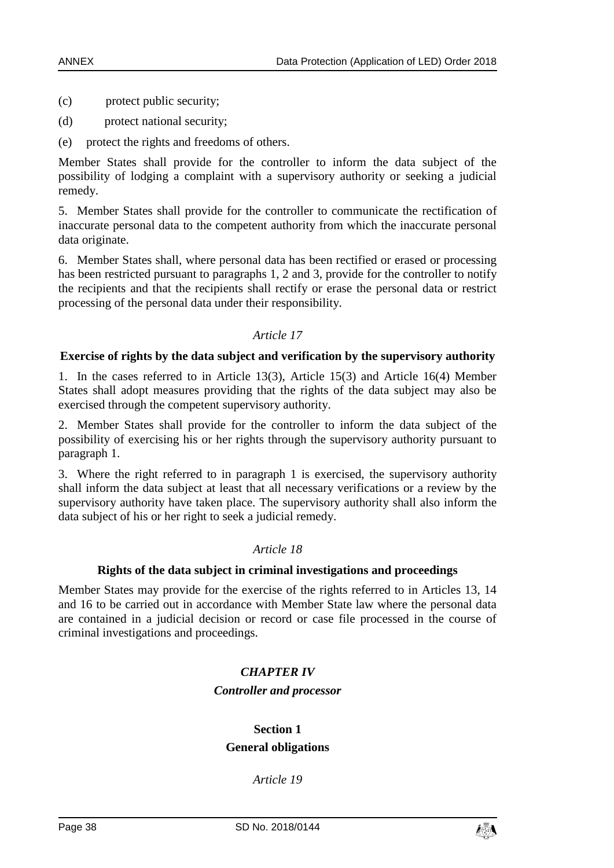- (c) protect public security;
- (d) protect national security;
- (e) protect the rights and freedoms of others.

Member States shall provide for the controller to inform the data subject of the possibility of lodging a complaint with a supervisory authority or seeking a judicial remedy.

5. Member States shall provide for the controller to communicate the rectification of inaccurate personal data to the competent authority from which the inaccurate personal data originate.

6. Member States shall, where personal data has been rectified or erased or processing has been restricted pursuant to paragraphs 1, 2 and 3, provide for the controller to notify the recipients and that the recipients shall rectify or erase the personal data or restrict processing of the personal data under their responsibility.

### *Article 17*

### **Exercise of rights by the data subject and verification by the supervisory authority**

1. In the cases referred to in Article 13(3), Article 15(3) and Article 16(4) Member States shall adopt measures providing that the rights of the data subject may also be exercised through the competent supervisory authority.

2. Member States shall provide for the controller to inform the data subject of the possibility of exercising his or her rights through the supervisory authority pursuant to paragraph 1.

3. Where the right referred to in paragraph 1 is exercised, the supervisory authority shall inform the data subject at least that all necessary verifications or a review by the supervisory authority have taken place. The supervisory authority shall also inform the data subject of his or her right to seek a judicial remedy.

### *Article 18*

### **Rights of the data subject in criminal investigations and proceedings**

Member States may provide for the exercise of the rights referred to in Articles 13, 14 and 16 to be carried out in accordance with Member State law where the personal data are contained in a judicial decision or record or case file processed in the course of criminal investigations and proceedings.

# *CHAPTER IV Controller and processor*

# **Section 1 General obligations**

*Article 19*

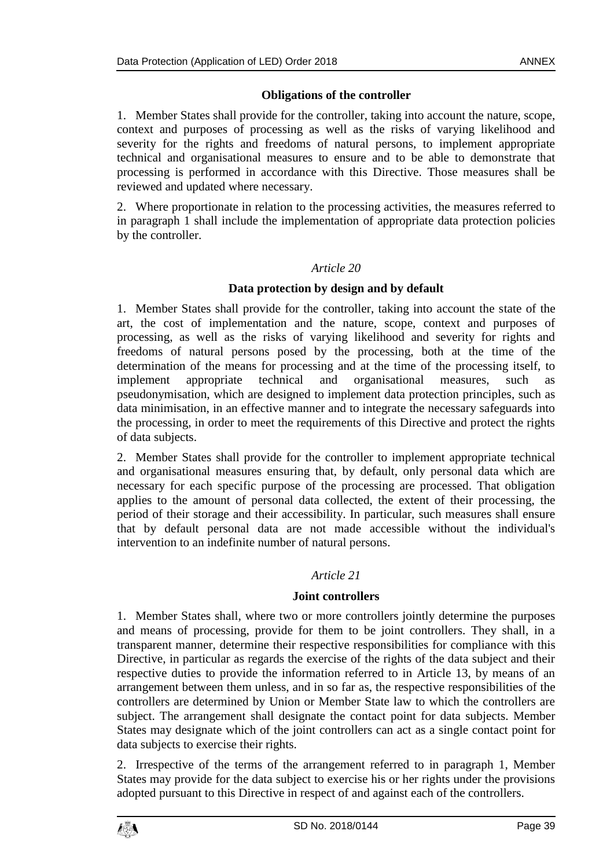# **Obligations of the controller**

1. Member States shall provide for the controller, taking into account the nature, scope, context and purposes of processing as well as the risks of varying likelihood and severity for the rights and freedoms of natural persons, to implement appropriate technical and organisational measures to ensure and to be able to demonstrate that processing is performed in accordance with this Directive. Those measures shall be reviewed and updated where necessary.

2. Where proportionate in relation to the processing activities, the measures referred to in paragraph 1 shall include the implementation of appropriate data protection policies by the controller.

# *Article 20*

# **Data protection by design and by default**

1. Member States shall provide for the controller, taking into account the state of the art, the cost of implementation and the nature, scope, context and purposes of processing, as well as the risks of varying likelihood and severity for rights and freedoms of natural persons posed by the processing, both at the time of the determination of the means for processing and at the time of the processing itself, to implement appropriate technical and organisational measures, such as pseudonymisation, which are designed to implement data protection principles, such as data minimisation, in an effective manner and to integrate the necessary safeguards into the processing, in order to meet the requirements of this Directive and protect the rights of data subjects.

2. Member States shall provide for the controller to implement appropriate technical and organisational measures ensuring that, by default, only personal data which are necessary for each specific purpose of the processing are processed. That obligation applies to the amount of personal data collected, the extent of their processing, the period of their storage and their accessibility. In particular, such measures shall ensure that by default personal data are not made accessible without the individual's intervention to an indefinite number of natural persons.

# *Article 21*

# **Joint controllers**

1. Member States shall, where two or more controllers jointly determine the purposes and means of processing, provide for them to be joint controllers. They shall, in a transparent manner, determine their respective responsibilities for compliance with this Directive, in particular as regards the exercise of the rights of the data subject and their respective duties to provide the information referred to in Article 13, by means of an arrangement between them unless, and in so far as, the respective responsibilities of the controllers are determined by Union or Member State law to which the controllers are subject. The arrangement shall designate the contact point for data subjects. Member States may designate which of the joint controllers can act as a single contact point for data subjects to exercise their rights.

2. Irrespective of the terms of the arrangement referred to in paragraph 1, Member States may provide for the data subject to exercise his or her rights under the provisions adopted pursuant to this Directive in respect of and against each of the controllers.

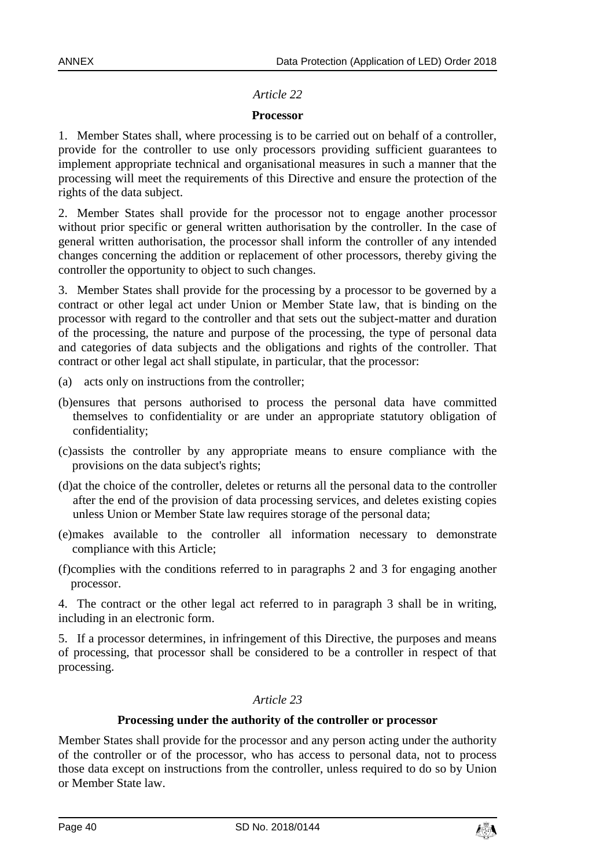### *Article 22*

### **Processor**

1. Member States shall, where processing is to be carried out on behalf of a controller, provide for the controller to use only processors providing sufficient guarantees to implement appropriate technical and organisational measures in such a manner that the processing will meet the requirements of this Directive and ensure the protection of the rights of the data subject.

2. Member States shall provide for the processor not to engage another processor without prior specific or general written authorisation by the controller. In the case of general written authorisation, the processor shall inform the controller of any intended changes concerning the addition or replacement of other processors, thereby giving the controller the opportunity to object to such changes.

3. Member States shall provide for the processing by a processor to be governed by a contract or other legal act under Union or Member State law, that is binding on the processor with regard to the controller and that sets out the subject-matter and duration of the processing, the nature and purpose of the processing, the type of personal data and categories of data subjects and the obligations and rights of the controller. That contract or other legal act shall stipulate, in particular, that the processor:

- (a) acts only on instructions from the controller;
- (b)ensures that persons authorised to process the personal data have committed themselves to confidentiality or are under an appropriate statutory obligation of confidentiality;
- (c)assists the controller by any appropriate means to ensure compliance with the provisions on the data subject's rights;
- (d)at the choice of the controller, deletes or returns all the personal data to the controller after the end of the provision of data processing services, and deletes existing copies unless Union or Member State law requires storage of the personal data;
- (e)makes available to the controller all information necessary to demonstrate compliance with this Article;
- (f)complies with the conditions referred to in paragraphs 2 and 3 for engaging another processor.

4. The contract or the other legal act referred to in paragraph 3 shall be in writing, including in an electronic form.

5. If a processor determines, in infringement of this Directive, the purposes and means of processing, that processor shall be considered to be a controller in respect of that processing.

### *Article 23*

### **Processing under the authority of the controller or processor**

Member States shall provide for the processor and any person acting under the authority of the controller or of the processor, who has access to personal data, not to process those data except on instructions from the controller, unless required to do so by Union or Member State law.

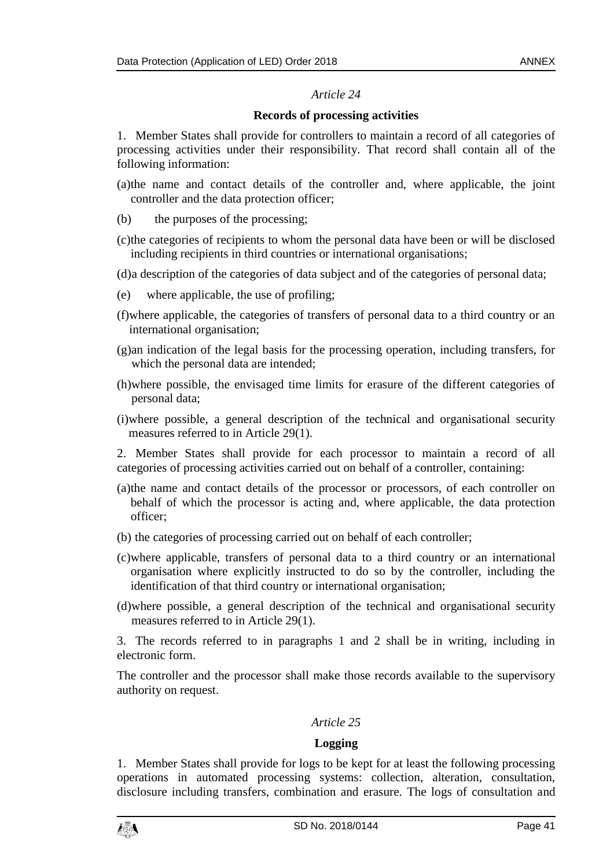### *Article 24*

### **Records of processing activities**

1. Member States shall provide for controllers to maintain a record of all categories of processing activities under their responsibility. That record shall contain all of the following information:

- (a)the name and contact details of the controller and, where applicable, the joint controller and the data protection officer;
- (b) the purposes of the processing;
- (c)the categories of recipients to whom the personal data have been or will be disclosed including recipients in third countries or international organisations;
- (d)a description of the categories of data subject and of the categories of personal data;
- (e) where applicable, the use of profiling;
- (f)where applicable, the categories of transfers of personal data to a third country or an international organisation;
- (g)an indication of the legal basis for the processing operation, including transfers, for which the personal data are intended;
- (h)where possible, the envisaged time limits for erasure of the different categories of personal data;
- (i)where possible, a general description of the technical and organisational security measures referred to in Article 29(1).
- 2. Member States shall provide for each processor to maintain a record of all categories of processing activities carried out on behalf of a controller, containing:
- (a)the name and contact details of the processor or processors, of each controller on behalf of which the processor is acting and, where applicable, the data protection officer;
- (b) the categories of processing carried out on behalf of each controller;
- (c)where applicable, transfers of personal data to a third country or an international organisation where explicitly instructed to do so by the controller, including the identification of that third country or international organisation;
- (d)where possible, a general description of the technical and organisational security measures referred to in Article 29(1).

3. The records referred to in paragraphs 1 and 2 shall be in writing, including in electronic form.

The controller and the processor shall make those records available to the supervisory authority on request.

# *Article 25*

# **Logging**

1. Member States shall provide for logs to be kept for at least the following processing operations in automated processing systems: collection, alteration, consultation, disclosure including transfers, combination and erasure. The logs of consultation and

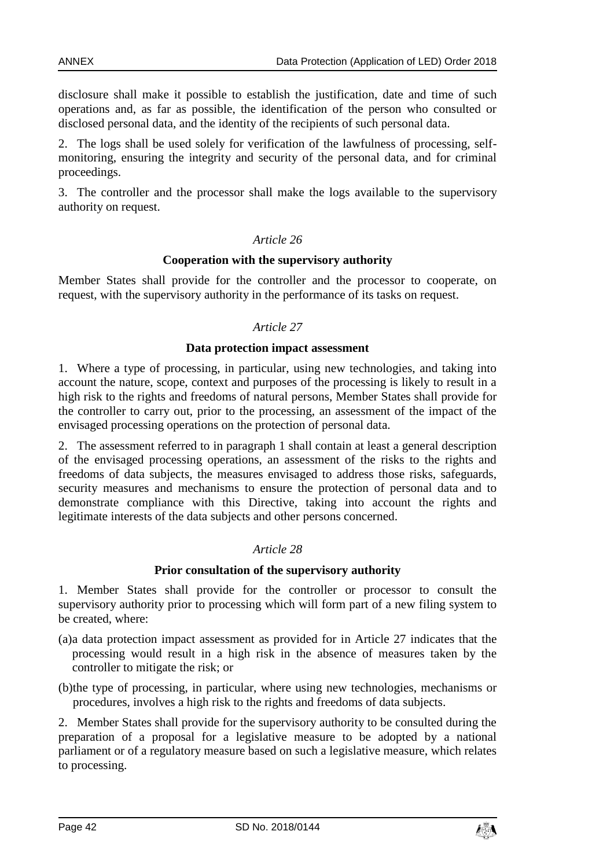disclosure shall make it possible to establish the justification, date and time of such operations and, as far as possible, the identification of the person who consulted or disclosed personal data, and the identity of the recipients of such personal data.

2. The logs shall be used solely for verification of the lawfulness of processing, selfmonitoring, ensuring the integrity and security of the personal data, and for criminal proceedings.

3. The controller and the processor shall make the logs available to the supervisory authority on request.

### *Article 26*

### **Cooperation with the supervisory authority**

Member States shall provide for the controller and the processor to cooperate, on request, with the supervisory authority in the performance of its tasks on request.

### *Article 27*

### **Data protection impact assessment**

1. Where a type of processing, in particular, using new technologies, and taking into account the nature, scope, context and purposes of the processing is likely to result in a high risk to the rights and freedoms of natural persons, Member States shall provide for the controller to carry out, prior to the processing, an assessment of the impact of the envisaged processing operations on the protection of personal data.

2. The assessment referred to in paragraph 1 shall contain at least a general description of the envisaged processing operations, an assessment of the risks to the rights and freedoms of data subjects, the measures envisaged to address those risks, safeguards, security measures and mechanisms to ensure the protection of personal data and to demonstrate compliance with this Directive, taking into account the rights and legitimate interests of the data subjects and other persons concerned.

### *Article 28*

### **Prior consultation of the supervisory authority**

1. Member States shall provide for the controller or processor to consult the supervisory authority prior to processing which will form part of a new filing system to be created, where:

- (a)a data protection impact assessment as provided for in Article 27 indicates that the processing would result in a high risk in the absence of measures taken by the controller to mitigate the risk; or
- (b)the type of processing, in particular, where using new technologies, mechanisms or procedures, involves a high risk to the rights and freedoms of data subjects.

2. Member States shall provide for the supervisory authority to be consulted during the preparation of a proposal for a legislative measure to be adopted by a national parliament or of a regulatory measure based on such a legislative measure, which relates to processing.

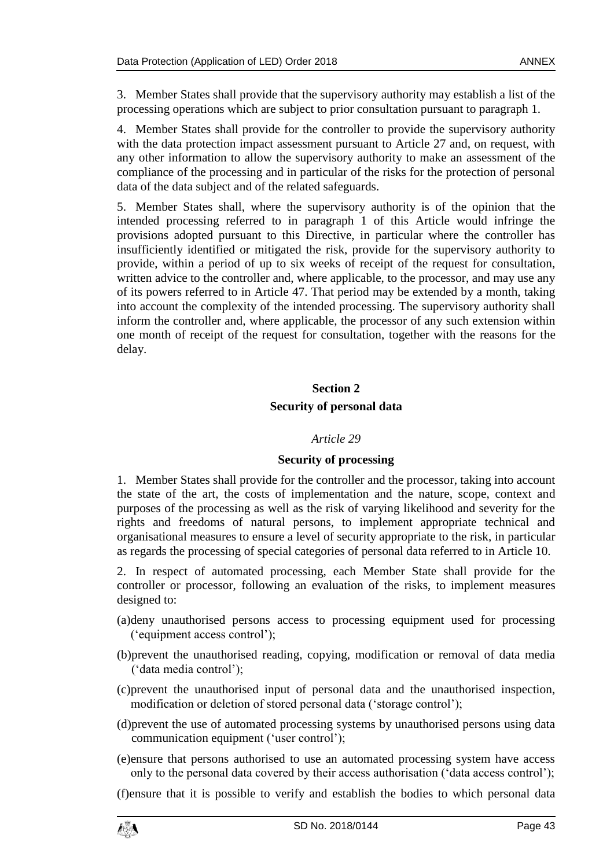3. Member States shall provide that the supervisory authority may establish a list of the processing operations which are subject to prior consultation pursuant to paragraph 1.

4. Member States shall provide for the controller to provide the supervisory authority with the data protection impact assessment pursuant to Article 27 and, on request, with any other information to allow the supervisory authority to make an assessment of the compliance of the processing and in particular of the risks for the protection of personal data of the data subject and of the related safeguards.

5. Member States shall, where the supervisory authority is of the opinion that the intended processing referred to in paragraph 1 of this Article would infringe the provisions adopted pursuant to this Directive, in particular where the controller has insufficiently identified or mitigated the risk, provide for the supervisory authority to provide, within a period of up to six weeks of receipt of the request for consultation, written advice to the controller and, where applicable, to the processor, and may use any of its powers referred to in Article 47. That period may be extended by a month, taking into account the complexity of the intended processing. The supervisory authority shall inform the controller and, where applicable, the processor of any such extension within one month of receipt of the request for consultation, together with the reasons for the delay.

# **Section 2 Security of personal data**

### *Article 29*

# **Security of processing**

1. Member States shall provide for the controller and the processor, taking into account the state of the art, the costs of implementation and the nature, scope, context and purposes of the processing as well as the risk of varying likelihood and severity for the rights and freedoms of natural persons, to implement appropriate technical and organisational measures to ensure a level of security appropriate to the risk, in particular as regards the processing of special categories of personal data referred to in Article 10.

2. In respect of automated processing, each Member State shall provide for the controller or processor, following an evaluation of the risks, to implement measures designed to:

- (a)deny unauthorised persons access to processing equipment used for processing ('equipment access control');
- (b)prevent the unauthorised reading, copying, modification or removal of data media ('data media control');
- (c)prevent the unauthorised input of personal data and the unauthorised inspection, modification or deletion of stored personal data ('storage control');
- (d)prevent the use of automated processing systems by unauthorised persons using data communication equipment ('user control');
- (e)ensure that persons authorised to use an automated processing system have access only to the personal data covered by their access authorisation ('data access control');

(f)ensure that it is possible to verify and establish the bodies to which personal data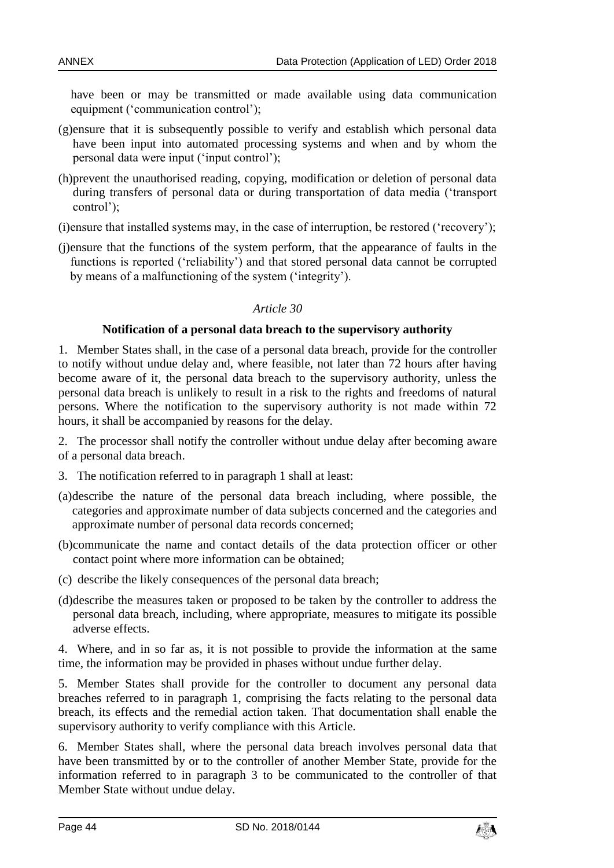have been or may be transmitted or made available using data communication equipment ('communication control');

- (g)ensure that it is subsequently possible to verify and establish which personal data have been input into automated processing systems and when and by whom the personal data were input ('input control');
- (h)prevent the unauthorised reading, copying, modification or deletion of personal data during transfers of personal data or during transportation of data media ('transport control');
- (i)ensure that installed systems may, in the case of interruption, be restored ('recovery');
- (j)ensure that the functions of the system perform, that the appearance of faults in the functions is reported ('reliability') and that stored personal data cannot be corrupted by means of a malfunctioning of the system ('integrity').

# *Article 30*

# **Notification of a personal data breach to the supervisory authority**

1. Member States shall, in the case of a personal data breach, provide for the controller to notify without undue delay and, where feasible, not later than 72 hours after having become aware of it, the personal data breach to the supervisory authority, unless the personal data breach is unlikely to result in a risk to the rights and freedoms of natural persons. Where the notification to the supervisory authority is not made within 72 hours, it shall be accompanied by reasons for the delay.

2. The processor shall notify the controller without undue delay after becoming aware of a personal data breach.

- 3. The notification referred to in paragraph 1 shall at least:
- (a)describe the nature of the personal data breach including, where possible, the categories and approximate number of data subjects concerned and the categories and approximate number of personal data records concerned;
- (b)communicate the name and contact details of the data protection officer or other contact point where more information can be obtained;
- (c) describe the likely consequences of the personal data breach;
- (d)describe the measures taken or proposed to be taken by the controller to address the personal data breach, including, where appropriate, measures to mitigate its possible adverse effects.

4. Where, and in so far as, it is not possible to provide the information at the same time, the information may be provided in phases without undue further delay.

5. Member States shall provide for the controller to document any personal data breaches referred to in paragraph 1, comprising the facts relating to the personal data breach, its effects and the remedial action taken. That documentation shall enable the supervisory authority to verify compliance with this Article.

6. Member States shall, where the personal data breach involves personal data that have been transmitted by or to the controller of another Member State, provide for the information referred to in paragraph 3 to be communicated to the controller of that Member State without undue delay.

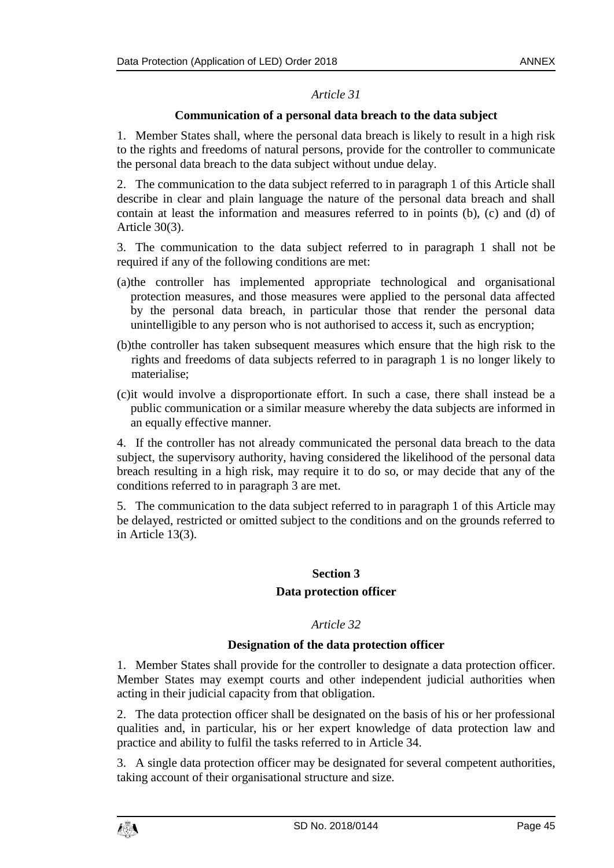### *Article 31*

### **Communication of a personal data breach to the data subject**

1. Member States shall, where the personal data breach is likely to result in a high risk to the rights and freedoms of natural persons, provide for the controller to communicate the personal data breach to the data subject without undue delay.

2. The communication to the data subject referred to in paragraph 1 of this Article shall describe in clear and plain language the nature of the personal data breach and shall contain at least the information and measures referred to in points (b), (c) and (d) of Article 30(3).

3. The communication to the data subject referred to in paragraph 1 shall not be required if any of the following conditions are met:

- (a)the controller has implemented appropriate technological and organisational protection measures, and those measures were applied to the personal data affected by the personal data breach, in particular those that render the personal data unintelligible to any person who is not authorised to access it, such as encryption;
- (b)the controller has taken subsequent measures which ensure that the high risk to the rights and freedoms of data subjects referred to in paragraph 1 is no longer likely to materialise;
- (c)it would involve a disproportionate effort. In such a case, there shall instead be a public communication or a similar measure whereby the data subjects are informed in an equally effective manner.

4. If the controller has not already communicated the personal data breach to the data subject, the supervisory authority, having considered the likelihood of the personal data breach resulting in a high risk, may require it to do so, or may decide that any of the conditions referred to in paragraph 3 are met.

5. The communication to the data subject referred to in paragraph 1 of this Article may be delayed, restricted or omitted subject to the conditions and on the grounds referred to in Article 13(3).

# **Section 3**

### **Data protection officer**

# *Article 32*

# **Designation of the data protection officer**

1. Member States shall provide for the controller to designate a data protection officer. Member States may exempt courts and other independent judicial authorities when acting in their judicial capacity from that obligation.

2. The data protection officer shall be designated on the basis of his or her professional qualities and, in particular, his or her expert knowledge of data protection law and practice and ability to fulfil the tasks referred to in Article 34.

3. A single data protection officer may be designated for several competent authorities, taking account of their organisational structure and size.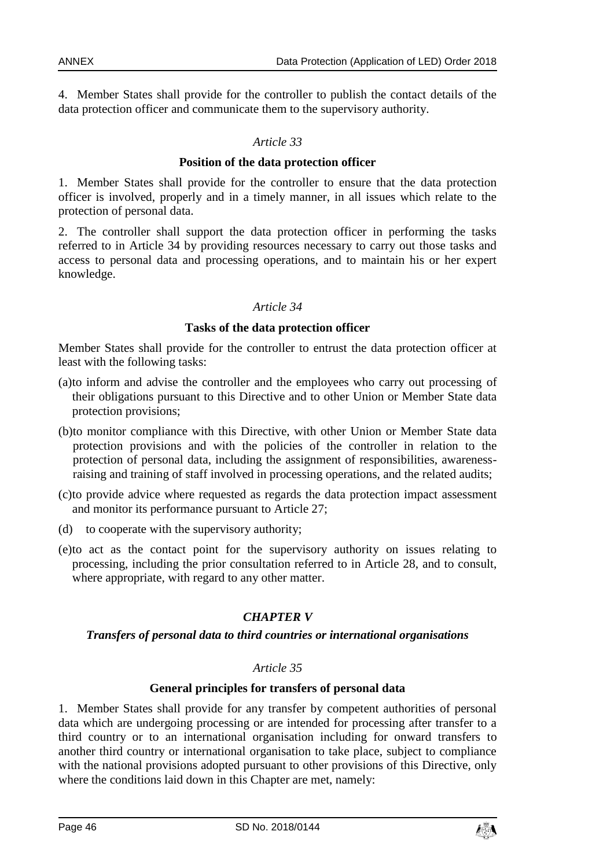4. Member States shall provide for the controller to publish the contact details of the data protection officer and communicate them to the supervisory authority.

### *Article 33*

### **Position of the data protection officer**

1. Member States shall provide for the controller to ensure that the data protection officer is involved, properly and in a timely manner, in all issues which relate to the protection of personal data.

2. The controller shall support the data protection officer in performing the tasks referred to in Article 34 by providing resources necessary to carry out those tasks and access to personal data and processing operations, and to maintain his or her expert knowledge.

### *Article 34*

### **Tasks of the data protection officer**

Member States shall provide for the controller to entrust the data protection officer at least with the following tasks:

- (a)to inform and advise the controller and the employees who carry out processing of their obligations pursuant to this Directive and to other Union or Member State data protection provisions;
- (b)to monitor compliance with this Directive, with other Union or Member State data protection provisions and with the policies of the controller in relation to the protection of personal data, including the assignment of responsibilities, awarenessraising and training of staff involved in processing operations, and the related audits;
- (c)to provide advice where requested as regards the data protection impact assessment and monitor its performance pursuant to Article 27;
- (d) to cooperate with the supervisory authority;
- (e)to act as the contact point for the supervisory authority on issues relating to processing, including the prior consultation referred to in Article 28, and to consult, where appropriate, with regard to any other matter.

# *CHAPTER V*

# *Transfers of personal data to third countries or international organisations*

### *Article 35*

# **General principles for transfers of personal data**

1. Member States shall provide for any transfer by competent authorities of personal data which are undergoing processing or are intended for processing after transfer to a third country or to an international organisation including for onward transfers to another third country or international organisation to take place, subject to compliance with the national provisions adopted pursuant to other provisions of this Directive, only where the conditions laid down in this Chapter are met, namely:

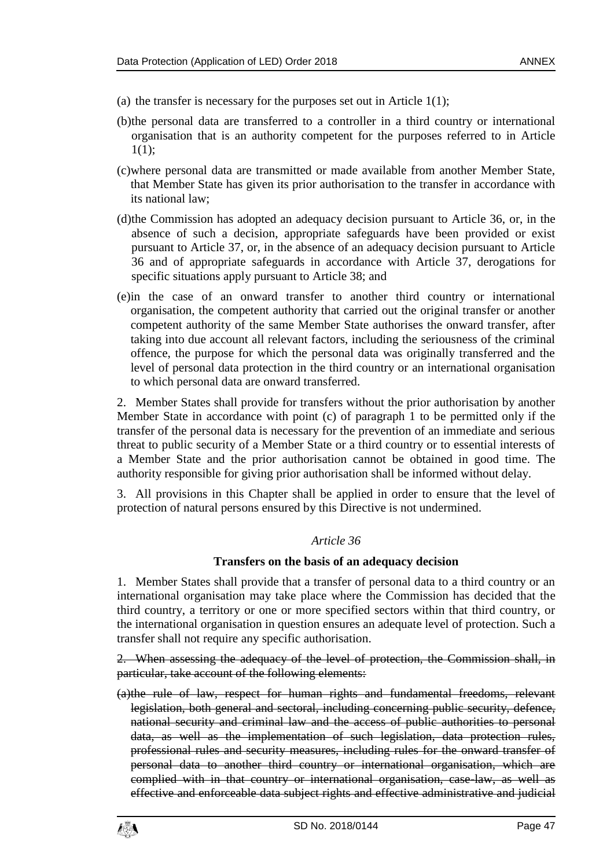- (a) the transfer is necessary for the purposes set out in Article 1(1);
- (b)the personal data are transferred to a controller in a third country or international organisation that is an authority competent for the purposes referred to in Article 1(1);
- (c)where personal data are transmitted or made available from another Member State, that Member State has given its prior authorisation to the transfer in accordance with its national law;
- (d)the Commission has adopted an adequacy decision pursuant to Article 36, or, in the absence of such a decision, appropriate safeguards have been provided or exist pursuant to Article 37, or, in the absence of an adequacy decision pursuant to Article 36 and of appropriate safeguards in accordance with Article 37, derogations for specific situations apply pursuant to Article 38; and
- (e)in the case of an onward transfer to another third country or international organisation, the competent authority that carried out the original transfer or another competent authority of the same Member State authorises the onward transfer, after taking into due account all relevant factors, including the seriousness of the criminal offence, the purpose for which the personal data was originally transferred and the level of personal data protection in the third country or an international organisation to which personal data are onward transferred.

2. Member States shall provide for transfers without the prior authorisation by another Member State in accordance with point (c) of paragraph 1 to be permitted only if the transfer of the personal data is necessary for the prevention of an immediate and serious threat to public security of a Member State or a third country or to essential interests of a Member State and the prior authorisation cannot be obtained in good time. The authority responsible for giving prior authorisation shall be informed without delay.

3. All provisions in this Chapter shall be applied in order to ensure that the level of protection of natural persons ensured by this Directive is not undermined.

# *Article 36*

# **Transfers on the basis of an adequacy decision**

1. Member States shall provide that a transfer of personal data to a third country or an international organisation may take place where the Commission has decided that the third country, a territory or one or more specified sectors within that third country, or the international organisation in question ensures an adequate level of protection. Such a transfer shall not require any specific authorisation.

2. When assessing the adequacy of the level of protection, the Commission shall, in particular, take account of the following elements:

(a)the rule of law, respect for human rights and fundamental freedoms, relevant legislation, both general and sectoral, including concerning public security, defence, national security and criminal law and the access of public authorities to personal data, as well as the implementation of such legislation, data protection rules, professional rules and security measures, including rules for the onward transfer of personal data to another third country or international organisation, which are complied with in that country or international organisation, case-law, as well as effective and enforceable data subject rights and effective administrative and judicial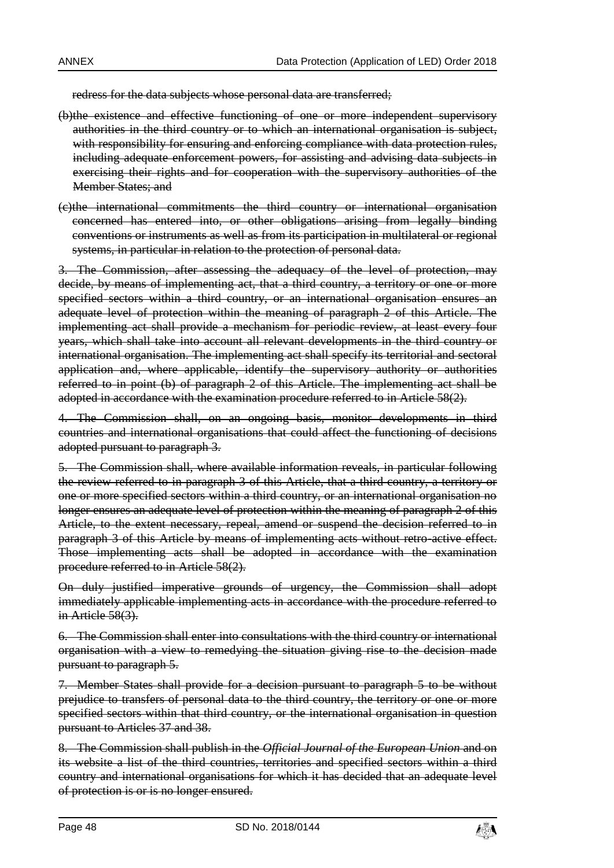redress for the data subjects whose personal data are transferred;

- (b)the existence and effective functioning of one or more independent supervisory authorities in the third country or to which an international organisation is subject, with responsibility for ensuring and enforcing compliance with data protection rules, including adequate enforcement powers, for assisting and advising data subjects in exercising their rights and for cooperation with the supervisory authorities of the Member States; and
- (c)the international commitments the third country or international organisation concerned has entered into, or other obligations arising from legally binding conventions or instruments as well as from its participation in multilateral or regional systems, in particular in relation to the protection of personal data.

3. The Commission, after assessing the adequacy of the level of protection, may decide, by means of implementing act, that a third country, a territory or one or more specified sectors within a third country, or an international organisation ensures an adequate level of protection within the meaning of paragraph 2 of this Article. The implementing act shall provide a mechanism for periodic review, at least every four years, which shall take into account all relevant developments in the third country or international organisation. The implementing act shall specify its territorial and sectoral application and, where applicable, identify the supervisory authority or authorities referred to in point (b) of paragraph 2 of this Article. The implementing act shall be adopted in accordance with the examination procedure referred to in Article 58(2).

4. The Commission shall, on an ongoing basis, monitor developments in third countries and international organisations that could affect the functioning of decisions adopted pursuant to paragraph 3.

5. The Commission shall, where available information reveals, in particular following the review referred to in paragraph 3 of this Article, that a third country, a territory or one or more specified sectors within a third country, or an international organisation no longer ensures an adequate level of protection within the meaning of paragraph 2 of this Article, to the extent necessary, repeal, amend or suspend the decision referred to in paragraph 3 of this Article by means of implementing acts without retro-active effect. Those implementing acts shall be adopted in accordance with the examination procedure referred to in Article 58(2).

On duly justified imperative grounds of urgency, the Commission shall adopt immediately applicable implementing acts in accordance with the procedure referred to in Article 58(3).

6. The Commission shall enter into consultations with the third country or international organisation with a view to remedying the situation giving rise to the decision made pursuant to paragraph 5.

7. Member States shall provide for a decision pursuant to paragraph 5 to be without prejudice to transfers of personal data to the third country, the territory or one or more specified sectors within that third country, or the international organisation in question pursuant to Articles 37 and 38.

8. The Commission shall publish in the *Official Journal of the European Union* and on its website a list of the third countries, territories and specified sectors within a third country and international organisations for which it has decided that an adequate level of protection is or is no longer ensured.

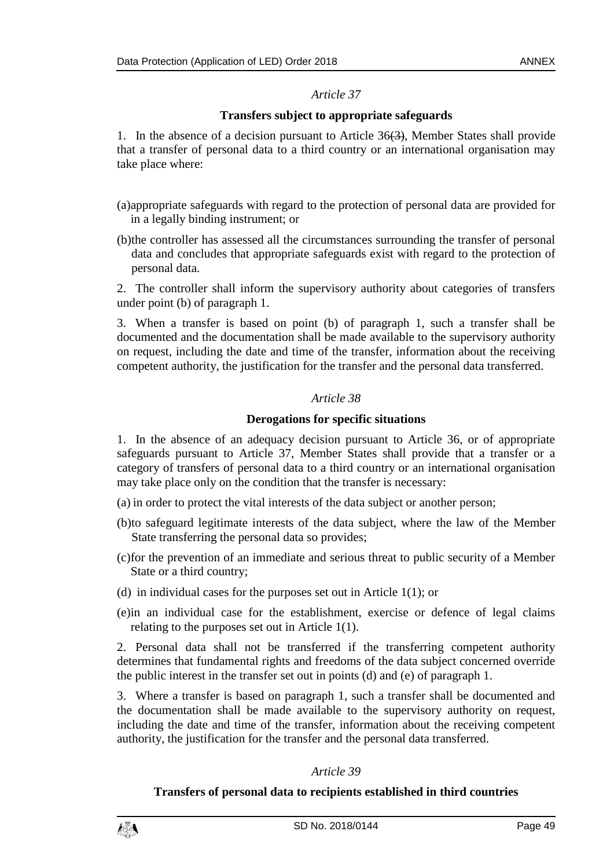### *Article 37*

# **Transfers subject to appropriate safeguards**

1. In the absence of a decision pursuant to Article 36(3), Member States shall provide that a transfer of personal data to a third country or an international organisation may take place where:

(a)appropriate safeguards with regard to the protection of personal data are provided for in a legally binding instrument; or

(b)the controller has assessed all the circumstances surrounding the transfer of personal data and concludes that appropriate safeguards exist with regard to the protection of personal data.

2. The controller shall inform the supervisory authority about categories of transfers under point (b) of paragraph 1.

3. When a transfer is based on point (b) of paragraph 1, such a transfer shall be documented and the documentation shall be made available to the supervisory authority on request, including the date and time of the transfer, information about the receiving competent authority, the justification for the transfer and the personal data transferred.

### *Article 38*

# **Derogations for specific situations**

1. In the absence of an adequacy decision pursuant to Article 36, or of appropriate safeguards pursuant to Article 37, Member States shall provide that a transfer or a category of transfers of personal data to a third country or an international organisation may take place only on the condition that the transfer is necessary:

- (a) in order to protect the vital interests of the data subject or another person;
- (b)to safeguard legitimate interests of the data subject, where the law of the Member State transferring the personal data so provides;
- (c)for the prevention of an immediate and serious threat to public security of a Member State or a third country;
- (d) in individual cases for the purposes set out in Article 1(1); or
- (e)in an individual case for the establishment, exercise or defence of legal claims relating to the purposes set out in Article 1(1).

2. Personal data shall not be transferred if the transferring competent authority determines that fundamental rights and freedoms of the data subject concerned override the public interest in the transfer set out in points (d) and (e) of paragraph 1.

3. Where a transfer is based on paragraph 1, such a transfer shall be documented and the documentation shall be made available to the supervisory authority on request, including the date and time of the transfer, information about the receiving competent authority, the justification for the transfer and the personal data transferred.

# *Article 39*

# **Transfers of personal data to recipients established in third countries**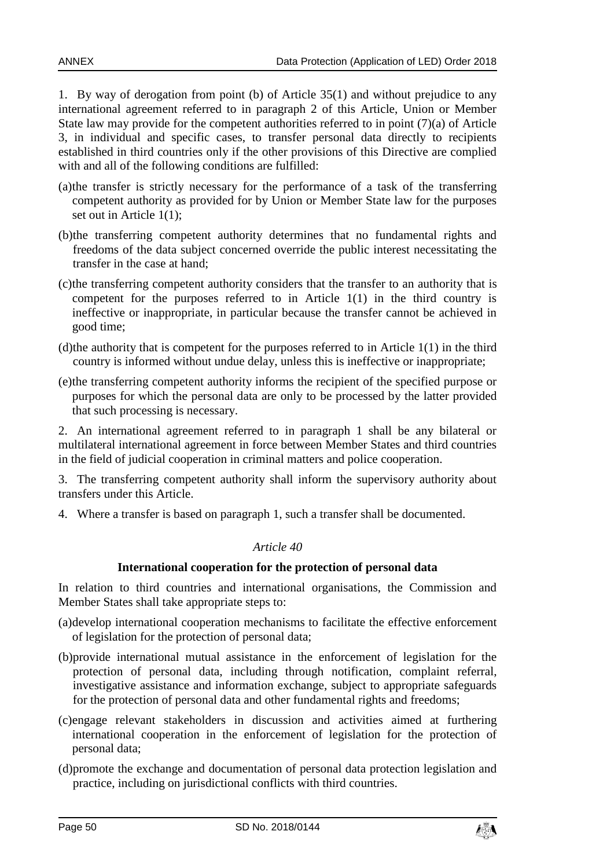1. By way of derogation from point (b) of Article 35(1) and without prejudice to any international agreement referred to in paragraph 2 of this Article, Union or Member State law may provide for the competent authorities referred to in point (7)(a) of Article 3, in individual and specific cases, to transfer personal data directly to recipients established in third countries only if the other provisions of this Directive are complied with and all of the following conditions are fulfilled:

- (a)the transfer is strictly necessary for the performance of a task of the transferring competent authority as provided for by Union or Member State law for the purposes set out in Article 1(1);
- (b)the transferring competent authority determines that no fundamental rights and freedoms of the data subject concerned override the public interest necessitating the transfer in the case at hand;
- (c)the transferring competent authority considers that the transfer to an authority that is competent for the purposes referred to in Article 1(1) in the third country is ineffective or inappropriate, in particular because the transfer cannot be achieved in good time;
- (d)the authority that is competent for the purposes referred to in Article 1(1) in the third country is informed without undue delay, unless this is ineffective or inappropriate;
- (e)the transferring competent authority informs the recipient of the specified purpose or purposes for which the personal data are only to be processed by the latter provided that such processing is necessary.

2. An international agreement referred to in paragraph 1 shall be any bilateral or multilateral international agreement in force between Member States and third countries in the field of judicial cooperation in criminal matters and police cooperation.

3. The transferring competent authority shall inform the supervisory authority about transfers under this Article.

4. Where a transfer is based on paragraph 1, such a transfer shall be documented.

# *Article 40*

# **International cooperation for the protection of personal data**

In relation to third countries and international organisations, the Commission and Member States shall take appropriate steps to:

- (a)develop international cooperation mechanisms to facilitate the effective enforcement of legislation for the protection of personal data;
- (b)provide international mutual assistance in the enforcement of legislation for the protection of personal data, including through notification, complaint referral, investigative assistance and information exchange, subject to appropriate safeguards for the protection of personal data and other fundamental rights and freedoms;
- (c)engage relevant stakeholders in discussion and activities aimed at furthering international cooperation in the enforcement of legislation for the protection of personal data;
- (d)promote the exchange and documentation of personal data protection legislation and practice, including on jurisdictional conflicts with third countries.

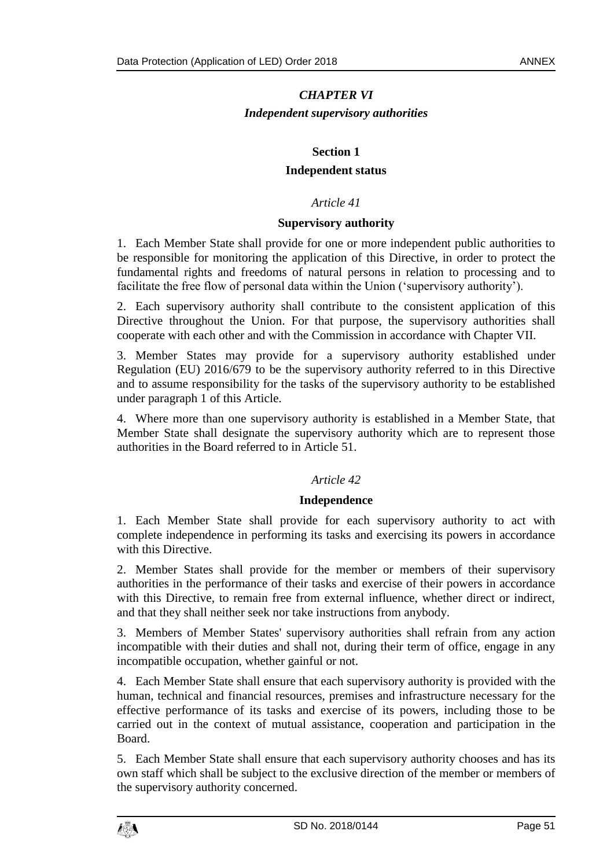# *CHAPTER VI Independent supervisory authorities*

### **Section 1**

### **Independent status**

### *Article 41*

### **Supervisory authority**

1. Each Member State shall provide for one or more independent public authorities to be responsible for monitoring the application of this Directive, in order to protect the fundamental rights and freedoms of natural persons in relation to processing and to facilitate the free flow of personal data within the Union ('supervisory authority').

2. Each supervisory authority shall contribute to the consistent application of this Directive throughout the Union. For that purpose, the supervisory authorities shall cooperate with each other and with the Commission in accordance with Chapter VII.

3. Member States may provide for a supervisory authority established under Regulation (EU) 2016/679 to be the supervisory authority referred to in this Directive and to assume responsibility for the tasks of the supervisory authority to be established under paragraph 1 of this Article.

4. Where more than one supervisory authority is established in a Member State, that Member State shall designate the supervisory authority which are to represent those authorities in the Board referred to in Article 51.

# *Article 42*

### **Independence**

1. Each Member State shall provide for each supervisory authority to act with complete independence in performing its tasks and exercising its powers in accordance with this Directive.

2. Member States shall provide for the member or members of their supervisory authorities in the performance of their tasks and exercise of their powers in accordance with this Directive, to remain free from external influence, whether direct or indirect, and that they shall neither seek nor take instructions from anybody.

3. Members of Member States' supervisory authorities shall refrain from any action incompatible with their duties and shall not, during their term of office, engage in any incompatible occupation, whether gainful or not.

4. Each Member State shall ensure that each supervisory authority is provided with the human, technical and financial resources, premises and infrastructure necessary for the effective performance of its tasks and exercise of its powers, including those to be carried out in the context of mutual assistance, cooperation and participation in the Board.

5. Each Member State shall ensure that each supervisory authority chooses and has its own staff which shall be subject to the exclusive direction of the member or members of the supervisory authority concerned.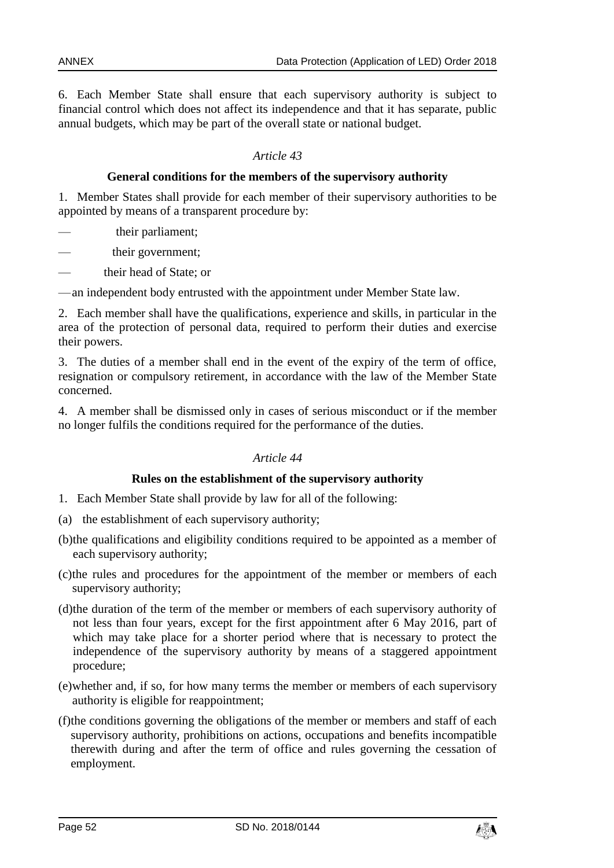6. Each Member State shall ensure that each supervisory authority is subject to financial control which does not affect its independence and that it has separate, public annual budgets, which may be part of the overall state or national budget.

### *Article 43*

### **General conditions for the members of the supervisory authority**

1. Member States shall provide for each member of their supervisory authorities to be appointed by means of a transparent procedure by:

their parliament;

their government;

their head of State; or

—an independent body entrusted with the appointment under Member State law.

2. Each member shall have the qualifications, experience and skills, in particular in the area of the protection of personal data, required to perform their duties and exercise their powers.

3. The duties of a member shall end in the event of the expiry of the term of office, resignation or compulsory retirement, in accordance with the law of the Member State concerned.

4. A member shall be dismissed only in cases of serious misconduct or if the member no longer fulfils the conditions required for the performance of the duties.

### *Article 44*

### **Rules on the establishment of the supervisory authority**

- 1. Each Member State shall provide by law for all of the following:
- (a) the establishment of each supervisory authority;
- (b)the qualifications and eligibility conditions required to be appointed as a member of each supervisory authority;
- (c)the rules and procedures for the appointment of the member or members of each supervisory authority;
- (d)the duration of the term of the member or members of each supervisory authority of not less than four years, except for the first appointment after 6 May 2016, part of which may take place for a shorter period where that is necessary to protect the independence of the supervisory authority by means of a staggered appointment procedure;
- (e)whether and, if so, for how many terms the member or members of each supervisory authority is eligible for reappointment;
- (f)the conditions governing the obligations of the member or members and staff of each supervisory authority, prohibitions on actions, occupations and benefits incompatible therewith during and after the term of office and rules governing the cessation of employment.

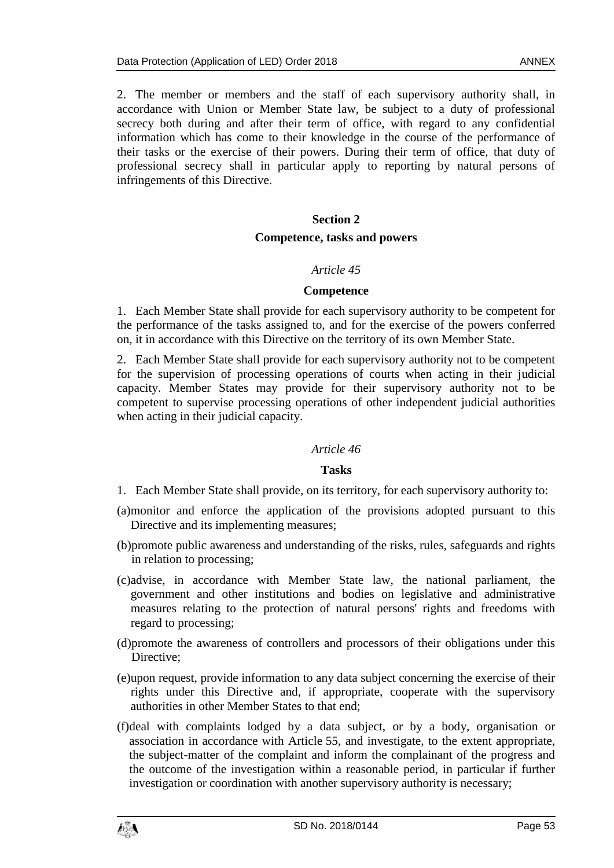2. The member or members and the staff of each supervisory authority shall, in accordance with Union or Member State law, be subject to a duty of professional secrecy both during and after their term of office, with regard to any confidential information which has come to their knowledge in the course of the performance of their tasks or the exercise of their powers. During their term of office, that duty of professional secrecy shall in particular apply to reporting by natural persons of infringements of this Directive.

### **Section 2**

### **Competence, tasks and powers**

### *Article 45*

### **Competence**

1. Each Member State shall provide for each supervisory authority to be competent for the performance of the tasks assigned to, and for the exercise of the powers conferred on, it in accordance with this Directive on the territory of its own Member State.

2. Each Member State shall provide for each supervisory authority not to be competent for the supervision of processing operations of courts when acting in their judicial capacity. Member States may provide for their supervisory authority not to be competent to supervise processing operations of other independent judicial authorities when acting in their judicial capacity.

### *Article 46*

### **Tasks**

- 1. Each Member State shall provide, on its territory, for each supervisory authority to:
- (a)monitor and enforce the application of the provisions adopted pursuant to this Directive and its implementing measures;
- (b)promote public awareness and understanding of the risks, rules, safeguards and rights in relation to processing;
- (c)advise, in accordance with Member State law, the national parliament, the government and other institutions and bodies on legislative and administrative measures relating to the protection of natural persons' rights and freedoms with regard to processing;
- (d)promote the awareness of controllers and processors of their obligations under this Directive;
- (e)upon request, provide information to any data subject concerning the exercise of their rights under this Directive and, if appropriate, cooperate with the supervisory authorities in other Member States to that end;
- (f)deal with complaints lodged by a data subject, or by a body, organisation or association in accordance with Article 55, and investigate, to the extent appropriate, the subject-matter of the complaint and inform the complainant of the progress and the outcome of the investigation within a reasonable period, in particular if further investigation or coordination with another supervisory authority is necessary;

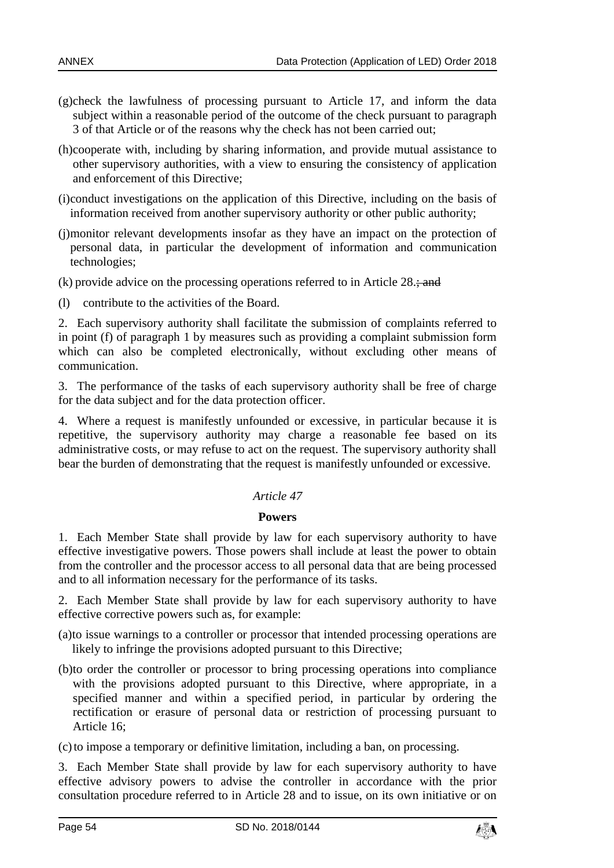- (g)check the lawfulness of processing pursuant to Article 17, and inform the data subject within a reasonable period of the outcome of the check pursuant to paragraph 3 of that Article or of the reasons why the check has not been carried out;
- (h)cooperate with, including by sharing information, and provide mutual assistance to other supervisory authorities, with a view to ensuring the consistency of application and enforcement of this Directive;
- (i)conduct investigations on the application of this Directive, including on the basis of information received from another supervisory authority or other public authority;
- (j)monitor relevant developments insofar as they have an impact on the protection of personal data, in particular the development of information and communication technologies;

(k) provide advice on the processing operations referred to in Article  $28.\div$  and

(l) contribute to the activities of the Board.

2. Each supervisory authority shall facilitate the submission of complaints referred to in point (f) of paragraph 1 by measures such as providing a complaint submission form which can also be completed electronically, without excluding other means of communication.

3. The performance of the tasks of each supervisory authority shall be free of charge for the data subject and for the data protection officer.

4. Where a request is manifestly unfounded or excessive, in particular because it is repetitive, the supervisory authority may charge a reasonable fee based on its administrative costs, or may refuse to act on the request. The supervisory authority shall bear the burden of demonstrating that the request is manifestly unfounded or excessive.

# *Article 47*

#### **Powers**

1. Each Member State shall provide by law for each supervisory authority to have effective investigative powers. Those powers shall include at least the power to obtain from the controller and the processor access to all personal data that are being processed and to all information necessary for the performance of its tasks.

2. Each Member State shall provide by law for each supervisory authority to have effective corrective powers such as, for example:

(a)to issue warnings to a controller or processor that intended processing operations are likely to infringe the provisions adopted pursuant to this Directive;

(b)to order the controller or processor to bring processing operations into compliance with the provisions adopted pursuant to this Directive, where appropriate, in a specified manner and within a specified period, in particular by ordering the rectification or erasure of personal data or restriction of processing pursuant to Article 16;

(c)to impose a temporary or definitive limitation, including a ban, on processing.

3. Each Member State shall provide by law for each supervisory authority to have effective advisory powers to advise the controller in accordance with the prior consultation procedure referred to in Article 28 and to issue, on its own initiative or on

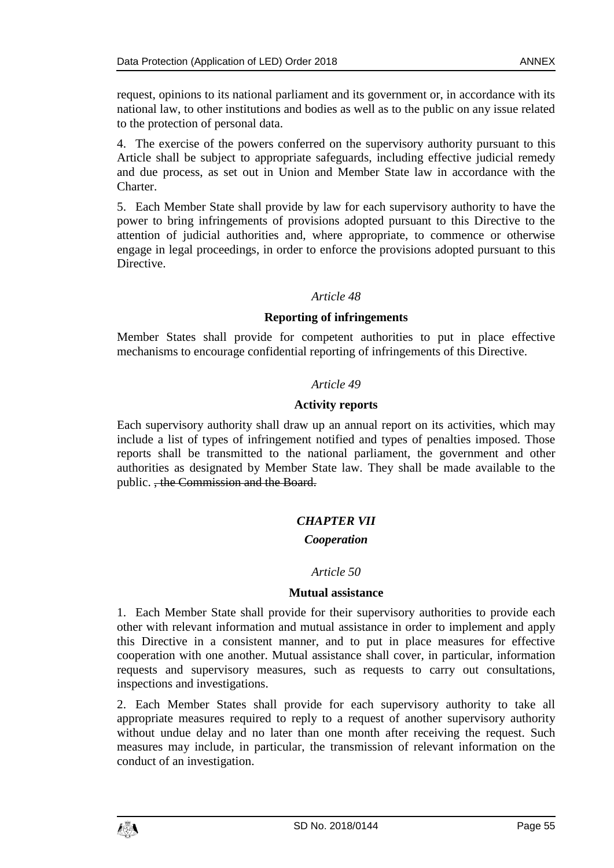request, opinions to its national parliament and its government or, in accordance with its national law, to other institutions and bodies as well as to the public on any issue related to the protection of personal data.

4. The exercise of the powers conferred on the supervisory authority pursuant to this Article shall be subject to appropriate safeguards, including effective judicial remedy and due process, as set out in Union and Member State law in accordance with the **Charter** 

5. Each Member State shall provide by law for each supervisory authority to have the power to bring infringements of provisions adopted pursuant to this Directive to the attention of judicial authorities and, where appropriate, to commence or otherwise engage in legal proceedings, in order to enforce the provisions adopted pursuant to this Directive.

### *Article 48*

### **Reporting of infringements**

Member States shall provide for competent authorities to put in place effective mechanisms to encourage confidential reporting of infringements of this Directive.

### *Article 49*

### **Activity reports**

Each supervisory authority shall draw up an annual report on its activities, which may include a list of types of infringement notified and types of penalties imposed. Those reports shall be transmitted to the national parliament, the government and other authorities as designated by Member State law. They shall be made available to the public. , the Commission and the Board.

# *CHAPTER VII*

# *Cooperation*

### *Article 50*

### **Mutual assistance**

1. Each Member State shall provide for their supervisory authorities to provide each other with relevant information and mutual assistance in order to implement and apply this Directive in a consistent manner, and to put in place measures for effective cooperation with one another. Mutual assistance shall cover, in particular, information requests and supervisory measures, such as requests to carry out consultations, inspections and investigations.

2. Each Member States shall provide for each supervisory authority to take all appropriate measures required to reply to a request of another supervisory authority without undue delay and no later than one month after receiving the request. Such measures may include, in particular, the transmission of relevant information on the conduct of an investigation.

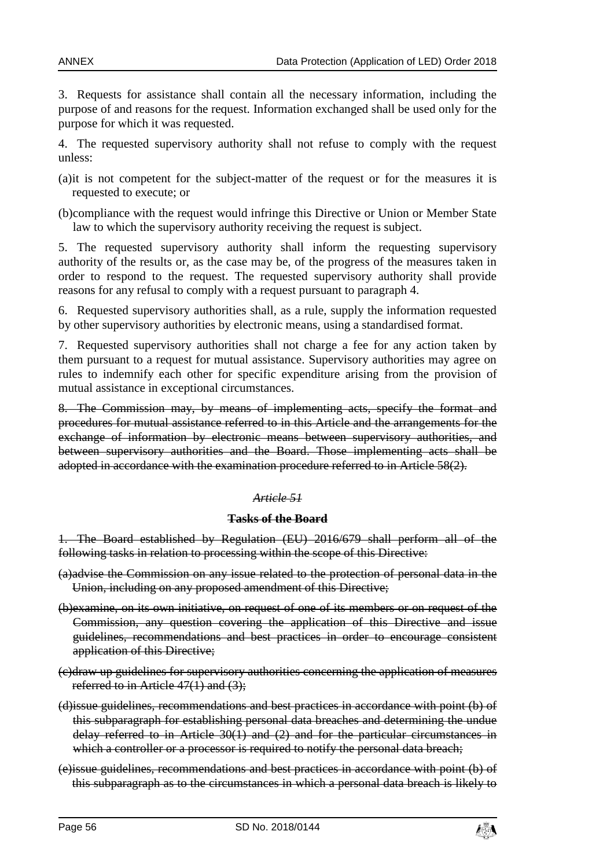3. Requests for assistance shall contain all the necessary information, including the purpose of and reasons for the request. Information exchanged shall be used only for the purpose for which it was requested.

4. The requested supervisory authority shall not refuse to comply with the request unless:

(a)it is not competent for the subject-matter of the request or for the measures it is requested to execute; or

(b)compliance with the request would infringe this Directive or Union or Member State law to which the supervisory authority receiving the request is subject.

5. The requested supervisory authority shall inform the requesting supervisory authority of the results or, as the case may be, of the progress of the measures taken in order to respond to the request. The requested supervisory authority shall provide reasons for any refusal to comply with a request pursuant to paragraph 4.

6. Requested supervisory authorities shall, as a rule, supply the information requested by other supervisory authorities by electronic means, using a standardised format.

7. Requested supervisory authorities shall not charge a fee for any action taken by them pursuant to a request for mutual assistance. Supervisory authorities may agree on rules to indemnify each other for specific expenditure arising from the provision of mutual assistance in exceptional circumstances.

8. The Commission may, by means of implementing acts, specify the format and procedures for mutual assistance referred to in this Article and the arrangements for the exchange of information by electronic means between supervisory authorities, and between supervisory authorities and the Board. Those implementing acts shall be adopted in accordance with the examination procedure referred to in Article 58(2).

### *Article 51*

### **Tasks of the Board**

1. The Board established by Regulation (EU) 2016/679 shall perform all of the following tasks in relation to processing within the scope of this Directive:

(a)advise the Commission on any issue related to the protection of personal data in the Union, including on any proposed amendment of this Directive;

- (b)examine, on its own initiative, on request of one of its members or on request of the Commission, any question covering the application of this Directive and issue guidelines, recommendations and best practices in order to encourage consistent application of this Directive;
- (c)draw up guidelines for supervisory authorities concerning the application of measures referred to in Article 47(1) and (3);
- (d)issue guidelines, recommendations and best practices in accordance with point (b) of this subparagraph for establishing personal data breaches and determining the undue delay referred to in Article 30(1) and (2) and for the particular circumstances in which a controller or a processor is required to notify the personal data breach;
- (e)issue guidelines, recommendations and best practices in accordance with point (b) of this subparagraph as to the circumstances in which a personal data breach is likely to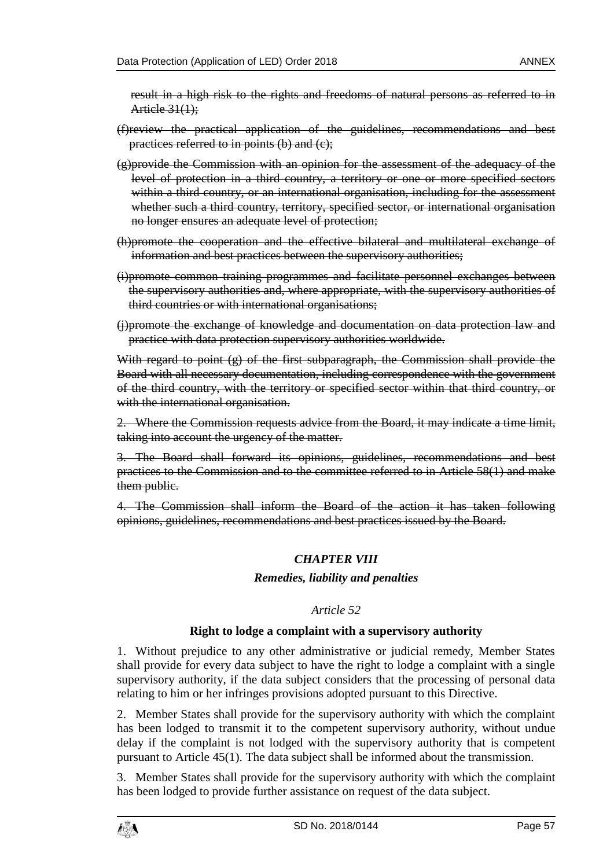result in a high risk to the rights and freedoms of natural persons as referred to in Article 31(1):

- (f)review the practical application of the guidelines, recommendations and best practices referred to in points (b) and (c);
- (g)provide the Commission with an opinion for the assessment of the adequacy of the level of protection in a third country, a territory or one or more specified sectors within a third country, or an international organisation, including for the assessment whether such a third country, territory, specified sector, or international organisation no longer ensures an adequate level of protection;
- (h)promote the cooperation and the effective bilateral and multilateral exchange of information and best practices between the supervisory authorities;
- (i)promote common training programmes and facilitate personnel exchanges between the supervisory authorities and, where appropriate, with the supervisory authorities of third countries or with international organisations;
- (j)promote the exchange of knowledge and documentation on data protection law and practice with data protection supervisory authorities worldwide.

With regard to point (g) of the first subparagraph, the Commission shall provide the Board with all necessary documentation, including correspondence with the government of the third country, with the territory or specified sector within that third country, or with the international organisation.

2. Where the Commission requests advice from the Board, it may indicate a time limit, taking into account the urgency of the matter.

3. The Board shall forward its opinions, guidelines, recommendations and best practices to the Commission and to the committee referred to in Article 58(1) and make them public.

4. The Commission shall inform the Board of the action it has taken following opinions, guidelines, recommendations and best practices issued by the Board.

# *CHAPTER VIII*

### *Remedies, liability and penalties*

# *Article 52*

### **Right to lodge a complaint with a supervisory authority**

1. Without prejudice to any other administrative or judicial remedy, Member States shall provide for every data subject to have the right to lodge a complaint with a single supervisory authority, if the data subject considers that the processing of personal data relating to him or her infringes provisions adopted pursuant to this Directive.

2. Member States shall provide for the supervisory authority with which the complaint has been lodged to transmit it to the competent supervisory authority, without undue delay if the complaint is not lodged with the supervisory authority that is competent pursuant to Article 45(1). The data subject shall be informed about the transmission.

3. Member States shall provide for the supervisory authority with which the complaint has been lodged to provide further assistance on request of the data subject.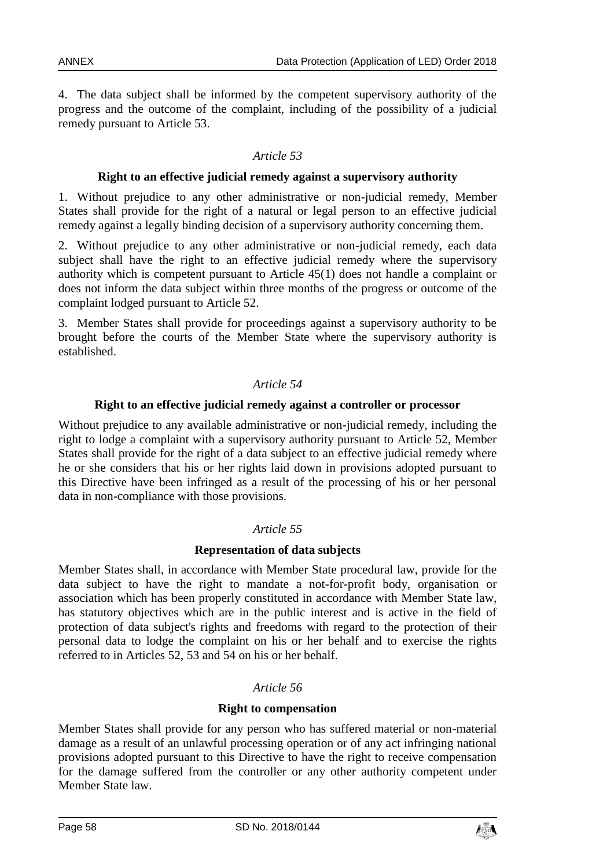4. The data subject shall be informed by the competent supervisory authority of the progress and the outcome of the complaint, including of the possibility of a judicial remedy pursuant to Article 53.

### *Article 53*

### **Right to an effective judicial remedy against a supervisory authority**

1. Without prejudice to any other administrative or non-judicial remedy, Member States shall provide for the right of a natural or legal person to an effective judicial remedy against a legally binding decision of a supervisory authority concerning them.

2. Without prejudice to any other administrative or non-judicial remedy, each data subject shall have the right to an effective judicial remedy where the supervisory authority which is competent pursuant to Article 45(1) does not handle a complaint or does not inform the data subject within three months of the progress or outcome of the complaint lodged pursuant to Article 52.

3. Member States shall provide for proceedings against a supervisory authority to be brought before the courts of the Member State where the supervisory authority is established.

### *Article 54*

### **Right to an effective judicial remedy against a controller or processor**

Without prejudice to any available administrative or non-judicial remedy, including the right to lodge a complaint with a supervisory authority pursuant to Article 52, Member States shall provide for the right of a data subject to an effective judicial remedy where he or she considers that his or her rights laid down in provisions adopted pursuant to this Directive have been infringed as a result of the processing of his or her personal data in non-compliance with those provisions.

### *Article 55*

### **Representation of data subjects**

Member States shall, in accordance with Member State procedural law, provide for the data subject to have the right to mandate a not-for-profit body, organisation or association which has been properly constituted in accordance with Member State law, has statutory objectives which are in the public interest and is active in the field of protection of data subject's rights and freedoms with regard to the protection of their personal data to lodge the complaint on his or her behalf and to exercise the rights referred to in Articles 52, 53 and 54 on his or her behalf.

# *Article 56*

### **Right to compensation**

Member States shall provide for any person who has suffered material or non-material damage as a result of an unlawful processing operation or of any act infringing national provisions adopted pursuant to this Directive to have the right to receive compensation for the damage suffered from the controller or any other authority competent under Member State law.

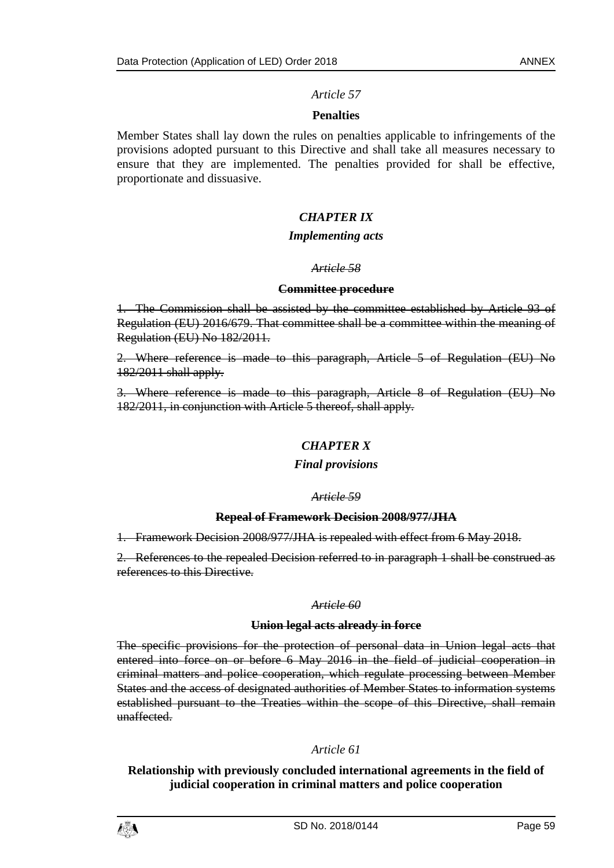### *Article 57*

### **Penalties**

Member States shall lay down the rules on penalties applicable to infringements of the provisions adopted pursuant to this Directive and shall take all measures necessary to ensure that they are implemented. The penalties provided for shall be effective, proportionate and dissuasive.

# *CHAPTER IX*

### *Implementing acts*

### *Article 58*

### **Committee procedure**

1. The Commission shall be assisted by the committee established by Article 93 of Regulation (EU) 2016/679. That committee shall be a committee within the meaning of Regulation (EU) No 182/2011.

2. Where reference is made to this paragraph, Article 5 of Regulation (EU) No 182/2011 shall apply.

Where reference is made to this paragraph, Article 8 of Regulation (EU) No 182/2011, in conjunction with Article 5 thereof, shall apply.

# *CHAPTER X*

### *Final provisions*

### *Article 59*

### **Repeal of Framework Decision 2008/977/JHA**

1. Framework Decision 2008/977/JHA is repealed with effect from 6 May 2018.

2. References to the repealed Decision referred to in paragraph 1 shall be construed as references to this Directive.

### *Article 60*

### **Union legal acts already in force**

The specific provisions for the protection of personal data in Union legal acts that entered into force on or before 6 May 2016 in the field of judicial cooperation in criminal matters and police cooperation, which regulate processing between Member States and the access of designated authorities of Member States to information systems established pursuant to the Treaties within the scope of this Directive, shall remain unaffected.

# *Article 61*

**Relationship with previously concluded international agreements in the field of judicial cooperation in criminal matters and police cooperation**

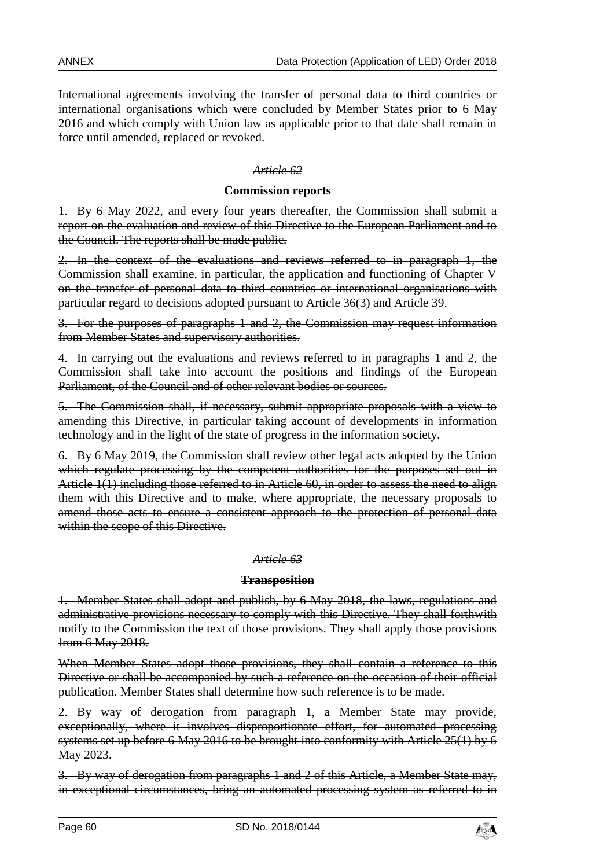International agreements involving the transfer of personal data to third countries or international organisations which were concluded by Member States prior to 6 May 2016 and which comply with Union law as applicable prior to that date shall remain in force until amended, replaced or revoked.

# *Article 62*

### **Commission reports**

1. By 6 May 2022, and every four years thereafter, the Commission shall submit a report on the evaluation and review of this Directive to the European Parliament and to the Council. The reports shall be made public.

2. In the context of the evaluations and reviews referred to in paragraph 1, the Commission shall examine, in particular, the application and functioning of Chapter V on the transfer of personal data to third countries or international organisations with particular regard to decisions adopted pursuant to Article 36(3) and Article 39.

3. For the purposes of paragraphs 1 and 2, the Commission may request information from Member States and supervisory authorities.

4. In carrying out the evaluations and reviews referred to in paragraphs 1 and 2, the Commission shall take into account the positions and findings of the European Parliament, of the Council and of other relevant bodies or sources.

5. The Commission shall, if necessary, submit appropriate proposals with a view to amending this Directive, in particular taking account of developments in information technology and in the light of the state of progress in the information society.

6. By 6 May 2019, the Commission shall review other legal acts adopted by the Union which regulate processing by the competent authorities for the purposes set out in Article 1(1) including those referred to in Article 60, in order to assess the need to align them with this Directive and to make, where appropriate, the necessary proposals to amend those acts to ensure a consistent approach to the protection of personal data within the scope of this Directive.

#### *Article 63*

#### **Transposition**

1. Member States shall adopt and publish, by 6 May 2018, the laws, regulations and administrative provisions necessary to comply with this Directive. They shall forthwith notify to the Commission the text of those provisions. They shall apply those provisions from 6 May 2018.

When Member States adopt those provisions, they shall contain a reference to this Directive or shall be accompanied by such a reference on the occasion of their official publication. Member States shall determine how such reference is to be made.

2. By way of derogation from paragraph 1, a Member State may provide, exceptionally, where it involves disproportionate effort, for automated processing systems set up before 6 May 2016 to be brought into conformity with Article 25(1) by 6 May 2023.

3. By way of derogation from paragraphs 1 and 2 of this Article, a Member State may, in exceptional circumstances, bring an automated processing system as referred to in

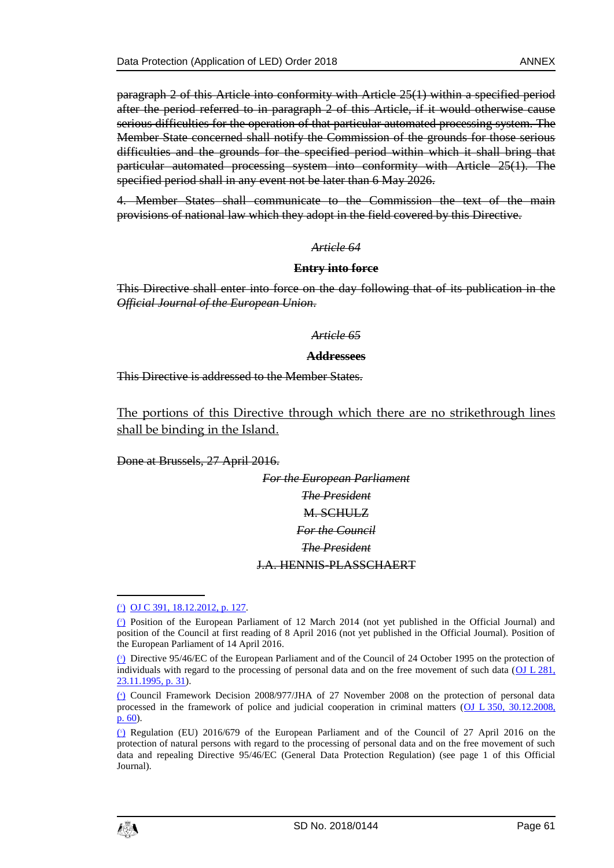paragraph 2 of this Article into conformity with Article 25(1) within a specified period after the period referred to in paragraph 2 of this Article, if it would otherwise cause serious difficulties for the operation of that particular automated processing system. The Member State concerned shall notify the Commission of the grounds for those serious difficulties and the grounds for the specified period within which it shall bring that particular automated processing system into conformity with Article 25(1). The specified period shall in any event not be later than 6 May 2026.

4. Member States shall communicate to the Commission the text of the main provisions of national law which they adopt in the field covered by this Directive.

### *Article 64*

#### **Entry into force**

This Directive shall enter into force on the day following that of its publication in the *Official Journal of the European Union*.

### *Article 65*

### **Addressees**

This Directive is addressed to the Member States.

The portions of this Directive through which there are no strikethrough lines shall be binding in the Island.

Done at Brussels, 27 April 2016.

*For the European Parliament The President* M. SCHULZ *For the Council The President* J.A. HENNIS-PLASSCHAERT



<sup>(1</sup>[\)](http://eur-lex.europa.eu/legal-content/EN/TXT/HTML/?uri=CELEX:32016L0680&qid=1499938031420&from=EN#ntc1-L_2016119EN.01008901-E0001) OJ C [391, 18.12.2012, p.](http://eur-lex.europa.eu/legal-content/EN/AUTO/?uri=OJ:C:2012:391:TOC) 127.

<sup>(</sup> 2 [\)](http://eur-lex.europa.eu/legal-content/EN/TXT/HTML/?uri=CELEX:32016L0680&qid=1499938031420&from=EN#ntc2-L_2016119EN.01008901-E0002) Position of the European Parliament of 12 March 2014 (not yet published in the Official Journal) and position of the Council at first reading of 8 April 2016 (not yet published in the Official Journal). Position of the European Parliament of 14 April 2016.

<sup>(&</sup>lt;sup>3</sup>[\)](http://eur-lex.europa.eu/legal-content/EN/TXT/HTML/?uri=CELEX:32016L0680&qid=1499938031420&from=EN#ntc3-L_2016119EN.01008901-E0003) Directive 95/46/EC of the European Parliament and of the Council of 24 October 1995 on the protection of individuals with regard to the processing of personal data and on the free movement of such data  $(OL L 281, 100)$ [23.11.1995, p.](http://eur-lex.europa.eu/legal-content/EN/AUTO/?uri=OJ:L:1995:281:TOC) 31).

<sup>(</sup> 4 [\)](http://eur-lex.europa.eu/legal-content/EN/TXT/HTML/?uri=CELEX:32016L0680&qid=1499938031420&from=EN#ntc4-L_2016119EN.01008901-E0004) Council Framework Decision 2008/977/JHA of 27 November 2008 on the protection of personal data processed in the framework of police and judicial cooperation in criminal matters (OJ L [350, 30.12.2008,](http://eur-lex.europa.eu/legal-content/EN/AUTO/?uri=OJ:L:2008:350:TOC)  p. [60\)](http://eur-lex.europa.eu/legal-content/EN/AUTO/?uri=OJ:L:2008:350:TOC).

<sup>(</sup> 5 [\)](http://eur-lex.europa.eu/legal-content/EN/TXT/HTML/?uri=CELEX:32016L0680&qid=1499938031420&from=EN#ntc5-L_2016119EN.01008901-E0005) Regulation (EU) 2016/679 of the European Parliament and of the Council of 27 April 2016 on the protection of natural persons with regard to the processing of personal data and on the free movement of such data and repealing Directive 95/46/EC (General Data Protection Regulation) (see page 1 of this Official Journal).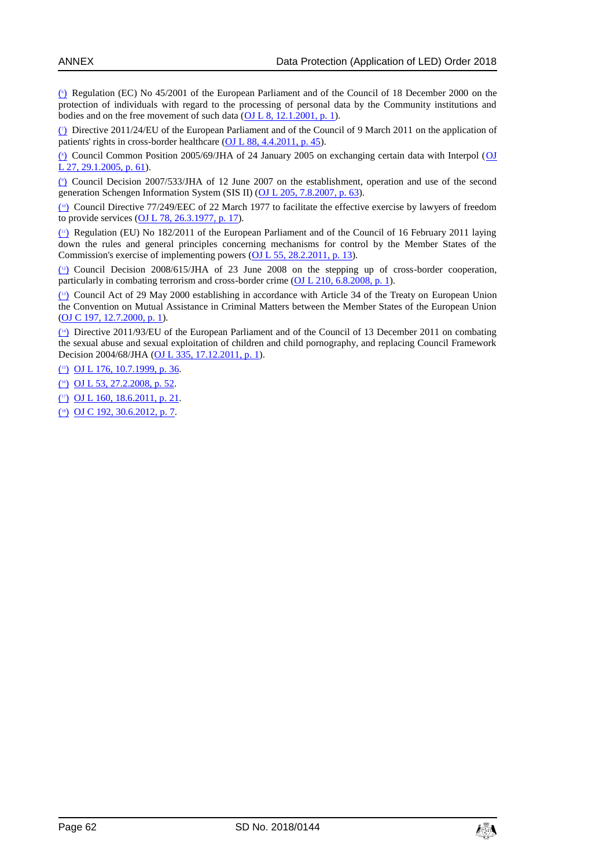(<sup>6</sup>[\)](http://eur-lex.europa.eu/legal-content/EN/TXT/HTML/?uri=CELEX:32016L0680&qid=1499938031420&from=EN#ntc6-L_2016119EN.01008901-E0006) Regulation (EC) No 45/2001 of the European Parliament and of the Council of 18 December 2000 on the protection of individuals with regard to the processing of personal data by the Community institutions and bodies and on the free movement of such data (OJ L [8, 12.1.2001, p.](http://eur-lex.europa.eu/legal-content/EN/AUTO/?uri=OJ:L:2001:008:TOC) 1).

(<sup>2</sup>[\)](http://eur-lex.europa.eu/legal-content/EN/TXT/HTML/?uri=CELEX:32016L0680&qid=1499938031420&from=EN#ntc7-L_2016119EN.01008901-E0007) Directive 2011/24/EU of the European Parliament and of the Council of 9 March 2011 on the application of patients' rights in cross-border healthcare (OJ L [88, 4.4.2011, p.](http://eur-lex.europa.eu/legal-content/EN/AUTO/?uri=OJ:L:2011:088:TOC) 45).

(8[\)](http://eur-lex.europa.eu/legal-content/EN/TXT/HTML/?uri=CELEX:32016L0680&qid=1499938031420&from=EN#ntc8-L_2016119EN.01008901-E0008) Council Common Position 2005/69/JHA of 24 January 2005 on exchanging certain data with Interpol (OJ L [27, 29.1.2005, p.](http://eur-lex.europa.eu/legal-content/EN/AUTO/?uri=OJ:L:2005:027:TOC) 61).

( $\degree$ [\)](http://eur-lex.europa.eu/legal-content/EN/TXT/HTML/?uri=CELEX:32016L0680&qid=1499938031420&from=EN#ntc9-L_2016119EN.01008901-E0009) Council Decision 2007/533/JHA of 12 June 2007 on the establishment, operation and use of the second generation Schengen Information System (SIS II) (OJ L [205, 7.8.2007, p.](http://eur-lex.europa.eu/legal-content/EN/AUTO/?uri=OJ:L:2007:205:TOC) 63).

 $\frac{(0)}{2}$  Council Directive 77/249/EEC of 22 March 1977 to facilitate the effective exercise by lawyers of freedom to provide services (OJ L [78, 26.3.1977, p.](http://eur-lex.europa.eu/legal-content/EN/AUTO/?uri=OJ:L:1977:078:TOC) 17).

 $\frac{11}{2}$  Regulation (EU[\)](http://eur-lex.europa.eu/legal-content/EN/TXT/HTML/?uri=CELEX:32016L0680&qid=1499938031420&from=EN#ntc11-L_2016119EN.01008901-E0011) No 182/2011 of the European Parliament and of the Council of 16 February 2011 laying down the rules and general principles concerning mechanisms for control by the Member States of the Commission's exercise of implementing powers (OJ L [55, 28.2.2011, p.](http://eur-lex.europa.eu/legal-content/EN/AUTO/?uri=OJ:L:2011:055:TOC) 13).

(<sup>2</sup>[\)](http://eur-lex.europa.eu/legal-content/EN/TXT/HTML/?uri=CELEX:32016L0680&qid=1499938031420&from=EN#ntc12-L_2016119EN.01008901-E0012) Council Decision 2008/615/JHA of 23 June 2008 on the stepping up of cross-border cooperation, particularly in combating terrorism and cross-border crime (OJ L [210, 6.8.2008, p.](http://eur-lex.europa.eu/legal-content/EN/AUTO/?uri=OJ:L:2008:210:TOC) 1).

 $\frac{1}{2}$  Council Act of 29 May 2000 establishing in accordance with Article 34 of the Treaty on European Union the Convention on Mutual Assistance in Criminal Matters between the Member States of the European Union (OJ C [197, 12.7.2000, p.](http://eur-lex.europa.eu/legal-content/EN/AUTO/?uri=OJ:C:2000:197:TOC) 1).

 $(4)$  Directive 2011/93/EU of the European Parliament and of the Council of 13 December 2011 on combating the sexual abuse and sexual exploitation of children and child pornography, and replacing Council Framework Decision 2004/68/JHA (OJ L [335, 17.12.2011, p.](http://eur-lex.europa.eu/legal-content/EN/AUTO/?uri=OJ:L:2011:335:TOC) 1).

(<sup>15</sup>[\)](http://eur-lex.europa.eu/legal-content/EN/TXT/HTML/?uri=CELEX:32016L0680&qid=1499938031420&from=EN#ntc15-L_2016119EN.01008901-E0015) OJ L [176, 10.7.1999, p.](http://eur-lex.europa.eu/legal-content/EN/AUTO/?uri=OJ:L:1999:176:TOC) 36.

(<sup>16</sup>[\)](http://eur-lex.europa.eu/legal-content/EN/TXT/HTML/?uri=CELEX:32016L0680&qid=1499938031420&from=EN#ntc16-L_2016119EN.01008901-E0016) OJ L [53, 27.2.2008, p.](http://eur-lex.europa.eu/legal-content/EN/AUTO/?uri=OJ:L:2008:053:TOC) 52.

 $($ <sup>17</sup>[\)](http://eur-lex.europa.eu/legal-content/EN/TXT/HTML/?uri=CELEX:32016L0680&qid=1499938031420&from=EN#ntc17-L_2016119EN.01008901-E0017) OJ L 160, [18.6.2011, p.](http://eur-lex.europa.eu/legal-content/EN/AUTO/?uri=OJ:L:2011:160:TOC) 21.

(<sup>18</sup>[\)](http://eur-lex.europa.eu/legal-content/EN/TXT/HTML/?uri=CELEX:32016L0680&qid=1499938031420&from=EN#ntc18-L_2016119EN.01008901-E0018) OJ C [192, 30.6.2012, p.](http://eur-lex.europa.eu/legal-content/EN/AUTO/?uri=OJ:C:2012:192:TOC) 7.